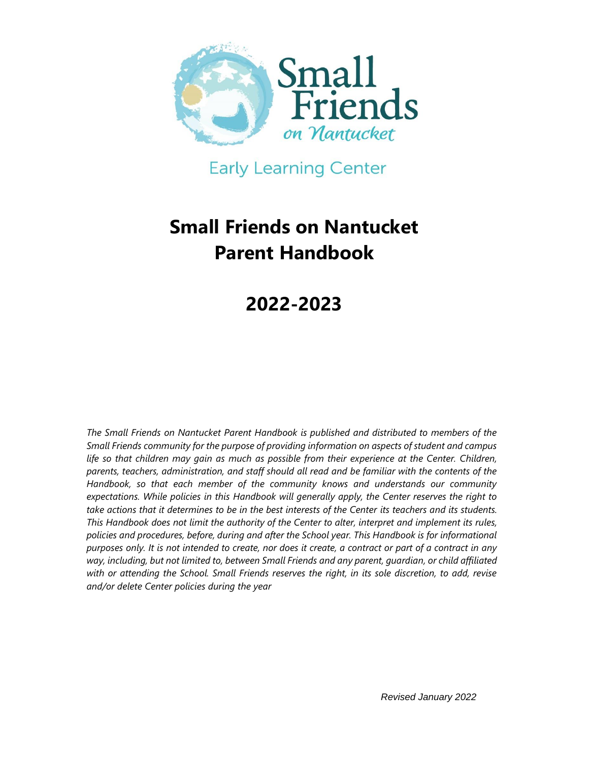

**Early Learning Center** 

# **Small Friends on Nantucket Parent Handbook**

# **2022-2023**

*The Small Friends on Nantucket Parent Handbook is published and distributed to members of the Small Friends community for the purpose of providing information on aspects of student and campus*  life so that children may gain as much as possible from their experience at the Center. Children, *parents, teachers, administration, and staff should all read and be familiar with the contents of the Handbook, so that each member of the community knows and understands our community expectations. While policies in this Handbook will generally apply, the Center reserves the right to take actions that it determines to be in the best interests of the Center its teachers and its students. This Handbook does not limit the authority of the Center to alter, interpret and implement its rules, policies and procedures, before, during and after the School year. This Handbook is for informational purposes only. It is not intended to create, nor does it create, a contract or part of a contract in any way, including, but not limited to, between Small Friends and any parent, guardian, or child affiliated with or attending the School. Small Friends reserves the right, in its sole discretion, to add, revise and/or delete Center policies during the year*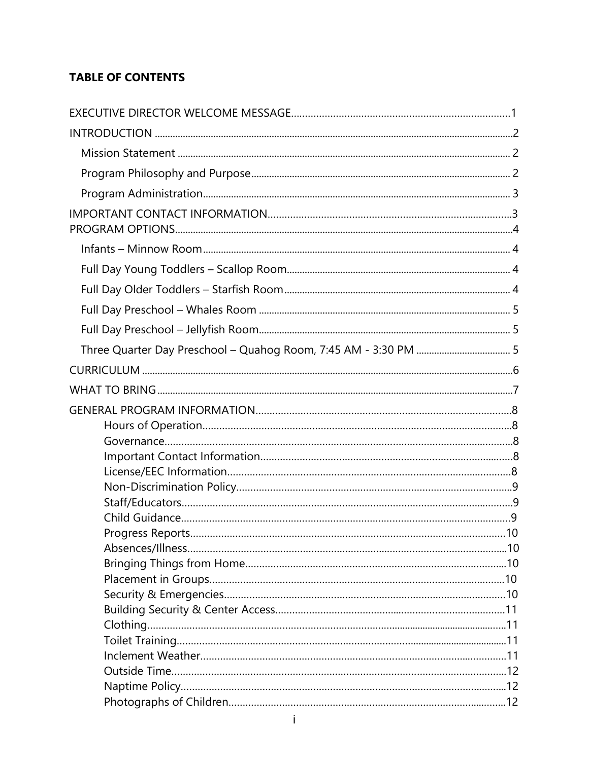# **TABLE OF CONTENTS**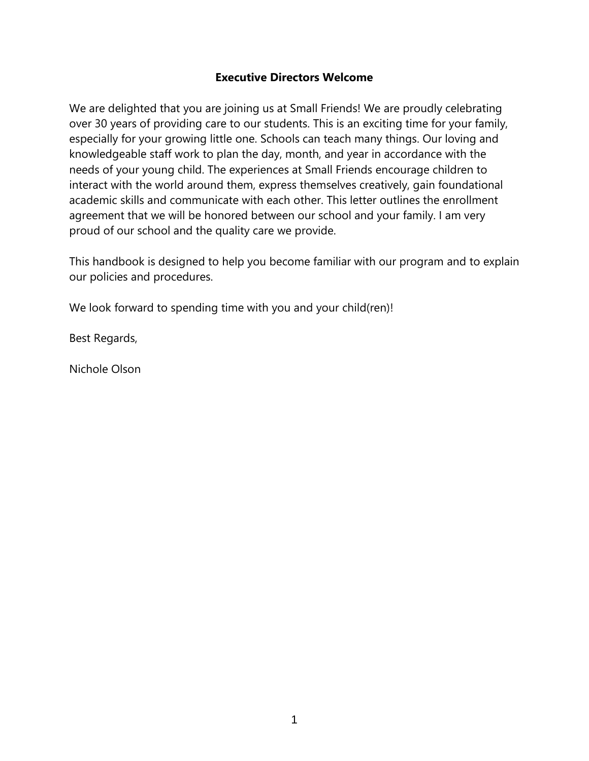#### **Executive Directors Welcome**

We are delighted that you are joining us at Small Friends! We are proudly celebrating over 30 years of providing care to our students. This is an exciting time for your family, especially for your growing little one. Schools can teach many things. Our loving and knowledgeable staff work to plan the day, month, and year in accordance with the needs of your young child. The experiences at Small Friends encourage children to interact with the world around them, express themselves creatively, gain foundational academic skills and communicate with each other. This letter outlines the enrollment agreement that we will be honored between our school and your family. I am very proud of our school and the quality care we provide.

This handbook is designed to help you become familiar with our program and to explain our policies and procedures.

We look forward to spending time with you and your child(ren)!

Best Regards,

Nichole Olson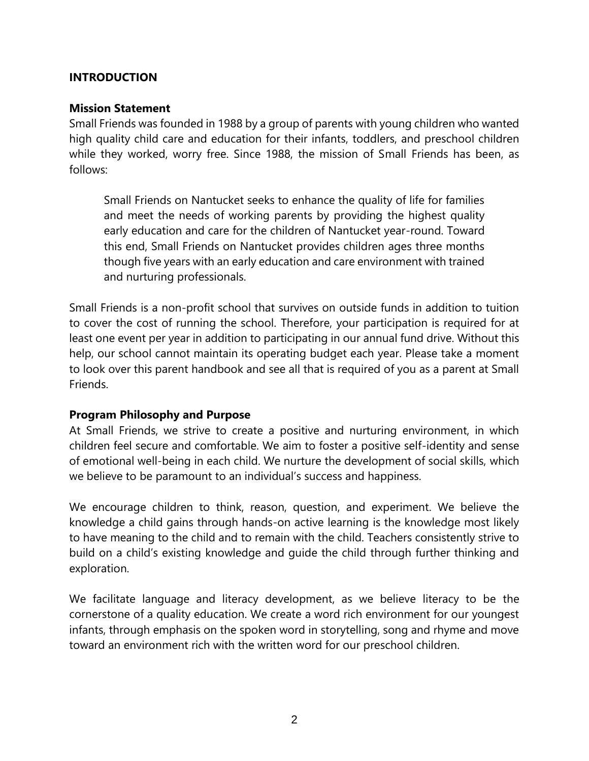## <span id="page-5-0"></span>**INTRODUCTION**

#### <span id="page-5-1"></span>**Mission Statement**

Small Friends was founded in 1988 by a group of parents with young children who wanted high quality child care and education for their infants, toddlers, and preschool children while they worked, worry free. Since 1988, the mission of Small Friends has been, as follows:

Small Friends on Nantucket seeks to enhance the quality of life for families and meet the needs of working parents by providing the highest quality early education and care for the children of Nantucket year-round. Toward this end, Small Friends on Nantucket provides children ages three months though five years with an early education and care environment with trained and nurturing professionals.

Small Friends is a non-profit school that survives on outside funds in addition to tuition to cover the cost of running the school. Therefore, your participation is required for at least one event per year in addition to participating in our annual fund drive. Without this help, our school cannot maintain its operating budget each year. Please take a moment to look over this parent handbook and see all that is required of you as a parent at Small Friends.

#### <span id="page-5-2"></span>**Program Philosophy and Purpose**

At Small Friends, we strive to create a positive and nurturing environment, in which children feel secure and comfortable. We aim to foster a positive self-identity and sense of emotional well-being in each child. We nurture the development of social skills, which we believe to be paramount to an individual's success and happiness.

We encourage children to think, reason, question, and experiment. We believe the knowledge a child gains through hands-on active learning is the knowledge most likely to have meaning to the child and to remain with the child. Teachers consistently strive to build on a child's existing knowledge and guide the child through further thinking and exploration.

We facilitate language and literacy development, as we believe literacy to be the cornerstone of a quality education. We create a word rich environment for our youngest infants, through emphasis on the spoken word in storytelling, song and rhyme and move toward an environment rich with the written word for our preschool children.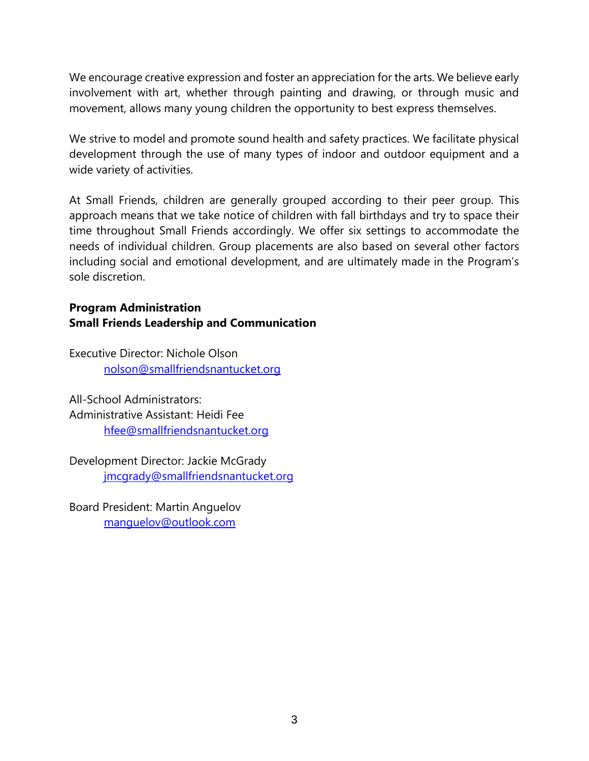We encourage creative expression and foster an appreciation for the arts. We believe early involvement with art, whether through painting and drawing, or through music and movement, allows many young children the opportunity to best express themselves.

We strive to model and promote sound health and safety practices. We facilitate physical development through the use of many types of indoor and outdoor equipment and a wide variety of activities.

At Small Friends, children are generally grouped according to their peer group. This approach means that we take notice of children with fall birthdays and try to space their time throughout Small Friends accordingly. We offer six settings to accommodate the needs of individual children. Group placements are also based on several other factors including social and emotional development, and are ultimately made in the Program's sole discretion.

# <span id="page-6-0"></span>**Program Administration Small Friends Leadership and Communication**

Executive Director: Nichole Olson [nolson@smallfriendsnantucket.org](mailto:nolson@smallfriendsnantucket.org)

All-School Administrators: Administrative Assistant: Heidi Fee [hfee@smallfriendsnantucket.org](mailto:hfee@smallfriendsnantucket.org)

Development Director: Jackie McGrady [jmcgrady@smallfriendsnantucket.org](mailto:jmcgrady@smallfriendsnantucket.org)

Board President: Martin Anguelov [manguelov@outlook.com](mailto:manguelov@outlook.com)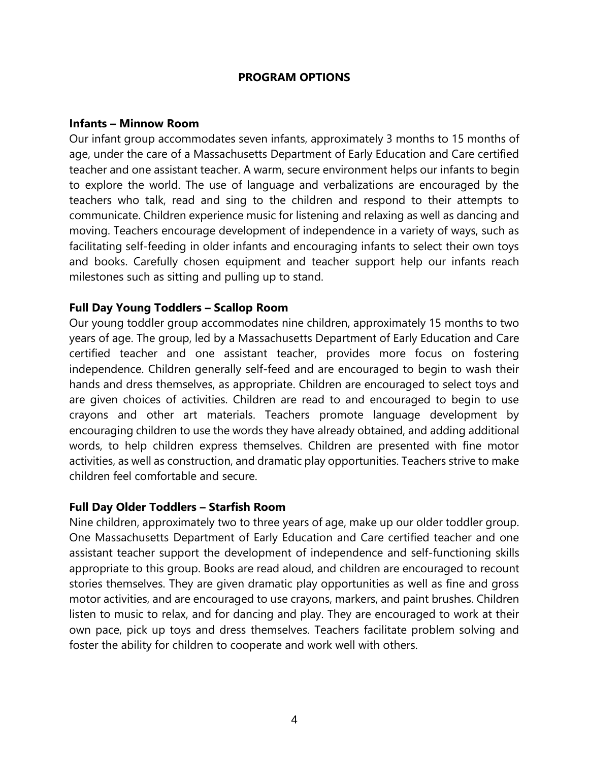#### **PROGRAM OPTIONS**

#### <span id="page-7-1"></span><span id="page-7-0"></span>**Infants – Minnow Room**

Our infant group accommodates seven infants, approximately 3 months to 15 months of age, under the care of a Massachusetts Department of Early Education and Care certified teacher and one assistant teacher. A warm, secure environment helps our infants to begin to explore the world. The use of language and verbalizations are encouraged by the teachers who talk, read and sing to the children and respond to their attempts to communicate. Children experience music for listening and relaxing as well as dancing and moving. Teachers encourage development of independence in a variety of ways, such as facilitating self-feeding in older infants and encouraging infants to select their own toys and books. Carefully chosen equipment and teacher support help our infants reach milestones such as sitting and pulling up to stand.

### <span id="page-7-2"></span>**Full Day Young Toddlers – Scallop Room**

Our young toddler group accommodates nine children, approximately 15 months to two years of age. The group, led by a Massachusetts Department of Early Education and Care certified teacher and one assistant teacher, provides more focus on fostering independence. Children generally self-feed and are encouraged to begin to wash their hands and dress themselves, as appropriate. Children are encouraged to select toys and are given choices of activities. Children are read to and encouraged to begin to use crayons and other art materials. Teachers promote language development by encouraging children to use the words they have already obtained, and adding additional words, to help children express themselves. Children are presented with fine motor activities, as well as construction, and dramatic play opportunities. Teachers strive to make children feel comfortable and secure.

#### <span id="page-7-3"></span>**Full Day Older Toddlers – Starfish Room**

<span id="page-7-4"></span>Nine children, approximately two to three years of age, make up our older toddler group. One Massachusetts Department of Early Education and Care certified teacher and one assistant teacher support the development of independence and self-functioning skills appropriate to this group. Books are read aloud, and children are encouraged to recount stories themselves. They are given dramatic play opportunities as well as fine and gross motor activities, and are encouraged to use crayons, markers, and paint brushes. Children listen to music to relax, and for dancing and play. They are encouraged to work at their own pace, pick up toys and dress themselves. Teachers facilitate problem solving and foster the ability for children to cooperate and work well with others.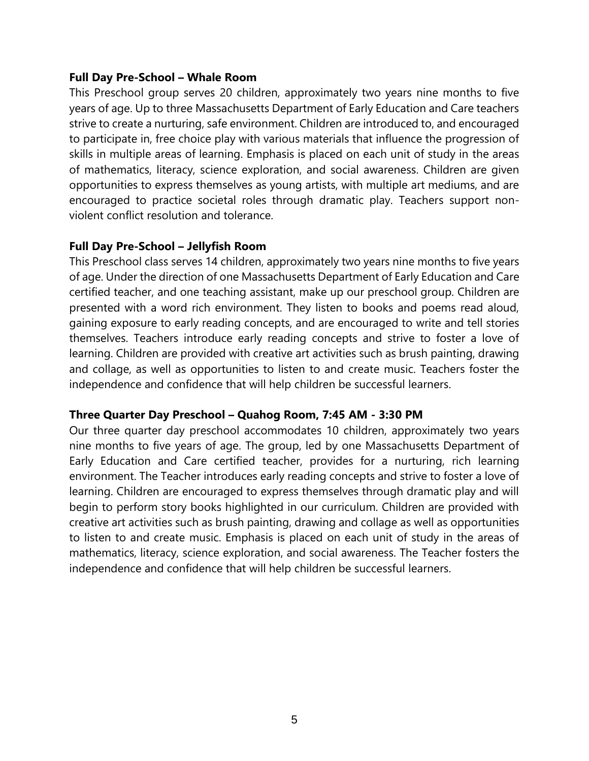### **Full Day Pre-School – Whale Room**

This Preschool group serves 20 children, approximately two years nine months to five years of age. Up to three Massachusetts Department of Early Education and Care teachers strive to create a nurturing, safe environment. Children are introduced to, and encouraged to participate in, free choice play with various materials that influence the progression of skills in multiple areas of learning. Emphasis is placed on each unit of study in the areas of mathematics, literacy, science exploration, and social awareness. Children are given opportunities to express themselves as young artists, with multiple art mediums, and are encouraged to practice societal roles through dramatic play. Teachers support nonviolent conflict resolution and tolerance.

### <span id="page-8-0"></span>**Full Day Pre-School – Jellyfish Room**

This Preschool class serves 14 children, approximately two years nine months to five years of age. Under the direction of one Massachusetts Department of Early Education and Care certified teacher, and one teaching assistant, make up our preschool group. Children are presented with a word rich environment. They listen to books and poems read aloud, gaining exposure to early reading concepts, and are encouraged to write and tell stories themselves. Teachers introduce early reading concepts and strive to foster a love of learning. Children are provided with creative art activities such as brush painting, drawing and collage, as well as opportunities to listen to and create music. Teachers foster the independence and confidence that will help children be successful learners.

#### <span id="page-8-1"></span>**Three Quarter Day Preschool – Quahog Room, 7:45 AM - 3:30 PM**

Our three quarter day preschool accommodates 10 children, approximately two years nine months to five years of age. The group, led by one Massachusetts Department of Early Education and Care certified teacher, provides for a nurturing, rich learning environment. The Teacher introduces early reading concepts and strive to foster a love of learning. Children are encouraged to express themselves through dramatic play and will begin to perform story books highlighted in our curriculum. Children are provided with creative art activities such as brush painting, drawing and collage as well as opportunities to listen to and create music. Emphasis is placed on each unit of study in the areas of mathematics, literacy, science exploration, and social awareness. The Teacher fosters the independence and confidence that will help children be successful learners.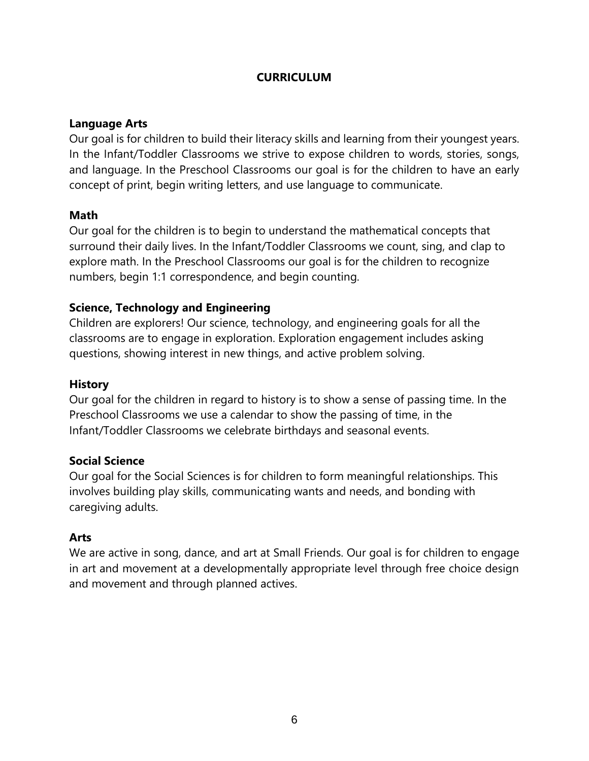## **CURRICULUM**

### <span id="page-9-0"></span>**Language Arts**

Our goal is for children to build their literacy skills and learning from their youngest years. In the Infant/Toddler Classrooms we strive to expose children to words, stories, songs, and language. In the Preschool Classrooms our goal is for the children to have an early concept of print, begin writing letters, and use language to communicate.

### **Math**

Our goal for the children is to begin to understand the mathematical concepts that surround their daily lives. In the Infant/Toddler Classrooms we count, sing, and clap to explore math. In the Preschool Classrooms our goal is for the children to recognize numbers, begin 1:1 correspondence, and begin counting.

# **Science, Technology and Engineering**

Children are explorers! Our science, technology, and engineering goals for all the classrooms are to engage in exploration. Exploration engagement includes asking questions, showing interest in new things, and active problem solving.

#### **History**

Our goal for the children in regard to history is to show a sense of passing time. In the Preschool Classrooms we use a calendar to show the passing of time, in the Infant/Toddler Classrooms we celebrate birthdays and seasonal events.

#### **Social Science**

Our goal for the Social Sciences is for children to form meaningful relationships. This involves building play skills, communicating wants and needs, and bonding with caregiving adults.

# **Arts**

We are active in song, dance, and art at Small Friends. Our goal is for children to engage in art and movement at a developmentally appropriate level through free choice design and movement and through planned actives.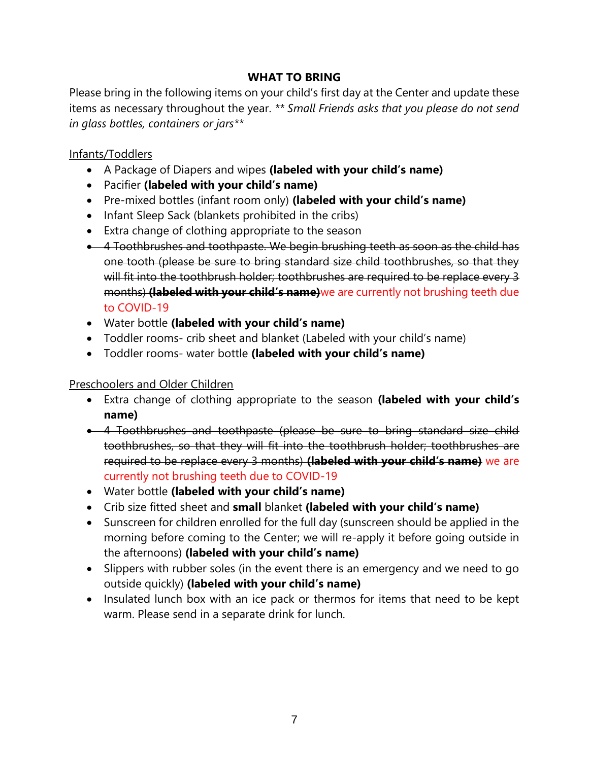# **WHAT TO BRING**

Please bring in the following items on your child's first day at the Center and update these items as necessary throughout the year. *\*\* Small Friends asks that you please do not send in glass bottles, containers or jars\*\**

# Infants/Toddlers

- A Package of Diapers and wipes **(labeled with your child's name)**
- Pacifier **(labeled with your child's name)**
- Pre-mixed bottles (infant room only) **(labeled with your child's name)**
- Infant Sleep Sack (blankets prohibited in the cribs)
- Extra change of clothing appropriate to the season
- **4** Toothbrushes and toothpaste. We begin brushing teeth as soon as the child has one tooth (please be sure to bring standard size child toothbrushes, so that they will fit into the toothbrush holder; toothbrushes are required to be replace every 3 months) **(labeled with your child's name)**we are currently not brushing teeth due to COVID-19
- Water bottle **(labeled with your child's name)**
- Toddler rooms- crib sheet and blanket (Labeled with your child's name)
- Toddler rooms- water bottle **(labeled with your child's name)**

Preschoolers and Older Children

- Extra change of clothing appropriate to the season **(labeled with your child's name)**
- 4 Toothbrushes and toothpaste (please be sure to bring standard size child toothbrushes, so that they will fit into the toothbrush holder; toothbrushes are required to be replace every 3 months) **(labeled with your child's name)** we are currently not brushing teeth due to COVID-19
- Water bottle **(labeled with your child's name)**
- Crib size fitted sheet and **small** blanket **(labeled with your child's name)**
- Sunscreen for children enrolled for the full day (sunscreen should be applied in the morning before coming to the Center; we will re-apply it before going outside in the afternoons) **(labeled with your child's name)**
- Slippers with rubber soles (in the event there is an emergency and we need to go outside quickly) **(labeled with your child's name)**
- Insulated lunch box with an ice pack or thermos for items that need to be kept warm. Please send in a separate drink for lunch.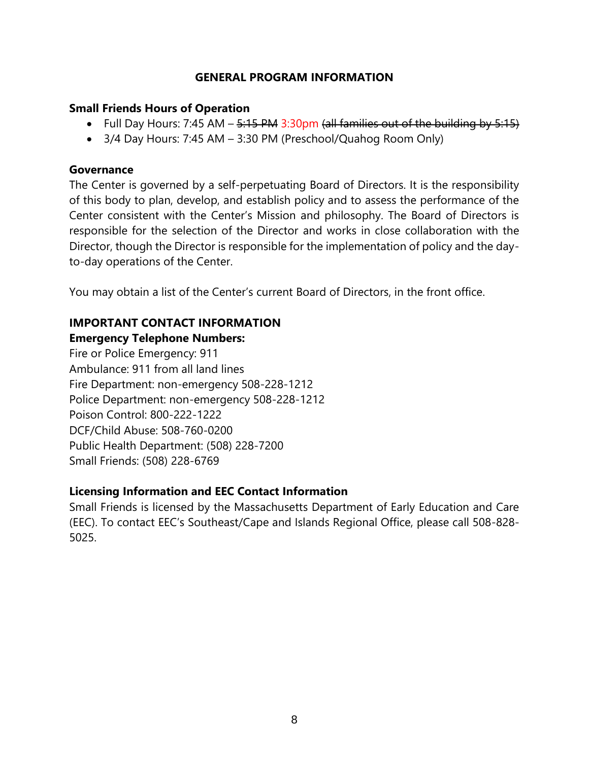## **GENERAL PROGRAM INFORMATION**

#### **Small Friends Hours of Operation**

- Full Day Hours: 7:45 AM  $-$  5:15 PM 3:30pm (all families out of the building by 5:15)
- 3/4 Day Hours: 7:45 AM 3:30 PM (Preschool/Quahog Room Only)

## **Governance**

The Center is governed by a self-perpetuating Board of Directors. It is the responsibility of this body to plan, develop, and establish policy and to assess the performance of the Center consistent with the Center's Mission and philosophy. The Board of Directors is responsible for the selection of the Director and works in close collaboration with the Director, though the Director is responsible for the implementation of policy and the dayto-day operations of the Center.

You may obtain a list of the Center's current Board of Directors, in the front office.

# **IMPORTANT CONTACT INFORMATION**

# **Emergency Telephone Numbers:**

Fire or Police Emergency: 911 Ambulance: 911 from all land lines Fire Department: non-emergency 508-228-1212 Police Department: non-emergency 508-228-1212 Poison Control: 800-222-1222 DCF/Child Abuse: 508-760-0200 Public Health Department: (508) 228-7200 Small Friends: (508) 228-6769

# **Licensing Information and EEC Contact Information**

Small Friends is licensed by the Massachusetts Department of Early Education and Care (EEC). To contact EEC's Southeast/Cape and Islands Regional Office, please call 508-828- 5025.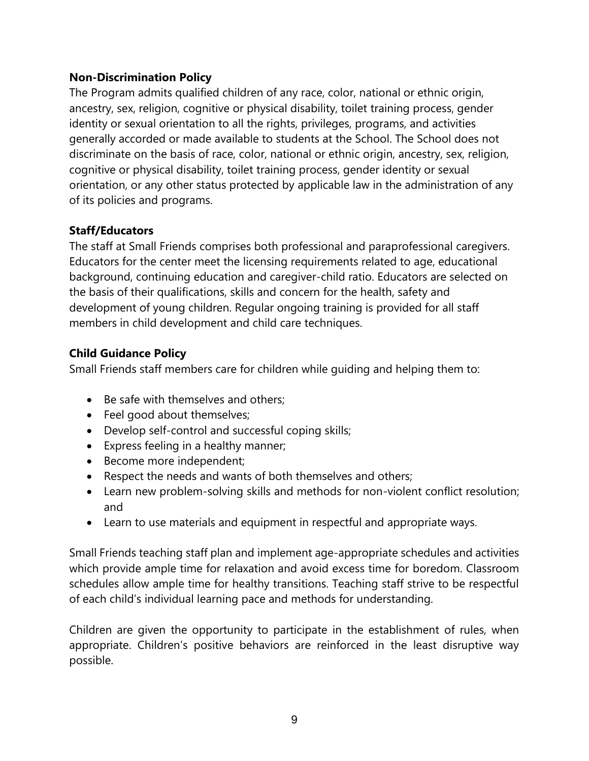# **Non-Discrimination Policy**

The Program admits qualified children of any race, color, national or ethnic origin, ancestry, sex, religion, cognitive or physical disability, toilet training process, gender identity or sexual orientation to all the rights, privileges, programs, and activities generally accorded or made available to students at the School. The School does not discriminate on the basis of race, color, national or ethnic origin, ancestry, sex, religion, cognitive or physical disability, toilet training process, gender identity or sexual orientation, or any other status protected by applicable law in the administration of any of its policies and programs.

# **Staff/Educators**

The staff at Small Friends comprises both professional and paraprofessional caregivers. Educators for the center meet the licensing requirements related to age, educational background, continuing education and caregiver-child ratio. Educators are selected on the basis of their qualifications, skills and concern for the health, safety and development of young children. Regular ongoing training is provided for all staff members in child development and child care techniques.

# **Child Guidance Policy**

Small Friends staff members care for children while guiding and helping them to:

- Be safe with themselves and others;
- Feel good about themselves;
- Develop self-control and successful coping skills;
- Express feeling in a healthy manner;
- Become more independent;
- Respect the needs and wants of both themselves and others;
- Learn new problem-solving skills and methods for non-violent conflict resolution; and
- Learn to use materials and equipment in respectful and appropriate ways.

Small Friends teaching staff plan and implement age-appropriate schedules and activities which provide ample time for relaxation and avoid excess time for boredom. Classroom schedules allow ample time for healthy transitions. Teaching staff strive to be respectful of each child's individual learning pace and methods for understanding.

Children are given the opportunity to participate in the establishment of rules, when appropriate. Children's positive behaviors are reinforced in the least disruptive way possible.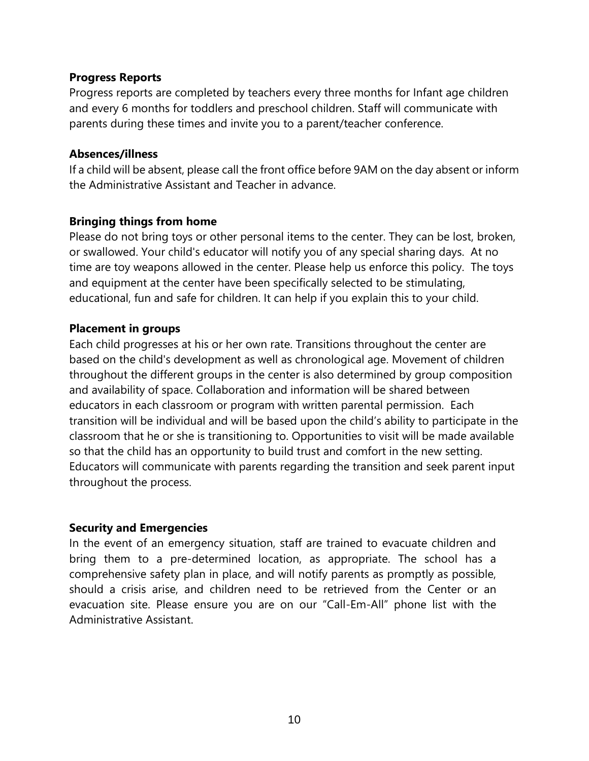### **Progress Reports**

Progress reports are completed by teachers every three months for Infant age children and every 6 months for toddlers and preschool children. Staff will communicate with parents during these times and invite you to a parent/teacher conference.

### **Absences/illness**

If a child will be absent, please call the front office before 9AM on the day absent or inform the Administrative Assistant and Teacher in advance.

# **Bringing things from home**

Please do not bring toys or other personal items to the center. They can be lost, broken, or swallowed. Your child's educator will notify you of any special sharing days. At no time are toy weapons allowed in the center. Please help us enforce this policy. The toys and equipment at the center have been specifically selected to be stimulating, educational, fun and safe for children. It can help if you explain this to your child.

### **Placement in groups**

Each child progresses at his or her own rate. Transitions throughout the center are based on the child's development as well as chronological age. Movement of children throughout the different groups in the center is also determined by group composition and availability of space. Collaboration and information will be shared between educators in each classroom or program with written parental permission. Each transition will be individual and will be based upon the child's ability to participate in the classroom that he or she is transitioning to. Opportunities to visit will be made available so that the child has an opportunity to build trust and comfort in the new setting. Educators will communicate with parents regarding the transition and seek parent input throughout the process.

#### **Security and Emergencies**

In the event of an emergency situation, staff are trained to evacuate children and bring them to a pre-determined location, as appropriate. The school has a comprehensive safety plan in place, and will notify parents as promptly as possible, should a crisis arise, and children need to be retrieved from the Center or an evacuation site. Please ensure you are on our "Call-Em-All" phone list with the Administrative Assistant.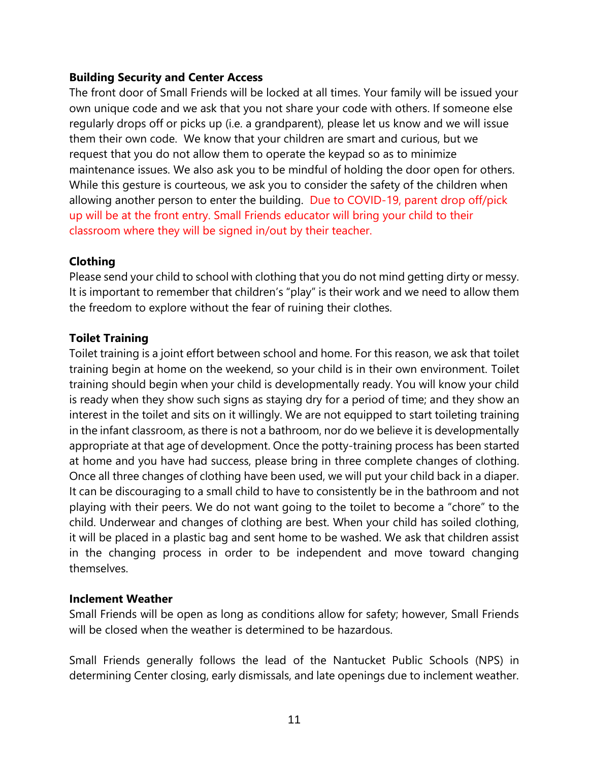# **Building Security and Center Access**

The front door of Small Friends will be locked at all times. Your family will be issued your own unique code and we ask that you not share your code with others. If someone else regularly drops off or picks up (i.e. a grandparent), please let us know and we will issue them their own code. We know that your children are smart and curious, but we request that you do not allow them to operate the keypad so as to minimize maintenance issues. We also ask you to be mindful of holding the door open for others. While this gesture is courteous, we ask you to consider the safety of the children when allowing another person to enter the building. Due to COVID-19, parent drop off/pick up will be at the front entry. Small Friends educator will bring your child to their classroom where they will be signed in/out by their teacher.

# **Clothing**

Please send your child to school with clothing that you do not mind getting dirty or messy. It is important to remember that children's "play" is their work and we need to allow them the freedom to explore without the fear of ruining their clothes.

# **Toilet Training**

Toilet training is a joint effort between school and home. For this reason, we ask that toilet training begin at home on the weekend, so your child is in their own environment. Toilet training should begin when your child is developmentally ready. You will know your child is ready when they show such signs as staying dry for a period of time; and they show an interest in the toilet and sits on it willingly. We are not equipped to start toileting training in the infant classroom, as there is not a bathroom, nor do we believe it is developmentally appropriate at that age of development. Once the potty-training process has been started at home and you have had success, please bring in three complete changes of clothing. Once all three changes of clothing have been used, we will put your child back in a diaper. It can be discouraging to a small child to have to consistently be in the bathroom and not playing with their peers. We do not want going to the toilet to become a "chore" to the child. Underwear and changes of clothing are best. When your child has soiled clothing, it will be placed in a plastic bag and sent home to be washed. We ask that children assist in the changing process in order to be independent and move toward changing themselves.

# **Inclement Weather**

Small Friends will be open as long as conditions allow for safety; however, Small Friends will be closed when the weather is determined to be hazardous.

Small Friends generally follows the lead of the Nantucket Public Schools (NPS) in determining Center closing, early dismissals, and late openings due to inclement weather.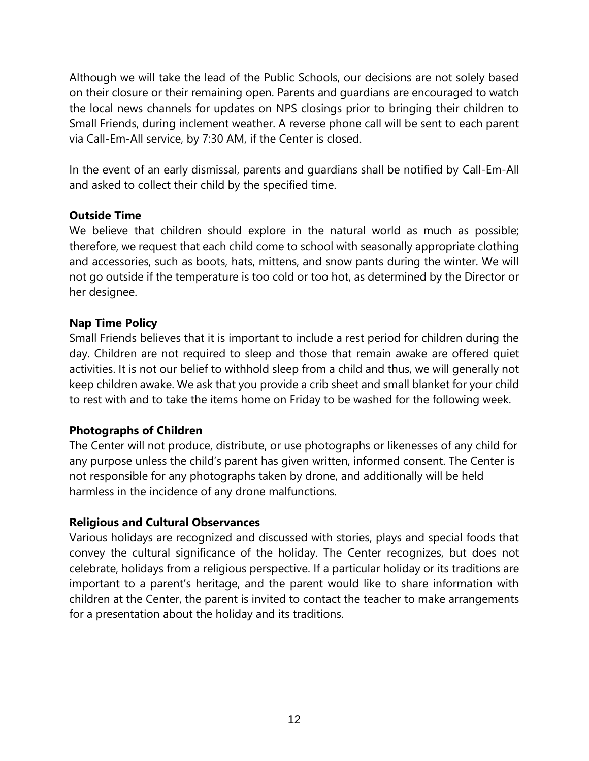Although we will take the lead of the Public Schools, our decisions are not solely based on their closure or their remaining open. Parents and guardians are encouraged to watch the local news channels for updates on NPS closings prior to bringing their children to Small Friends, during inclement weather. A reverse phone call will be sent to each parent via Call-Em-All service, by 7:30 AM, if the Center is closed.

In the event of an early dismissal, parents and guardians shall be notified by Call-Em-All and asked to collect their child by the specified time.

# **Outside Time**

We believe that children should explore in the natural world as much as possible; therefore, we request that each child come to school with seasonally appropriate clothing and accessories, such as boots, hats, mittens, and snow pants during the winter. We will not go outside if the temperature is too cold or too hot, as determined by the Director or her designee.

# **Nap Time Policy**

Small Friends believes that it is important to include a rest period for children during the day. Children are not required to sleep and those that remain awake are offered quiet activities. It is not our belief to withhold sleep from a child and thus, we will generally not keep children awake. We ask that you provide a crib sheet and small blanket for your child to rest with and to take the items home on Friday to be washed for the following week.

# **Photographs of Children**

The Center will not produce, distribute, or use photographs or likenesses of any child for any purpose unless the child's parent has given written, informed consent. The Center is not responsible for any photographs taken by drone, and additionally will be held harmless in the incidence of any drone malfunctions.

# **Religious and Cultural Observances**

Various holidays are recognized and discussed with stories, plays and special foods that convey the cultural significance of the holiday. The Center recognizes, but does not celebrate, holidays from a religious perspective. If a particular holiday or its traditions are important to a parent's heritage, and the parent would like to share information with children at the Center, the parent is invited to contact the teacher to make arrangements for a presentation about the holiday and its traditions.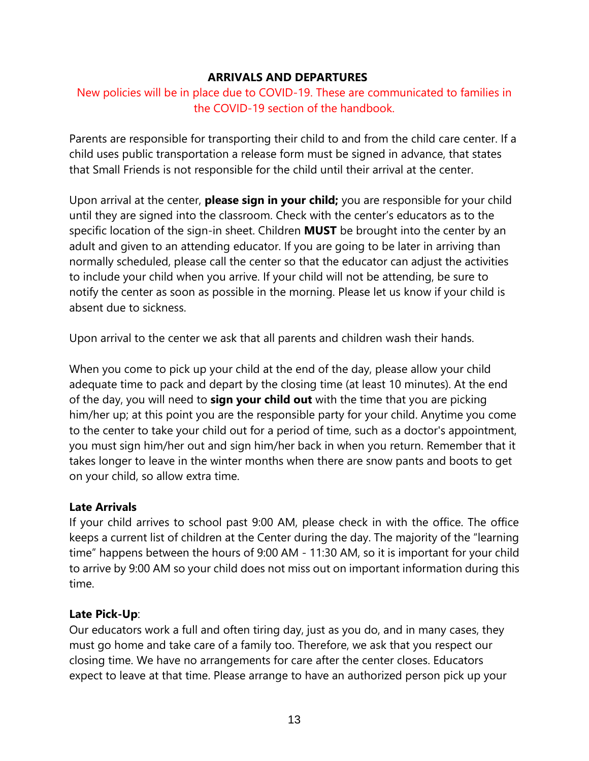#### **ARRIVALS AND DEPARTURES**

# New policies will be in place due to COVID-19. These are communicated to families in the COVID-19 section of the handbook.

Parents are responsible for transporting their child to and from the child care center. If a child uses public transportation a release form must be signed in advance, that states that Small Friends is not responsible for the child until their arrival at the center.

Upon arrival at the center, **please sign in your child;** you are responsible for your child until they are signed into the classroom. Check with the center's educators as to the specific location of the sign-in sheet. Children **MUST** be brought into the center by an adult and given to an attending educator. If you are going to be later in arriving than normally scheduled, please call the center so that the educator can adjust the activities to include your child when you arrive. If your child will not be attending, be sure to notify the center as soon as possible in the morning. Please let us know if your child is absent due to sickness.

Upon arrival to the center we ask that all parents and children wash their hands.

When you come to pick up your child at the end of the day, please allow your child adequate time to pack and depart by the closing time (at least 10 minutes). At the end of the day, you will need to **sign your child out** with the time that you are picking him/her up; at this point you are the responsible party for your child. Anytime you come to the center to take your child out for a period of time, such as a doctor's appointment, you must sign him/her out and sign him/her back in when you return. Remember that it takes longer to leave in the winter months when there are snow pants and boots to get on your child, so allow extra time.

# **Late Arrivals**

If your child arrives to school past 9:00 AM, please check in with the office. The office keeps a current list of children at the Center during the day. The majority of the "learning time" happens between the hours of 9:00 AM - 11:30 AM, so it is important for your child to arrive by 9:00 AM so your child does not miss out on important information during this time.

# **Late Pick-Up**:

Our educators work a full and often tiring day, just as you do, and in many cases, they must go home and take care of a family too. Therefore, we ask that you respect our closing time. We have no arrangements for care after the center closes. Educators expect to leave at that time. Please arrange to have an authorized person pick up your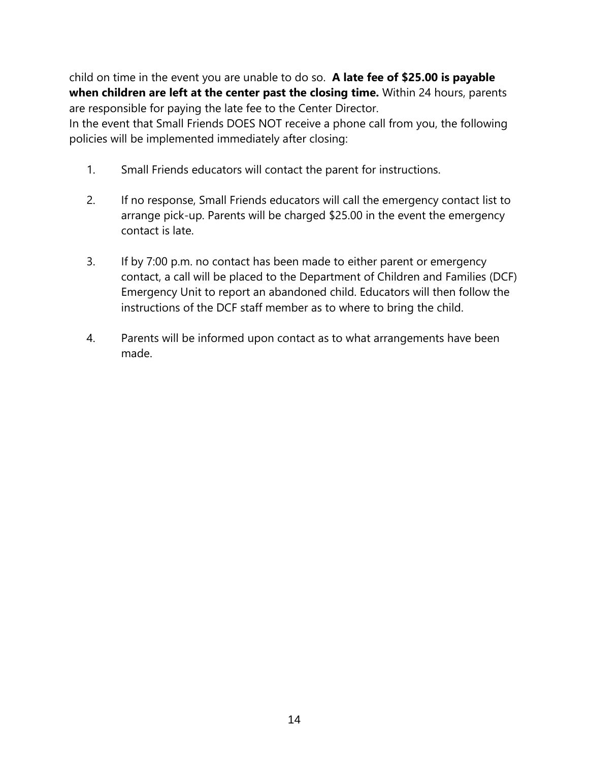child on time in the event you are unable to do so. **A late fee of \$25.00 is payable when children are left at the center past the closing time.** Within 24 hours, parents are responsible for paying the late fee to the Center Director.

In the event that Small Friends DOES NOT receive a phone call from you, the following policies will be implemented immediately after closing:

- 1. Small Friends educators will contact the parent for instructions.
- 2. If no response, Small Friends educators will call the emergency contact list to arrange pick-up. Parents will be charged \$25.00 in the event the emergency contact is late.
- 3. If by 7:00 p.m. no contact has been made to either parent or emergency contact, a call will be placed to the Department of Children and Families (DCF) Emergency Unit to report an abandoned child. Educators will then follow the instructions of the DCF staff member as to where to bring the child.
- 4. Parents will be informed upon contact as to what arrangements have been made.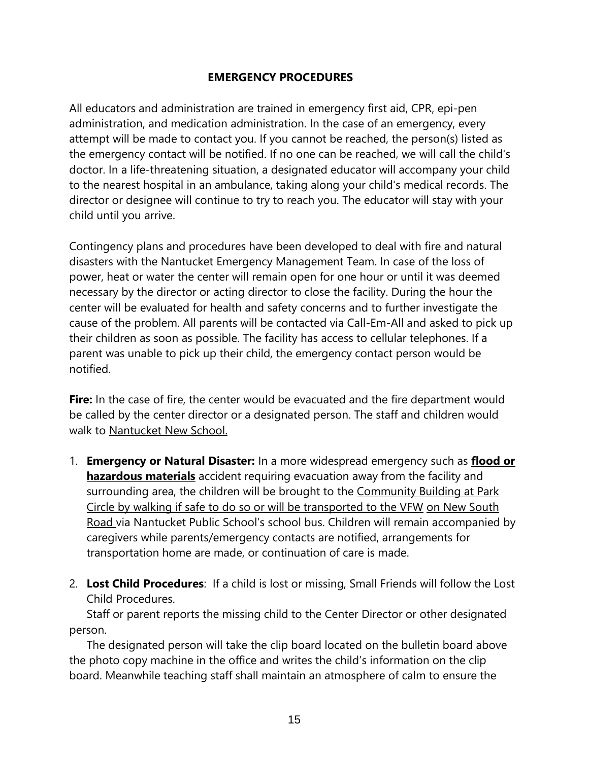# **EMERGENCY PROCEDURES**

All educators and administration are trained in emergency first aid, CPR, epi-pen administration, and medication administration. In the case of an emergency, every attempt will be made to contact you. If you cannot be reached, the person(s) listed as the emergency contact will be notified. If no one can be reached, we will call the child's doctor. In a life-threatening situation, a designated educator will accompany your child to the nearest hospital in an ambulance, taking along your child's medical records. The director or designee will continue to try to reach you. The educator will stay with your child until you arrive.

Contingency plans and procedures have been developed to deal with fire and natural disasters with the Nantucket Emergency Management Team. In case of the loss of power, heat or water the center will remain open for one hour or until it was deemed necessary by the director or acting director to close the facility. During the hour the center will be evaluated for health and safety concerns and to further investigate the cause of the problem. All parents will be contacted via Call-Em-All and asked to pick up their children as soon as possible. The facility has access to cellular telephones. If a parent was unable to pick up their child, the emergency contact person would be notified.

Fire: In the case of fire, the center would be evacuated and the fire department would be called by the center director or a designated person. The staff and children would walk to Nantucket New School.

- 1. **Emergency or Natural Disaster:** In a more widespread emergency such as **flood or hazardous materials** accident requiring evacuation away from the facility and surrounding area, the children will be brought to the Community Building at Park Circle by walking if safe to do so or will be transported to the VFW on New South Road via Nantucket Public School's school bus. Children will remain accompanied by caregivers while parents/emergency contacts are notified, arrangements for transportation home are made, or continuation of care is made.
- 2. **Lost Child Procedures**: If a child is lost or missing, Small Friends will follow the Lost Child Procedures.

Staff or parent reports the missing child to the Center Director or other designated person.

The designated person will take the clip board located on the bulletin board above the photo copy machine in the office and writes the child's information on the clip board. Meanwhile teaching staff shall maintain an atmosphere of calm to ensure the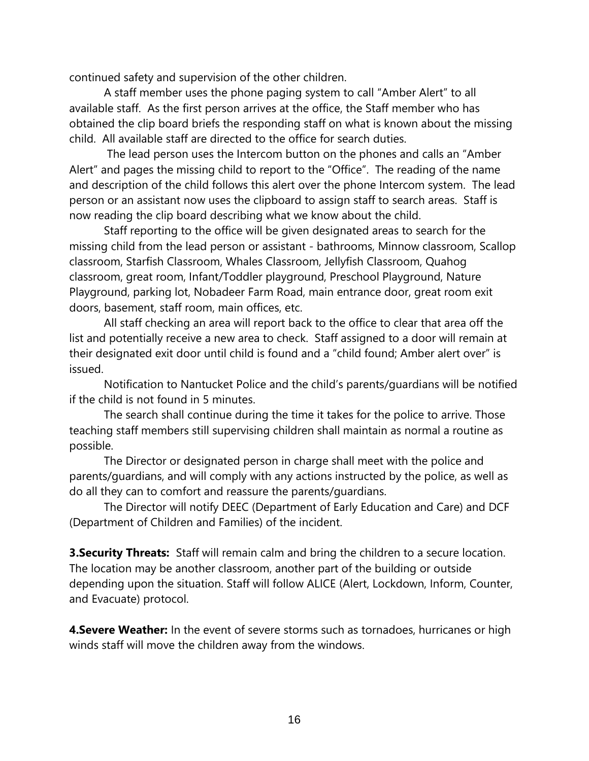continued safety and supervision of the other children.

A staff member uses the phone paging system to call "Amber Alert" to all available staff. As the first person arrives at the office, the Staff member who has obtained the clip board briefs the responding staff on what is known about the missing child. All available staff are directed to the office for search duties.

The lead person uses the Intercom button on the phones and calls an "Amber Alert" and pages the missing child to report to the "Office". The reading of the name and description of the child follows this alert over the phone Intercom system. The lead person or an assistant now uses the clipboard to assign staff to search areas. Staff is now reading the clip board describing what we know about the child.

Staff reporting to the office will be given designated areas to search for the missing child from the lead person or assistant - bathrooms, Minnow classroom, Scallop classroom, Starfish Classroom, Whales Classroom, Jellyfish Classroom, Quahog classroom, great room, Infant/Toddler playground, Preschool Playground, Nature Playground, parking lot, Nobadeer Farm Road, main entrance door, great room exit doors, basement, staff room, main offices, etc.

All staff checking an area will report back to the office to clear that area off the list and potentially receive a new area to check. Staff assigned to a door will remain at their designated exit door until child is found and a "child found; Amber alert over" is issued.

Notification to Nantucket Police and the child's parents/guardians will be notified if the child is not found in 5 minutes.

The search shall continue during the time it takes for the police to arrive. Those teaching staff members still supervising children shall maintain as normal a routine as possible.

The Director or designated person in charge shall meet with the police and parents/guardians, and will comply with any actions instructed by the police, as well as do all they can to comfort and reassure the parents/guardians.

The Director will notify DEEC (Department of Early Education and Care) and DCF (Department of Children and Families) of the incident.

**3. Security Threats:** Staff will remain calm and bring the children to a secure location. The location may be another classroom, another part of the building or outside depending upon the situation. Staff will follow ALICE (Alert, Lockdown, Inform, Counter, and Evacuate) protocol.

**4. Severe Weather:** In the event of severe storms such as tornadoes, hurricanes or high winds staff will move the children away from the windows.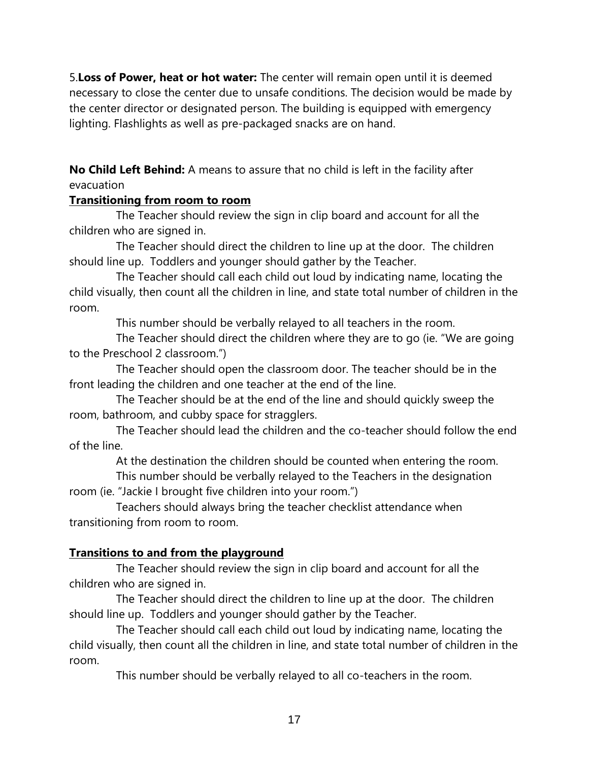5.**Loss of Power, heat or hot water:** The center will remain open until it is deemed necessary to close the center due to unsafe conditions. The decision would be made by the center director or designated person. The building is equipped with emergency lighting. Flashlights as well as pre-packaged snacks are on hand.

**No Child Left Behind:** A means to assure that no child is left in the facility after evacuation

# **Transitioning from room to room**

The Teacher should review the sign in clip board and account for all the children who are signed in.

The Teacher should direct the children to line up at the door. The children should line up. Toddlers and younger should gather by the Teacher.

The Teacher should call each child out loud by indicating name, locating the child visually, then count all the children in line, and state total number of children in the room.

This number should be verbally relayed to all teachers in the room.

The Teacher should direct the children where they are to go (ie. "We are going to the Preschool 2 classroom.")

The Teacher should open the classroom door. The teacher should be in the front leading the children and one teacher at the end of the line.

The Teacher should be at the end of the line and should quickly sweep the room, bathroom, and cubby space for stragglers.

The Teacher should lead the children and the co-teacher should follow the end of the line.

At the destination the children should be counted when entering the room.

This number should be verbally relayed to the Teachers in the designation room (ie. "Jackie I brought five children into your room.")

Teachers should always bring the teacher checklist attendance when transitioning from room to room.

# **Transitions to and from the playground**

The Teacher should review the sign in clip board and account for all the children who are signed in.

The Teacher should direct the children to line up at the door. The children should line up. Toddlers and younger should gather by the Teacher.

The Teacher should call each child out loud by indicating name, locating the child visually, then count all the children in line, and state total number of children in the room.

This number should be verbally relayed to all co-teachers in the room.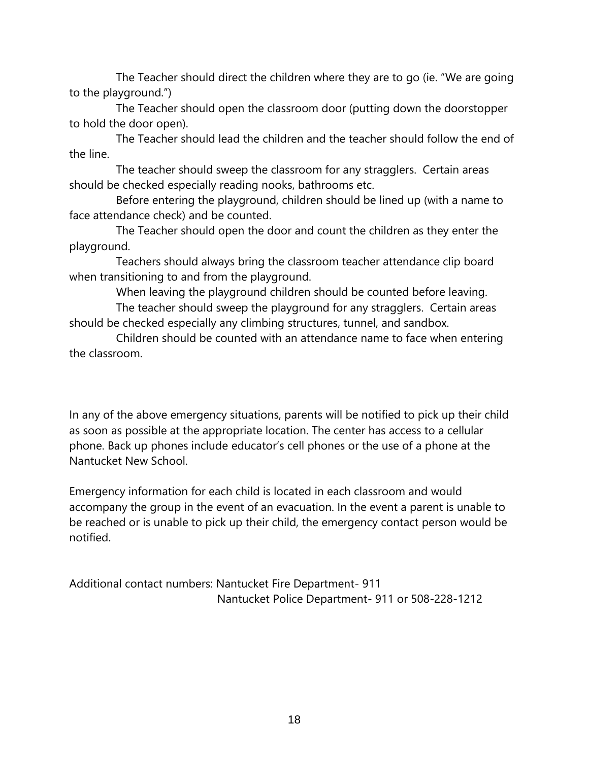The Teacher should direct the children where they are to go (ie. "We are going to the playground.")

The Teacher should open the classroom door (putting down the doorstopper to hold the door open).

The Teacher should lead the children and the teacher should follow the end of the line.

The teacher should sweep the classroom for any stragglers. Certain areas should be checked especially reading nooks, bathrooms etc.

Before entering the playground, children should be lined up (with a name to face attendance check) and be counted.

The Teacher should open the door and count the children as they enter the playground.

Teachers should always bring the classroom teacher attendance clip board when transitioning to and from the playground.

When leaving the playground children should be counted before leaving.

The teacher should sweep the playground for any stragglers. Certain areas should be checked especially any climbing structures, tunnel, and sandbox.

Children should be counted with an attendance name to face when entering the classroom.

In any of the above emergency situations, parents will be notified to pick up their child as soon as possible at the appropriate location. The center has access to a cellular phone. Back up phones include educator's cell phones or the use of a phone at the Nantucket New School.

Emergency information for each child is located in each classroom and would accompany the group in the event of an evacuation. In the event a parent is unable to be reached or is unable to pick up their child, the emergency contact person would be notified.

Additional contact numbers: Nantucket Fire Department- 911 Nantucket Police Department- 911 or 508-228-1212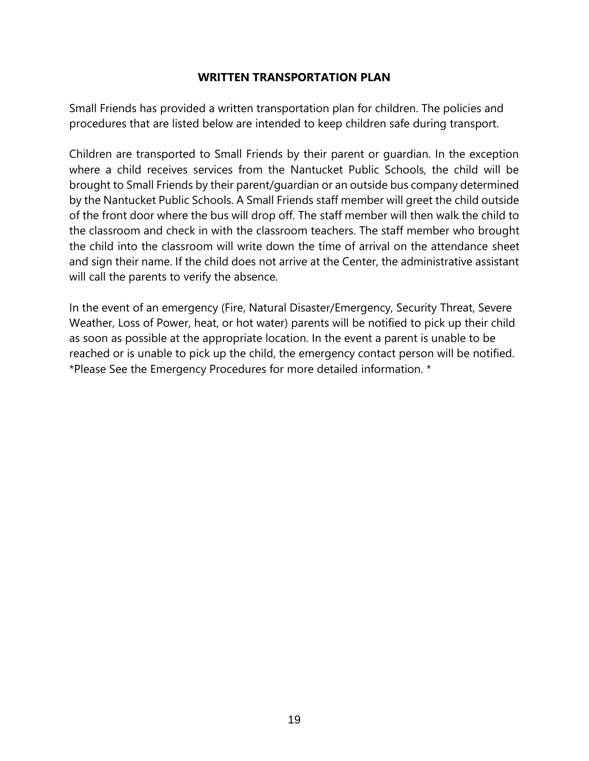#### **WRITTEN TRANSPORTATION PLAN**

Small Friends has provided a written transportation plan for children. The policies and procedures that are listed below are intended to keep children safe during transport.

Children are transported to Small Friends by their parent or guardian. In the exception where a child receives services from the Nantucket Public Schools, the child will be brought to Small Friends by their parent/guardian or an outside bus company determined by the Nantucket Public Schools. A Small Friends staff member will greet the child outside of the front door where the bus will drop off. The staff member will then walk the child to the classroom and check in with the classroom teachers. The staff member who brought the child into the classroom will write down the time of arrival on the attendance sheet and sign their name. If the child does not arrive at the Center, the administrative assistant will call the parents to verify the absence.

In the event of an emergency (Fire, Natural Disaster/Emergency, Security Threat, Severe Weather, Loss of Power, heat, or hot water) parents will be notified to pick up their child as soon as possible at the appropriate location. In the event a parent is unable to be reached or is unable to pick up the child, the emergency contact person will be notified. \*Please See the Emergency Procedures for more detailed information. \*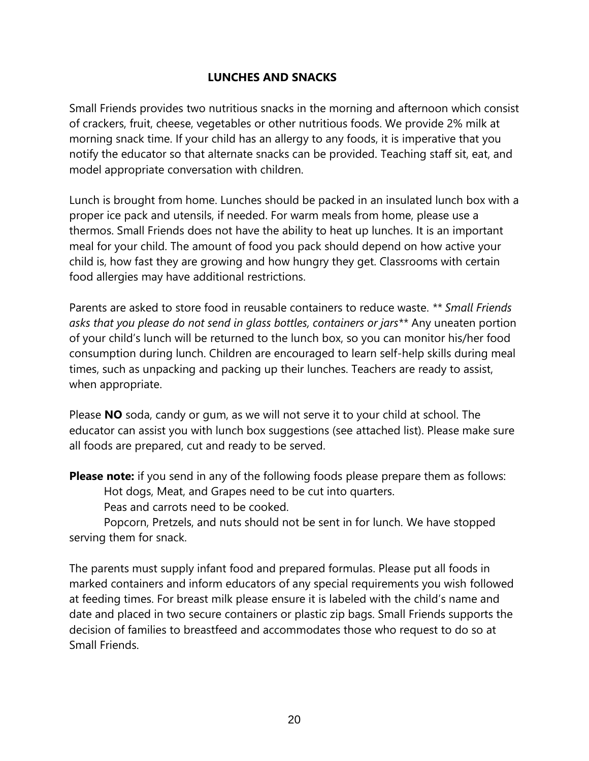# **LUNCHES AND SNACKS**

Small Friends provides two nutritious snacks in the morning and afternoon which consist of crackers, fruit, cheese, vegetables or other nutritious foods. We provide 2% milk at morning snack time. If your child has an allergy to any foods, it is imperative that you notify the educator so that alternate snacks can be provided. Teaching staff sit, eat, and model appropriate conversation with children.

Lunch is brought from home. Lunches should be packed in an insulated lunch box with a proper ice pack and utensils, if needed. For warm meals from home, please use a thermos. Small Friends does not have the ability to heat up lunches. It is an important meal for your child. The amount of food you pack should depend on how active your child is, how fast they are growing and how hungry they get. Classrooms with certain food allergies may have additional restrictions.

Parents are asked to store food in reusable containers to reduce waste. *\*\* Small Friends asks that you please do not send in glass bottles, containers or jars\*\** Any uneaten portion of your child's lunch will be returned to the lunch box, so you can monitor his/her food consumption during lunch. Children are encouraged to learn self-help skills during meal times, such as unpacking and packing up their lunches. Teachers are ready to assist, when appropriate.

Please **NO** soda, candy or gum, as we will not serve it to your child at school. The educator can assist you with lunch box suggestions (see attached list). Please make sure all foods are prepared, cut and ready to be served.

**Please note:** if you send in any of the following foods please prepare them as follows: Hot dogs, Meat, and Grapes need to be cut into quarters.

Peas and carrots need to be cooked.

Popcorn, Pretzels, and nuts should not be sent in for lunch. We have stopped serving them for snack.

The parents must supply infant food and prepared formulas. Please put all foods in marked containers and inform educators of any special requirements you wish followed at feeding times. For breast milk please ensure it is labeled with the child's name and date and placed in two secure containers or plastic zip bags. Small Friends supports the decision of families to breastfeed and accommodates those who request to do so at Small Friends.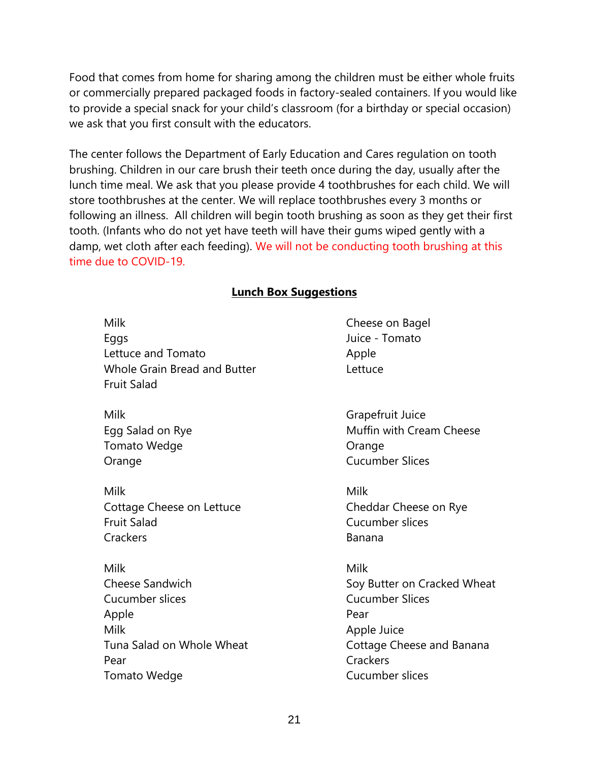Food that comes from home for sharing among the children must be either whole fruits or commercially prepared packaged foods in factory-sealed containers. If you would like to provide a special snack for your child's classroom (for a birthday or special occasion) we ask that you first consult with the educators.

The center follows the Department of Early Education and Cares regulation on tooth brushing. Children in our care brush their teeth once during the day, usually after the lunch time meal. We ask that you please provide 4 toothbrushes for each child. We will store toothbrushes at the center. We will replace toothbrushes every 3 months or following an illness. All children will begin tooth brushing as soon as they get their first tooth. (Infants who do not yet have teeth will have their gums wiped gently with a damp, wet cloth after each feeding). We will not be conducting tooth brushing at this time due to COVID-19.

# **Lunch Box Suggestions**

Milk Cheese on Bagel Eggs **Eggs** Juice - Tomato Lettuce and Tomato **Apple** Whole Grain Bread and Butter **Lettuce** Fruit Salad Milk Grapefruit Juice Egg Salad on Rye **Music Community** Music Music Music Music Cream Cheese Tomato Wedge **Canadian Community** Orange Orange Cucumber Slices Milk Milk Cottage Cheese on Lettuce Cheese on Rye Fruit Salad Cucumber slices Crackers **Banana** Milk Milk Cheese Sandwich Soy Butter on Cracked Wheat Cucumber slices Cucumber Slices Apple Pear Milk **Apple Juice** Tuna Salad on Whole Wheat Cottage Cheese and Banana Pear Crackers Tomato Wedge Tomato Wedge Cucumber slices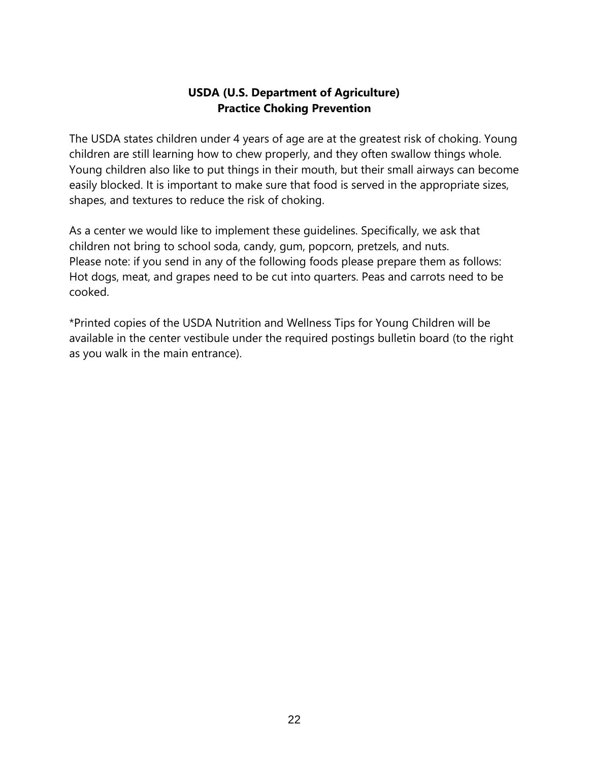# **USDA (U.S. Department of Agriculture) Practice Choking Prevention**

The USDA states children under 4 years of age are at the greatest risk of choking. Young children are still learning how to chew properly, and they often swallow things whole. Young children also like to put things in their mouth, but their small airways can become easily blocked. It is important to make sure that food is served in the appropriate sizes, shapes, and textures to reduce the risk of choking.

As a center we would like to implement these guidelines. Specifically, we ask that children not bring to school soda, candy, gum, popcorn, pretzels, and nuts. Please note: if you send in any of the following foods please prepare them as follows: Hot dogs, meat, and grapes need to be cut into quarters. Peas and carrots need to be cooked.

\*Printed copies of the USDA Nutrition and Wellness Tips for Young Children will be available in the center vestibule under the required postings bulletin board (to the right as you walk in the main entrance).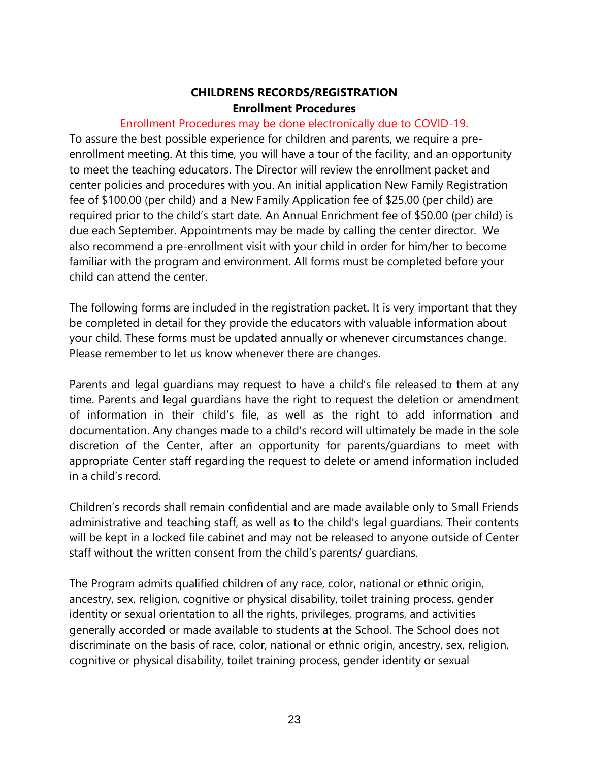## **CHILDRENS RECORDS/REGISTRATION Enrollment Procedures**

## Enrollment Procedures may be done electronically due to COVID-19.

To assure the best possible experience for children and parents, we require a preenrollment meeting. At this time, you will have a tour of the facility, and an opportunity to meet the teaching educators. The Director will review the enrollment packet and center policies and procedures with you. An initial application New Family Registration fee of \$100.00 (per child) and a New Family Application fee of \$25.00 (per child) are required prior to the child's start date. An Annual Enrichment fee of \$50.00 (per child) is due each September. Appointments may be made by calling the center director. We also recommend a pre-enrollment visit with your child in order for him/her to become familiar with the program and environment. All forms must be completed before your child can attend the center.

The following forms are included in the registration packet. It is very important that they be completed in detail for they provide the educators with valuable information about your child. These forms must be updated annually or whenever circumstances change. Please remember to let us know whenever there are changes.

Parents and legal guardians may request to have a child's file released to them at any time. Parents and legal guardians have the right to request the deletion or amendment of information in their child's file, as well as the right to add information and documentation. Any changes made to a child's record will ultimately be made in the sole discretion of the Center, after an opportunity for parents/guardians to meet with appropriate Center staff regarding the request to delete or amend information included in a child's record.

Children's records shall remain confidential and are made available only to Small Friends administrative and teaching staff, as well as to the child's legal guardians. Their contents will be kept in a locked file cabinet and may not be released to anyone outside of Center staff without the written consent from the child's parents/ guardians.

The Program admits qualified children of any race, color, national or ethnic origin, ancestry, sex, religion, cognitive or physical disability, toilet training process, gender identity or sexual orientation to all the rights, privileges, programs, and activities generally accorded or made available to students at the School. The School does not discriminate on the basis of race, color, national or ethnic origin, ancestry, sex, religion, cognitive or physical disability, toilet training process, gender identity or sexual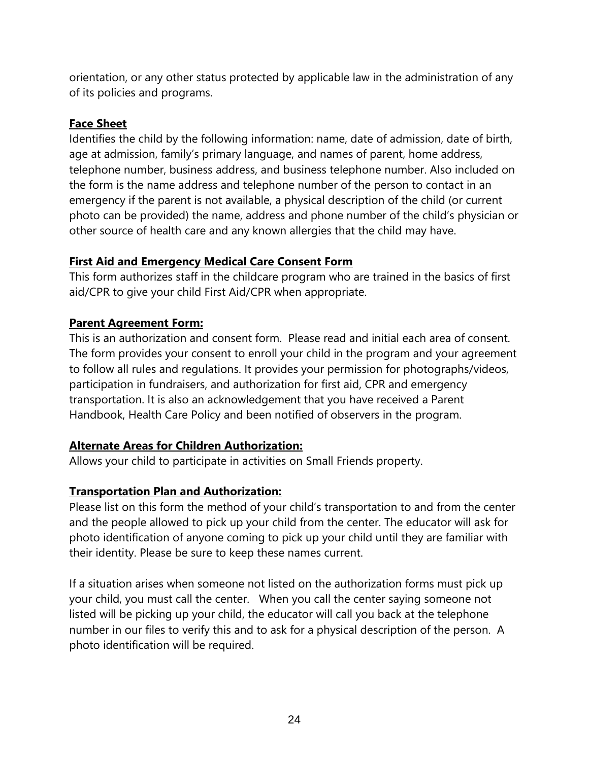orientation, or any other status protected by applicable law in the administration of any of its policies and programs.

# **Face Sheet**

Identifies the child by the following information: name, date of admission, date of birth, age at admission, family's primary language, and names of parent, home address, telephone number, business address, and business telephone number. Also included on the form is the name address and telephone number of the person to contact in an emergency if the parent is not available, a physical description of the child (or current photo can be provided) the name, address and phone number of the child's physician or other source of health care and any known allergies that the child may have.

# **First Aid and Emergency Medical Care Consent Form**

This form authorizes staff in the childcare program who are trained in the basics of first aid/CPR to give your child First Aid/CPR when appropriate.

# **Parent Agreement Form:**

This is an authorization and consent form. Please read and initial each area of consent. The form provides your consent to enroll your child in the program and your agreement to follow all rules and regulations. It provides your permission for photographs/videos, participation in fundraisers, and authorization for first aid, CPR and emergency transportation. It is also an acknowledgement that you have received a Parent Handbook, Health Care Policy and been notified of observers in the program.

# **Alternate Areas for Children Authorization:**

Allows your child to participate in activities on Small Friends property.

# **Transportation Plan and Authorization:**

Please list on this form the method of your child's transportation to and from the center and the people allowed to pick up your child from the center. The educator will ask for photo identification of anyone coming to pick up your child until they are familiar with their identity. Please be sure to keep these names current.

If a situation arises when someone not listed on the authorization forms must pick up your child, you must call the center. When you call the center saying someone not listed will be picking up your child, the educator will call you back at the telephone number in our files to verify this and to ask for a physical description of the person. A photo identification will be required.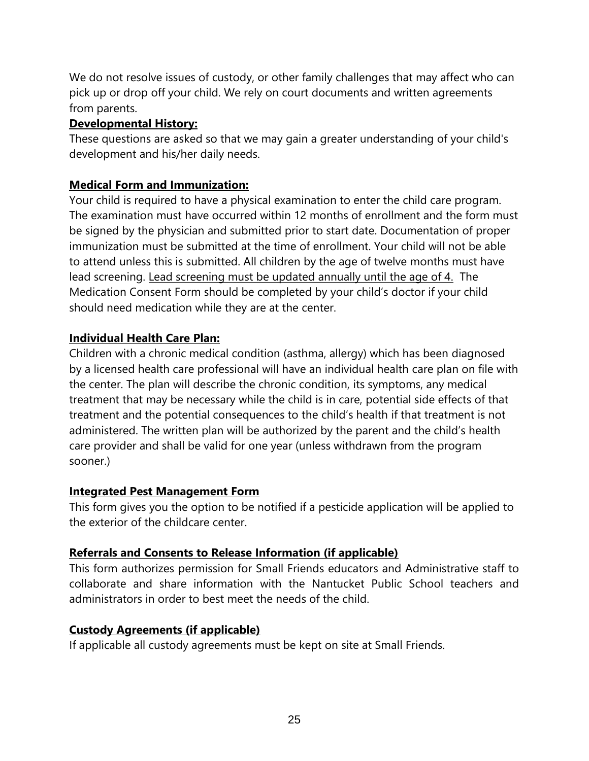We do not resolve issues of custody, or other family challenges that may affect who can pick up or drop off your child. We rely on court documents and written agreements from parents.

# **Developmental History:**

These questions are asked so that we may gain a greater understanding of your child's development and his/her daily needs.

# **Medical Form and Immunization:**

Your child is required to have a physical examination to enter the child care program. The examination must have occurred within 12 months of enrollment and the form must be signed by the physician and submitted prior to start date. Documentation of proper immunization must be submitted at the time of enrollment. Your child will not be able to attend unless this is submitted. All children by the age of twelve months must have lead screening. Lead screening must be updated annually until the age of 4. The Medication Consent Form should be completed by your child's doctor if your child should need medication while they are at the center.

# **Individual Health Care Plan:**

Children with a chronic medical condition (asthma, allergy) which has been diagnosed by a licensed health care professional will have an individual health care plan on file with the center. The plan will describe the chronic condition, its symptoms, any medical treatment that may be necessary while the child is in care, potential side effects of that treatment and the potential consequences to the child's health if that treatment is not administered. The written plan will be authorized by the parent and the child's health care provider and shall be valid for one year (unless withdrawn from the program sooner.)

# **Integrated Pest Management Form**

This form gives you the option to be notified if a pesticide application will be applied to the exterior of the childcare center.

# **Referrals and Consents to Release Information (if applicable)**

This form authorizes permission for Small Friends educators and Administrative staff to collaborate and share information with the Nantucket Public School teachers and administrators in order to best meet the needs of the child.

# **Custody Agreements (if applicable)**

If applicable all custody agreements must be kept on site at Small Friends.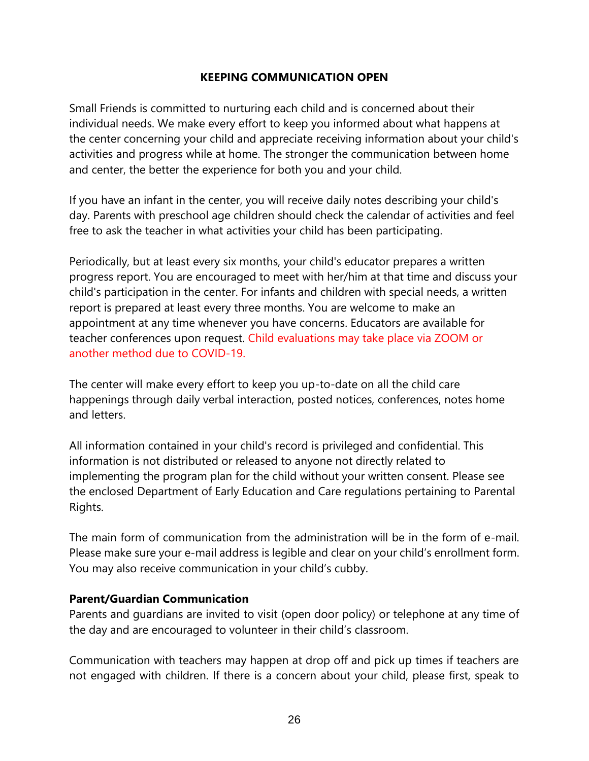## **KEEPING COMMUNICATION OPEN**

Small Friends is committed to nurturing each child and is concerned about their individual needs. We make every effort to keep you informed about what happens at the center concerning your child and appreciate receiving information about your child's activities and progress while at home. The stronger the communication between home and center, the better the experience for both you and your child.

If you have an infant in the center, you will receive daily notes describing your child's day. Parents with preschool age children should check the calendar of activities and feel free to ask the teacher in what activities your child has been participating.

Periodically, but at least every six months, your child's educator prepares a written progress report. You are encouraged to meet with her/him at that time and discuss your child's participation in the center. For infants and children with special needs, a written report is prepared at least every three months. You are welcome to make an appointment at any time whenever you have concerns. Educators are available for teacher conferences upon request. Child evaluations may take place via ZOOM or another method due to COVID-19.

The center will make every effort to keep you up-to-date on all the child care happenings through daily verbal interaction, posted notices, conferences, notes home and letters.

All information contained in your child's record is privileged and confidential. This information is not distributed or released to anyone not directly related to implementing the program plan for the child without your written consent. Please see the enclosed Department of Early Education and Care regulations pertaining to Parental Rights.

The main form of communication from the administration will be in the form of e-mail. Please make sure your e-mail address is legible and clear on your child's enrollment form. You may also receive communication in your child's cubby.

#### **Parent/Guardian Communication**

Parents and guardians are invited to visit (open door policy) or telephone at any time of the day and are encouraged to volunteer in their child's classroom.

Communication with teachers may happen at drop off and pick up times if teachers are not engaged with children. If there is a concern about your child, please first, speak to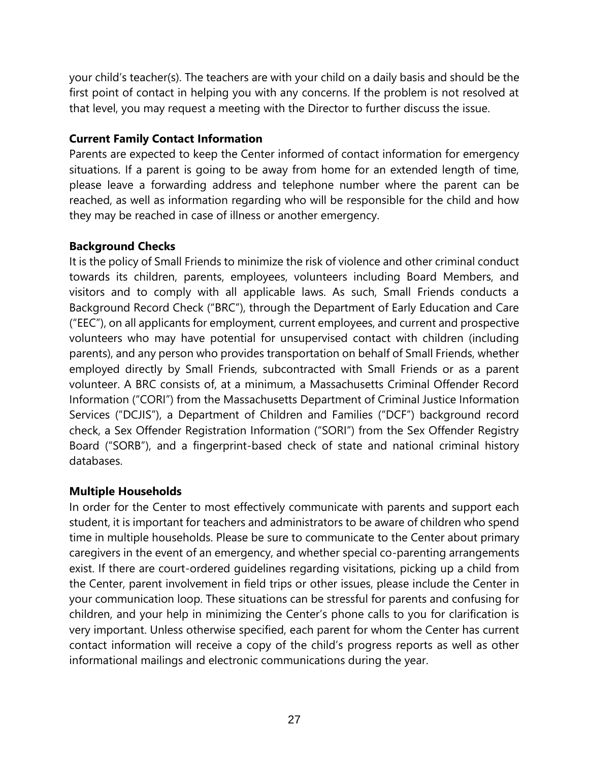your child's teacher(s). The teachers are with your child on a daily basis and should be the first point of contact in helping you with any concerns. If the problem is not resolved at that level, you may request a meeting with the Director to further discuss the issue.

# **Current Family Contact Information**

Parents are expected to keep the Center informed of contact information for emergency situations. If a parent is going to be away from home for an extended length of time, please leave a forwarding address and telephone number where the parent can be reached, as well as information regarding who will be responsible for the child and how they may be reached in case of illness or another emergency.

# **Background Checks**

It is the policy of Small Friends to minimize the risk of violence and other criminal conduct towards its children, parents, employees, volunteers including Board Members, and visitors and to comply with all applicable laws. As such, Small Friends conducts a Background Record Check ("BRC"), through the Department of Early Education and Care ("EEC"), on all applicants for employment, current employees, and current and prospective volunteers who may have potential for unsupervised contact with children (including parents), and any person who provides transportation on behalf of Small Friends, whether employed directly by Small Friends, subcontracted with Small Friends or as a parent volunteer. A BRC consists of, at a minimum, a Massachusetts Criminal Offender Record Information ("CORI") from the Massachusetts Department of Criminal Justice Information Services ("DCJIS"), a Department of Children and Families ("DCF") background record check, a Sex Offender Registration Information ("SORI") from the Sex Offender Registry Board ("SORB"), and a fingerprint-based check of state and national criminal history databases.

# **Multiple Households**

In order for the Center to most effectively communicate with parents and support each student, it is important for teachers and administrators to be aware of children who spend time in multiple households. Please be sure to communicate to the Center about primary caregivers in the event of an emergency, and whether special co-parenting arrangements exist. If there are court-ordered guidelines regarding visitations, picking up a child from the Center, parent involvement in field trips or other issues, please include the Center in your communication loop. These situations can be stressful for parents and confusing for children, and your help in minimizing the Center's phone calls to you for clarification is very important. Unless otherwise specified, each parent for whom the Center has current contact information will receive a copy of the child's progress reports as well as other informational mailings and electronic communications during the year.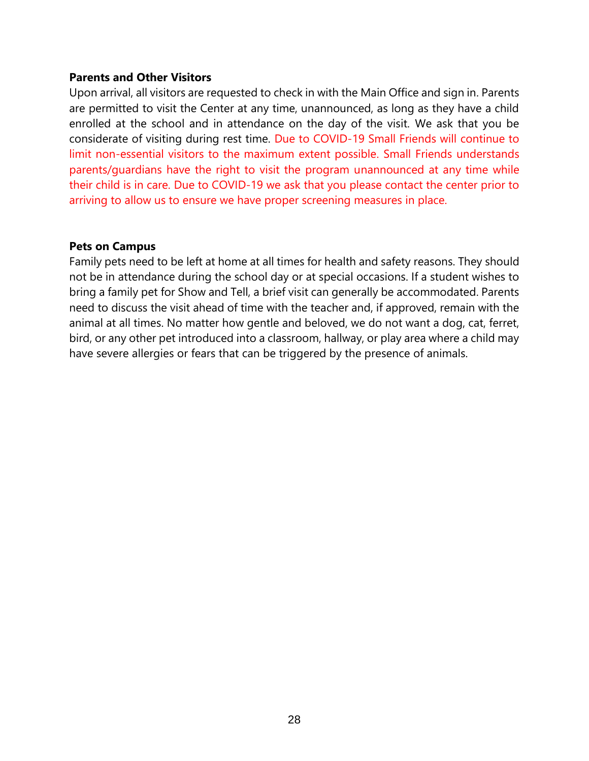#### **Parents and Other Visitors**

Upon arrival, all visitors are requested to check in with the Main Office and sign in. Parents are permitted to visit the Center at any time, unannounced, as long as they have a child enrolled at the school and in attendance on the day of the visit. We ask that you be considerate of visiting during rest time. Due to COVID-19 Small Friends will continue to limit non-essential visitors to the maximum extent possible. Small Friends understands parents/guardians have the right to visit the program unannounced at any time while their child is in care. Due to COVID-19 we ask that you please contact the center prior to arriving to allow us to ensure we have proper screening measures in place.

### **Pets on Campus**

Family pets need to be left at home at all times for health and safety reasons. They should not be in attendance during the school day or at special occasions. If a student wishes to bring a family pet for Show and Tell, a brief visit can generally be accommodated. Parents need to discuss the visit ahead of time with the teacher and, if approved, remain with the animal at all times. No matter how gentle and beloved, we do not want a dog, cat, ferret, bird, or any other pet introduced into a classroom, hallway, or play area where a child may have severe allergies or fears that can be triggered by the presence of animals.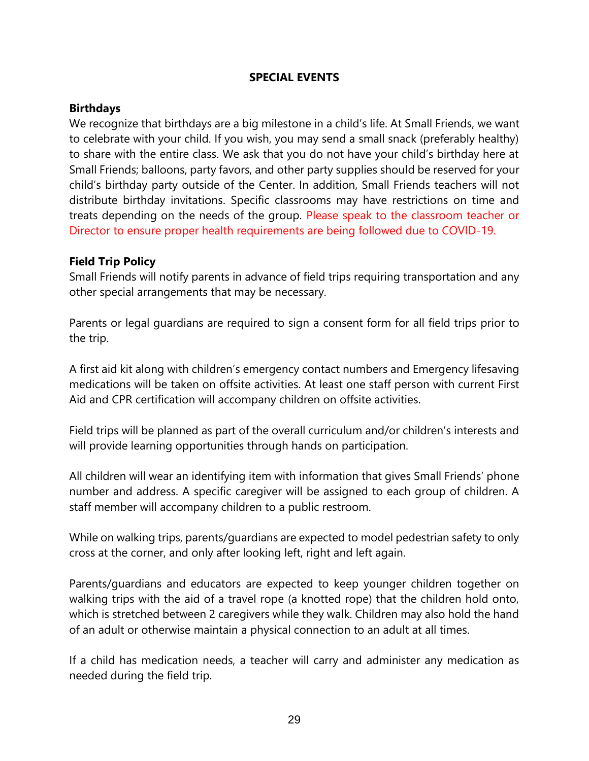### **SPECIAL EVENTS**

### **Birthdays**

We recognize that birthdays are a big milestone in a child's life. At Small Friends, we want to celebrate with your child. If you wish, you may send a small snack (preferably healthy) to share with the entire class. We ask that you do not have your child's birthday here at Small Friends; balloons, party favors, and other party supplies should be reserved for your child's birthday party outside of the Center. In addition, Small Friends teachers will not distribute birthday invitations. Specific classrooms may have restrictions on time and treats depending on the needs of the group. Please speak to the classroom teacher or Director to ensure proper health requirements are being followed due to COVID-19.

### **Field Trip Policy**

Small Friends will notify parents in advance of field trips requiring transportation and any other special arrangements that may be necessary.

Parents or legal guardians are required to sign a consent form for all field trips prior to the trip.

A first aid kit along with children's emergency contact numbers and Emergency lifesaving medications will be taken on offsite activities. At least one staff person with current First Aid and CPR certification will accompany children on offsite activities.

Field trips will be planned as part of the overall curriculum and/or children's interests and will provide learning opportunities through hands on participation.

All children will wear an identifying item with information that gives Small Friends' phone number and address. A specific caregiver will be assigned to each group of children. A staff member will accompany children to a public restroom.

While on walking trips, parents/guardians are expected to model pedestrian safety to only cross at the corner, and only after looking left, right and left again.

Parents/guardians and educators are expected to keep younger children together on walking trips with the aid of a travel rope (a knotted rope) that the children hold onto, which is stretched between 2 caregivers while they walk. Children may also hold the hand of an adult or otherwise maintain a physical connection to an adult at all times.

If a child has medication needs, a teacher will carry and administer any medication as needed during the field trip.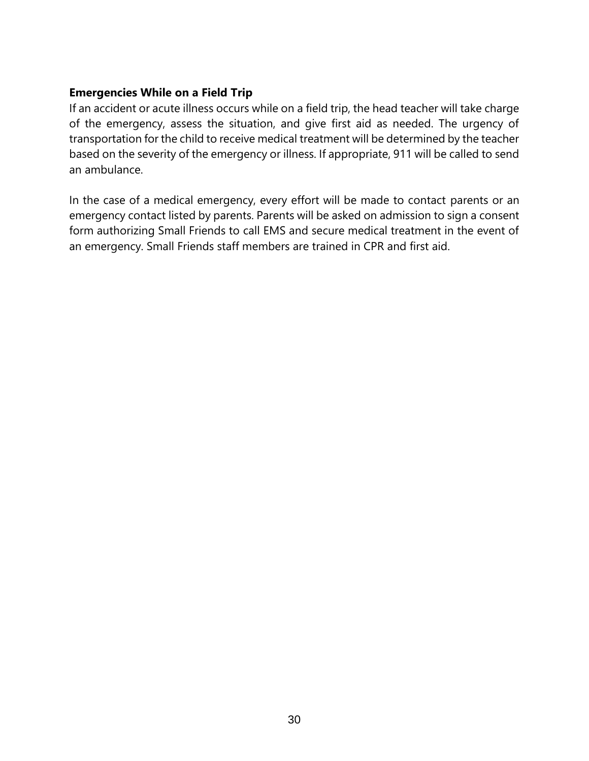# **Emergencies While on a Field Trip**

If an accident or acute illness occurs while on a field trip, the head teacher will take charge of the emergency, assess the situation, and give first aid as needed. The urgency of transportation for the child to receive medical treatment will be determined by the teacher based on the severity of the emergency or illness. If appropriate, 911 will be called to send an ambulance.

In the case of a medical emergency, every effort will be made to contact parents or an emergency contact listed by parents. Parents will be asked on admission to sign a consent form authorizing Small Friends to call EMS and secure medical treatment in the event of an emergency. Small Friends staff members are trained in CPR and first aid.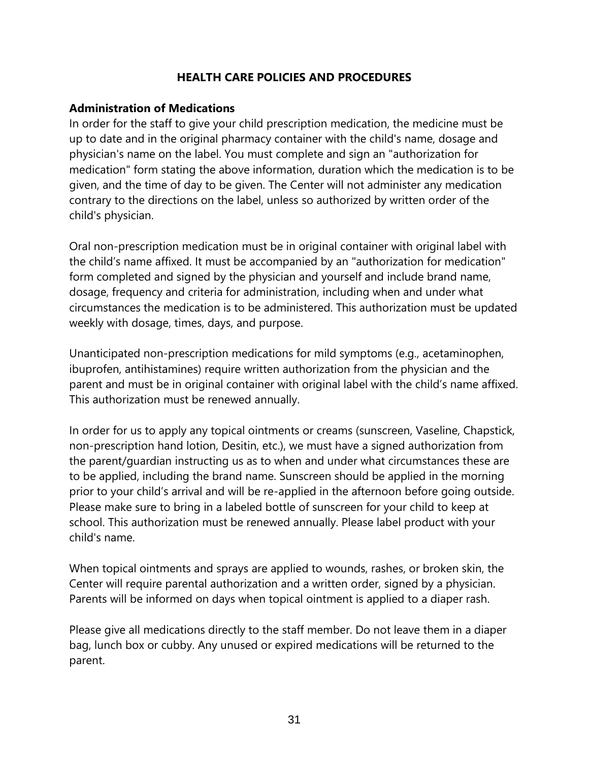# **HEALTH CARE POLICIES AND PROCEDURES**

# **Administration of Medications**

In order for the staff to give your child prescription medication, the medicine must be up to date and in the original pharmacy container with the child's name, dosage and physician's name on the label. You must complete and sign an "authorization for medication" form stating the above information, duration which the medication is to be given, and the time of day to be given. The Center will not administer any medication contrary to the directions on the label, unless so authorized by written order of the child's physician.

Oral non-prescription medication must be in original container with original label with the child's name affixed. It must be accompanied by an "authorization for medication" form completed and signed by the physician and yourself and include brand name, dosage, frequency and criteria for administration, including when and under what circumstances the medication is to be administered. This authorization must be updated weekly with dosage, times, days, and purpose.

Unanticipated non-prescription medications for mild symptoms (e.g., acetaminophen, ibuprofen, antihistamines) require written authorization from the physician and the parent and must be in original container with original label with the child's name affixed. This authorization must be renewed annually.

In order for us to apply any topical ointments or creams (sunscreen, Vaseline, Chapstick, non-prescription hand lotion, Desitin, etc.), we must have a signed authorization from the parent/guardian instructing us as to when and under what circumstances these are to be applied, including the brand name. Sunscreen should be applied in the morning prior to your child's arrival and will be re-applied in the afternoon before going outside. Please make sure to bring in a labeled bottle of sunscreen for your child to keep at school. This authorization must be renewed annually. Please label product with your child's name.

When topical ointments and sprays are applied to wounds, rashes, or broken skin, the Center will require parental authorization and a written order, signed by a physician. Parents will be informed on days when topical ointment is applied to a diaper rash.

Please give all medications directly to the staff member. Do not leave them in a diaper bag, lunch box or cubby. Any unused or expired medications will be returned to the parent.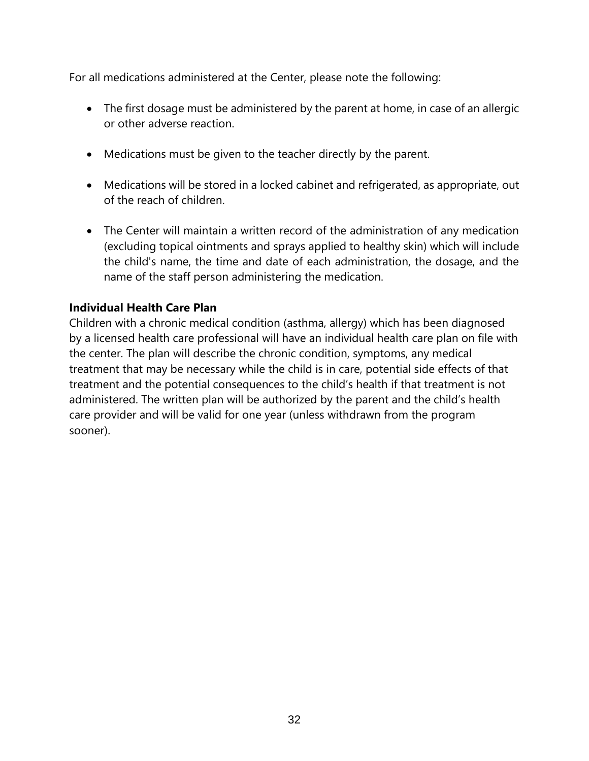For all medications administered at the Center, please note the following:

- The first dosage must be administered by the parent at home, in case of an allergic or other adverse reaction.
- Medications must be given to the teacher directly by the parent.
- Medications will be stored in a locked cabinet and refrigerated, as appropriate, out of the reach of children.
- The Center will maintain a written record of the administration of any medication (excluding topical ointments and sprays applied to healthy skin) which will include the child's name, the time and date of each administration, the dosage, and the name of the staff person administering the medication.

# **Individual Health Care Plan**

Children with a chronic medical condition (asthma, allergy) which has been diagnosed by a licensed health care professional will have an individual health care plan on file with the center. The plan will describe the chronic condition, symptoms, any medical treatment that may be necessary while the child is in care, potential side effects of that treatment and the potential consequences to the child's health if that treatment is not administered. The written plan will be authorized by the parent and the child's health care provider and will be valid for one year (unless withdrawn from the program sooner).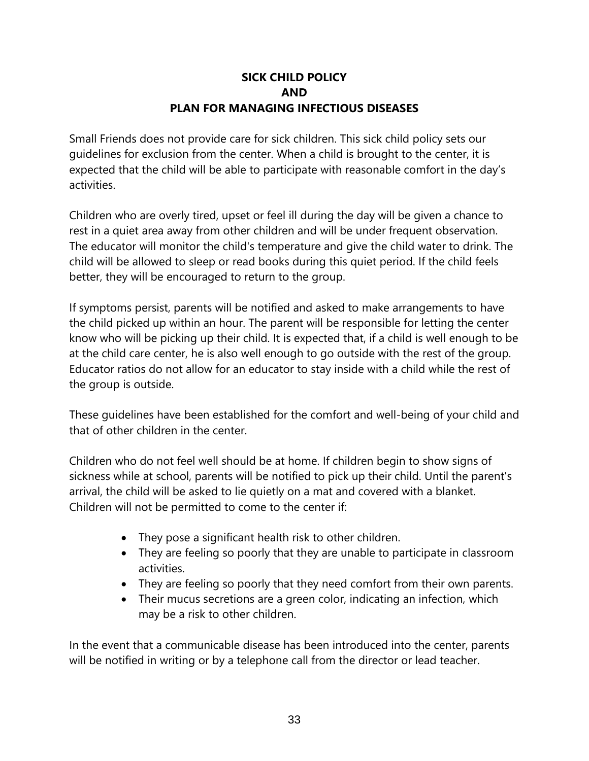# **SICK CHILD POLICY AND PLAN FOR MANAGING INFECTIOUS DISEASES**

Small Friends does not provide care for sick children. This sick child policy sets our guidelines for exclusion from the center. When a child is brought to the center, it is expected that the child will be able to participate with reasonable comfort in the day's activities.

Children who are overly tired, upset or feel ill during the day will be given a chance to rest in a quiet area away from other children and will be under frequent observation. The educator will monitor the child's temperature and give the child water to drink. The child will be allowed to sleep or read books during this quiet period. If the child feels better, they will be encouraged to return to the group.

If symptoms persist, parents will be notified and asked to make arrangements to have the child picked up within an hour. The parent will be responsible for letting the center know who will be picking up their child. It is expected that, if a child is well enough to be at the child care center, he is also well enough to go outside with the rest of the group. Educator ratios do not allow for an educator to stay inside with a child while the rest of the group is outside.

These guidelines have been established for the comfort and well-being of your child and that of other children in the center.

Children who do not feel well should be at home. If children begin to show signs of sickness while at school, parents will be notified to pick up their child. Until the parent's arrival, the child will be asked to lie quietly on a mat and covered with a blanket. Children will not be permitted to come to the center if:

- They pose a significant health risk to other children.
- They are feeling so poorly that they are unable to participate in classroom activities.
- They are feeling so poorly that they need comfort from their own parents.
- Their mucus secretions are a green color, indicating an infection, which may be a risk to other children.

In the event that a communicable disease has been introduced into the center, parents will be notified in writing or by a telephone call from the director or lead teacher.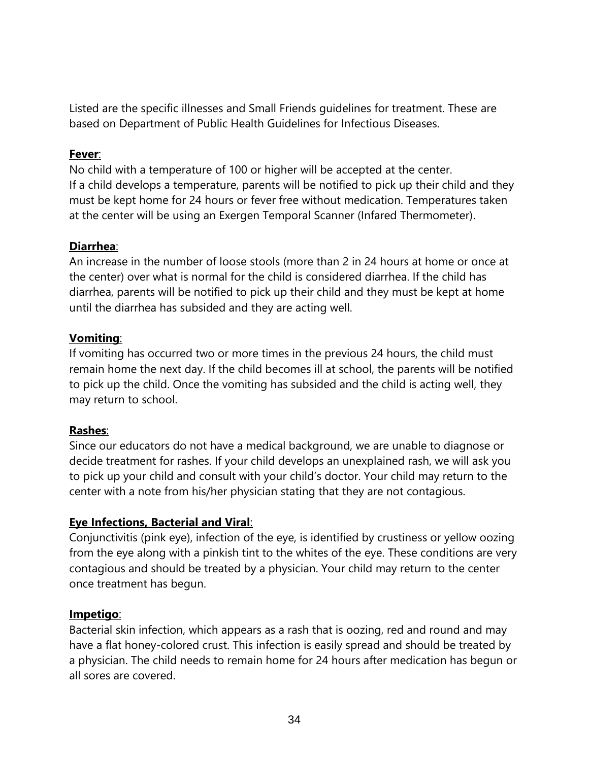Listed are the specific illnesses and Small Friends guidelines for treatment. These are based on Department of Public Health Guidelines for Infectious Diseases.

### **Fever**:

No child with a temperature of 100 or higher will be accepted at the center. If a child develops a temperature, parents will be notified to pick up their child and they must be kept home for 24 hours or fever free without medication. Temperatures taken at the center will be using an Exergen Temporal Scanner (Infared Thermometer).

## **Diarrhea**:

An increase in the number of loose stools (more than 2 in 24 hours at home or once at the center) over what is normal for the child is considered diarrhea. If the child has diarrhea, parents will be notified to pick up their child and they must be kept at home until the diarrhea has subsided and they are acting well.

# **Vomiting**:

If vomiting has occurred two or more times in the previous 24 hours, the child must remain home the next day. If the child becomes ill at school, the parents will be notified to pick up the child. Once the vomiting has subsided and the child is acting well, they may return to school.

# **Rashes**:

Since our educators do not have a medical background, we are unable to diagnose or decide treatment for rashes. If your child develops an unexplained rash, we will ask you to pick up your child and consult with your child's doctor. Your child may return to the center with a note from his/her physician stating that they are not contagious.

# **Eye Infections, Bacterial and Viral**:

Conjunctivitis (pink eye), infection of the eye, is identified by crustiness or yellow oozing from the eye along with a pinkish tint to the whites of the eye. These conditions are very contagious and should be treated by a physician. Your child may return to the center once treatment has begun.

# **Impetigo**:

Bacterial skin infection, which appears as a rash that is oozing, red and round and may have a flat honey-colored crust. This infection is easily spread and should be treated by a physician. The child needs to remain home for 24 hours after medication has begun or all sores are covered.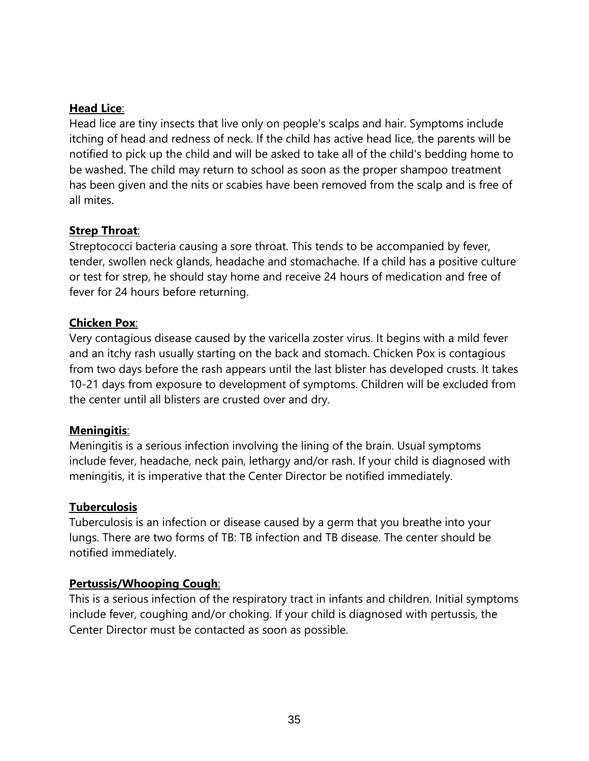### **Head Lice**:

Head lice are tiny insects that live only on people's scalps and hair. Symptoms include itching of head and redness of neck. If the child has active head lice, the parents will be notified to pick up the child and will be asked to take all of the child's bedding home to be washed. The child may return to school as soon as the proper shampoo treatment has been given and the nits or scabies have been removed from the scalp and is free of all mites.

#### **Strep Throat**:

Streptococci bacteria causing a sore throat. This tends to be accompanied by fever, tender, swollen neck glands, headache and stomachache. If a child has a positive culture or test for strep, he should stay home and receive 24 hours of medication and free of fever for 24 hours before returning.

## **Chicken Pox**:

Very contagious disease caused by the varicella zoster virus. It begins with a mild fever and an itchy rash usually starting on the back and stomach. Chicken Pox is contagious from two days before the rash appears until the last blister has developed crusts. It takes 10-21 days from exposure to development of symptoms. Children will be excluded from the center until all blisters are crusted over and dry.

#### **Meningitis**:

Meningitis is a serious infection involving the lining of the brain. Usual symptoms include fever, headache, neck pain, lethargy and/or rash. If your child is diagnosed with meningitis, it is imperative that the Center Director be notified immediately.

#### **Tuberculosis**

Tuberculosis is an infection or disease caused by a germ that you breathe into your lungs. There are two forms of TB: TB infection and TB disease. The center should be notified immediately.

#### **Pertussis/Whooping Cough**:

This is a serious infection of the respiratory tract in infants and children. Initial symptoms include fever, coughing and/or choking. If your child is diagnosed with pertussis, the Center Director must be contacted as soon as possible.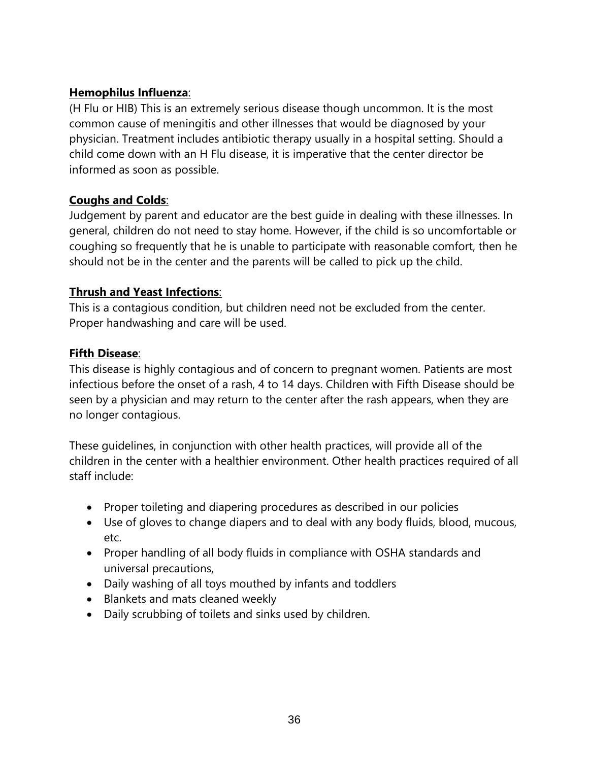# **Hemophilus Influenza**:

(H Flu or HIB) This is an extremely serious disease though uncommon. It is the most common cause of meningitis and other illnesses that would be diagnosed by your physician. Treatment includes antibiotic therapy usually in a hospital setting. Should a child come down with an H Flu disease, it is imperative that the center director be informed as soon as possible.

# **Coughs and Colds**:

Judgement by parent and educator are the best guide in dealing with these illnesses. In general, children do not need to stay home. However, if the child is so uncomfortable or coughing so frequently that he is unable to participate with reasonable comfort, then he should not be in the center and the parents will be called to pick up the child.

## **Thrush and Yeast Infections**:

This is a contagious condition, but children need not be excluded from the center. Proper handwashing and care will be used.

## **Fifth Disease**:

This disease is highly contagious and of concern to pregnant women. Patients are most infectious before the onset of a rash, 4 to 14 days. Children with Fifth Disease should be seen by a physician and may return to the center after the rash appears, when they are no longer contagious.

These guidelines, in conjunction with other health practices, will provide all of the children in the center with a healthier environment. Other health practices required of all staff include:

- Proper toileting and diapering procedures as described in our policies
- Use of gloves to change diapers and to deal with any body fluids, blood, mucous, etc.
- Proper handling of all body fluids in compliance with OSHA standards and universal precautions,
- Daily washing of all toys mouthed by infants and toddlers
- Blankets and mats cleaned weekly
- Daily scrubbing of toilets and sinks used by children.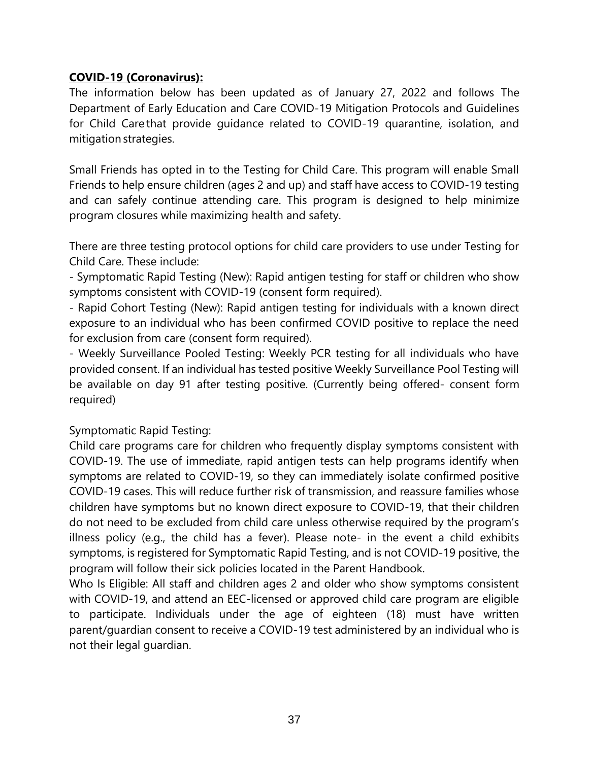### **COVID-19 (Coronavirus):**

The information below has been updated as of January 27, 2022 and follows The Department of Early Education and Care COVID-19 Mitigation Protocols and Guidelines for Child Care that provide guidance related to COVID-19 quarantine, isolation, and mitigation strategies.

Small Friends has opted in to the Testing for Child Care. This program will enable Small Friends to help ensure children (ages 2 and up) and staff have access to COVID-19 testing and can safely continue attending care. This program is designed to help minimize program closures while maximizing health and safety.

There are three testing protocol options for child care providers to use under Testing for Child Care. These include:

- Symptomatic Rapid Testing (New): Rapid antigen testing for staff or children who show symptoms consistent with COVID-19 (consent form required).

- Rapid Cohort Testing (New): Rapid antigen testing for individuals with a known direct exposure to an individual who has been confirmed COVID positive to replace the need for exclusion from care (consent form required).

- Weekly Surveillance Pooled Testing: Weekly PCR testing for all individuals who have provided consent. If an individual has tested positive Weekly Surveillance Pool Testing will be available on day 91 after testing positive. (Currently being offered- consent form required)

Symptomatic Rapid Testing:

Child care programs care for children who frequently display symptoms consistent with COVID-19. The use of immediate, rapid antigen tests can help programs identify when symptoms are related to COVID-19, so they can immediately isolate confirmed positive COVID-19 cases. This will reduce further risk of transmission, and reassure families whose children have symptoms but no known direct exposure to COVID-19, that their children do not need to be excluded from child care unless otherwise required by the program's illness policy (e.g., the child has a fever). Please note- in the event a child exhibits symptoms, is registered for Symptomatic Rapid Testing, and is not COVID-19 positive, the program will follow their sick policies located in the Parent Handbook.

Who Is Eligible: All staff and children ages 2 and older who show symptoms consistent with COVID-19, and attend an EEC-licensed or approved child care program are eligible to participate. Individuals under the age of eighteen (18) must have written parent/guardian consent to receive a COVID-19 test administered by an individual who is not their legal guardian.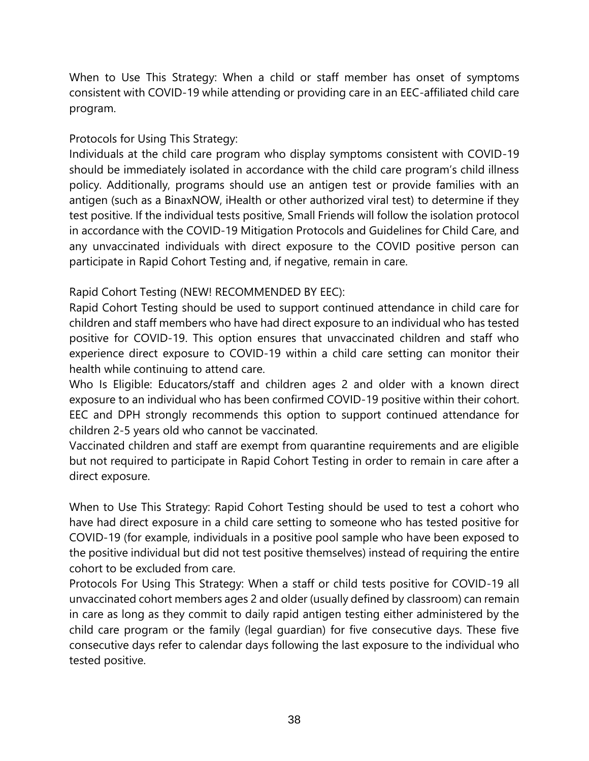When to Use This Strategy: When a child or staff member has onset of symptoms consistent with COVID-19 while attending or providing care in an EEC-affiliated child care program.

# Protocols for Using This Strategy:

Individuals at the child care program who display symptoms consistent with COVID-19 should be immediately isolated in accordance with the child care program's child illness policy. Additionally, programs should use an antigen test or provide families with an antigen (such as a BinaxNOW, iHealth or other authorized viral test) to determine if they test positive. If the individual tests positive, Small Friends will follow the isolation protocol in accordance with the COVID-19 Mitigation Protocols and Guidelines for Child Care, and any unvaccinated individuals with direct exposure to the COVID positive person can participate in Rapid Cohort Testing and, if negative, remain in care.

## Rapid Cohort Testing (NEW! RECOMMENDED BY EEC):

Rapid Cohort Testing should be used to support continued attendance in child care for children and staff members who have had direct exposure to an individual who has tested positive for COVID-19. This option ensures that unvaccinated children and staff who experience direct exposure to COVID-19 within a child care setting can monitor their health while continuing to attend care.

Who Is Eligible: Educators/staff and children ages 2 and older with a known direct exposure to an individual who has been confirmed COVID-19 positive within their cohort. EEC and DPH strongly recommends this option to support continued attendance for children 2-5 years old who cannot be vaccinated.

Vaccinated children and staff are exempt from quarantine requirements and are eligible but not required to participate in Rapid Cohort Testing in order to remain in care after a direct exposure.

When to Use This Strategy: Rapid Cohort Testing should be used to test a cohort who have had direct exposure in a child care setting to someone who has tested positive for COVID-19 (for example, individuals in a positive pool sample who have been exposed to the positive individual but did not test positive themselves) instead of requiring the entire cohort to be excluded from care.

Protocols For Using This Strategy: When a staff or child tests positive for COVID-19 all unvaccinated cohort members ages 2 and older (usually defined by classroom) can remain in care as long as they commit to daily rapid antigen testing either administered by the child care program or the family (legal guardian) for five consecutive days. These five consecutive days refer to calendar days following the last exposure to the individual who tested positive.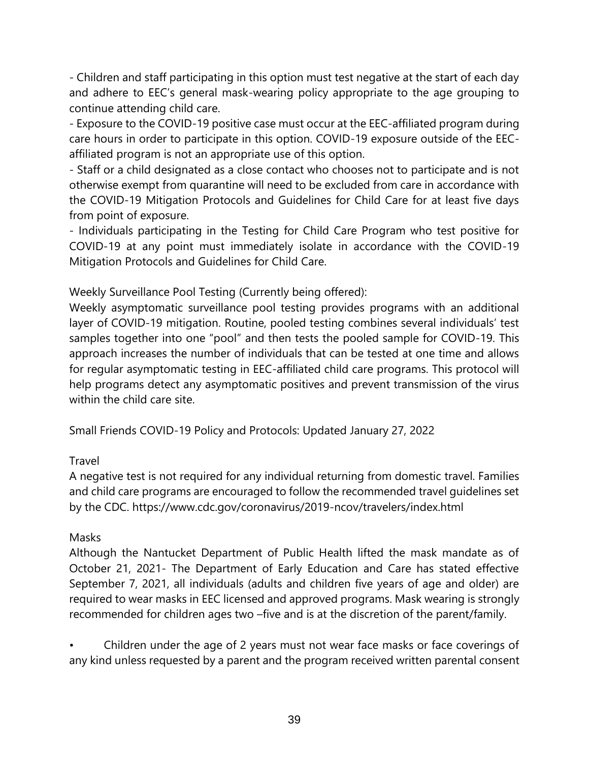- Children and staff participating in this option must test negative at the start of each day and adhere to EEC's general mask-wearing policy appropriate to the age grouping to continue attending child care.

- Exposure to the COVID-19 positive case must occur at the EEC-affiliated program during care hours in order to participate in this option. COVID-19 exposure outside of the EECaffiliated program is not an appropriate use of this option.

- Staff or a child designated as a close contact who chooses not to participate and is not otherwise exempt from quarantine will need to be excluded from care in accordance with the COVID-19 Mitigation Protocols and Guidelines for Child Care for at least five days from point of exposure.

- Individuals participating in the Testing for Child Care Program who test positive for COVID-19 at any point must immediately isolate in accordance with the COVID-19 Mitigation Protocols and Guidelines for Child Care.

Weekly Surveillance Pool Testing (Currently being offered):

Weekly asymptomatic surveillance pool testing provides programs with an additional layer of COVID-19 mitigation. Routine, pooled testing combines several individuals' test samples together into one "pool" and then tests the pooled sample for COVID-19. This approach increases the number of individuals that can be tested at one time and allows for regular asymptomatic testing in EEC-affiliated child care programs. This protocol will help programs detect any asymptomatic positives and prevent transmission of the virus within the child care site.

Small Friends COVID-19 Policy and Protocols: Updated January 27, 2022

# Travel

A negative test is not required for any individual returning from domestic travel. Families and child care programs are encouraged to follow the recommended travel guidelines set by the CDC. https://www.cdc.gov/coronavirus/2019-ncov/travelers/index.html

# Masks

Although the Nantucket Department of Public Health lifted the mask mandate as of October 21, 2021- The Department of Early Education and Care has stated effective September 7, 2021, all individuals (adults and children five years of age and older) are required to wear masks in EEC licensed and approved programs. Mask wearing is strongly recommended for children ages two –five and is at the discretion of the parent/family.

• Children under the age of 2 years must not wear face masks or face coverings of any kind unless requested by a parent and the program received written parental consent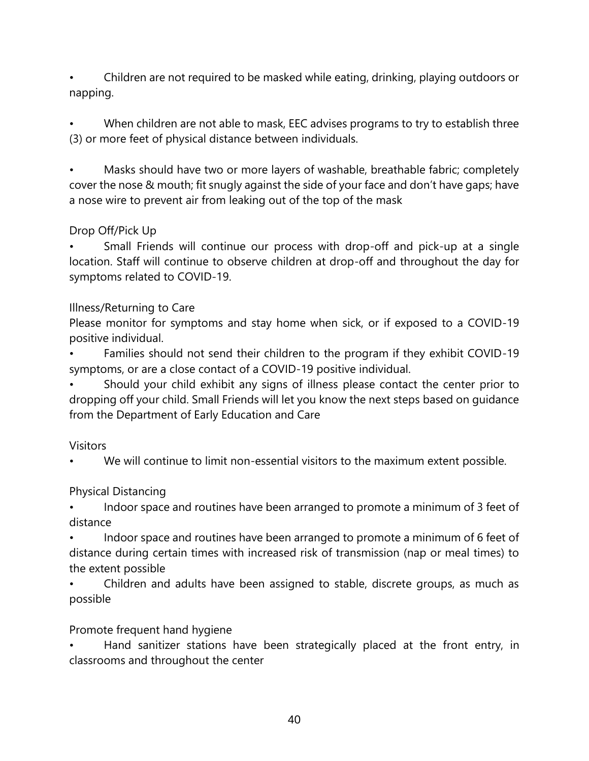• Children are not required to be masked while eating, drinking, playing outdoors or napping.

When children are not able to mask, EEC advises programs to try to establish three (3) or more feet of physical distance between individuals.

• Masks should have two or more layers of washable, breathable fabric; completely cover the nose & mouth; fit snugly against the side of your face and don't have gaps; have a nose wire to prevent air from leaking out of the top of the mask

## Drop Off/Pick Up

• Small Friends will continue our process with drop-off and pick-up at a single location. Staff will continue to observe children at drop-off and throughout the day for symptoms related to COVID-19.

## Illness/Returning to Care

Please monitor for symptoms and stay home when sick, or if exposed to a COVID-19 positive individual.

• Families should not send their children to the program if they exhibit COVID-19 symptoms, or are a close contact of a COVID-19 positive individual.

• Should your child exhibit any signs of illness please contact the center prior to dropping off your child. Small Friends will let you know the next steps based on guidance from the Department of Early Education and Care

#### **Visitors**

• We will continue to limit non-essential visitors to the maximum extent possible.

# Physical Distancing

Indoor space and routines have been arranged to promote a minimum of 3 feet of distance

Indoor space and routines have been arranged to promote a minimum of 6 feet of distance during certain times with increased risk of transmission (nap or meal times) to the extent possible

• Children and adults have been assigned to stable, discrete groups, as much as possible

# Promote frequent hand hygiene

Hand sanitizer stations have been strategically placed at the front entry, in classrooms and throughout the center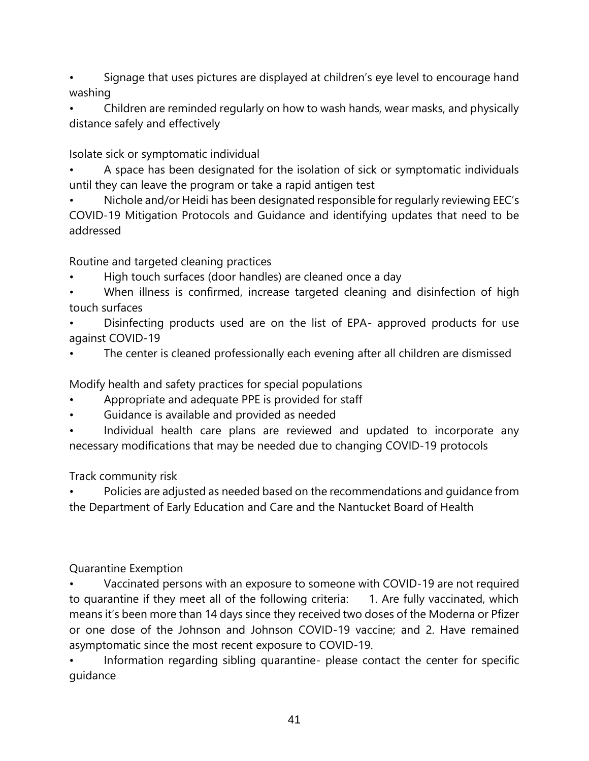- Signage that uses pictures are displayed at children's eye level to encourage hand washing
- Children are reminded regularly on how to wash hands, wear masks, and physically distance safely and effectively

Isolate sick or symptomatic individual

- A space has been designated for the isolation of sick or symptomatic individuals until they can leave the program or take a rapid antigen test
- Nichole and/or Heidi has been designated responsible for regularly reviewing EEC's COVID-19 Mitigation Protocols and Guidance and identifying updates that need to be addressed

Routine and targeted cleaning practices

- High touch surfaces (door handles) are cleaned once a day
- When illness is confirmed, increase targeted cleaning and disinfection of high touch surfaces
- Disinfecting products used are on the list of EPA- approved products for use against COVID-19
- The center is cleaned professionally each evening after all children are dismissed

Modify health and safety practices for special populations

- Appropriate and adequate PPE is provided for staff
- Guidance is available and provided as needed
- Individual health care plans are reviewed and updated to incorporate any necessary modifications that may be needed due to changing COVID-19 protocols

Track community risk

• Policies are adjusted as needed based on the recommendations and guidance from the Department of Early Education and Care and the Nantucket Board of Health

Quarantine Exemption

• Vaccinated persons with an exposure to someone with COVID-19 are not required to quarantine if they meet all of the following criteria: 1. Are fully vaccinated, which means it's been more than 14 days since they received two doses of the Moderna or Pfizer or one dose of the Johnson and Johnson COVID-19 vaccine; and 2. Have remained asymptomatic since the most recent exposure to COVID-19.

Information regarding sibling quarantine- please contact the center for specific guidance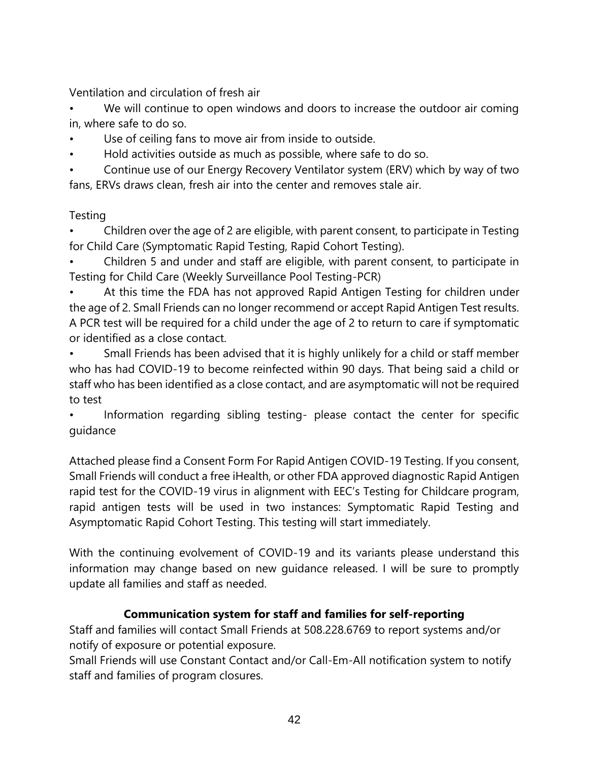Ventilation and circulation of fresh air

We will continue to open windows and doors to increase the outdoor air coming in, where safe to do so.

- Use of ceiling fans to move air from inside to outside.
- Hold activities outside as much as possible, where safe to do so.
- Continue use of our Energy Recovery Ventilator system (ERV) which by way of two fans, ERVs draws clean, fresh air into the center and removes stale air.

# Testing

• Children over the age of 2 are eligible, with parent consent, to participate in Testing for Child Care (Symptomatic Rapid Testing, Rapid Cohort Testing).

• Children 5 and under and staff are eligible, with parent consent, to participate in Testing for Child Care (Weekly Surveillance Pool Testing-PCR)

At this time the FDA has not approved Rapid Antigen Testing for children under the age of 2. Small Friends can no longer recommend or accept Rapid Antigen Test results. A PCR test will be required for a child under the age of 2 to return to care if symptomatic or identified as a close contact.

Small Friends has been advised that it is highly unlikely for a child or staff member who has had COVID-19 to become reinfected within 90 days. That being said a child or staff who has been identified as a close contact, and are asymptomatic will not be required to test

Information regarding sibling testing- please contact the center for specific guidance

Attached please find a Consent Form For Rapid Antigen COVID-19 Testing. If you consent, Small Friends will conduct a free iHealth, or other FDA approved diagnostic Rapid Antigen rapid test for the COVID-19 virus in alignment with EEC's Testing for Childcare program, rapid antigen tests will be used in two instances: Symptomatic Rapid Testing and Asymptomatic Rapid Cohort Testing. This testing will start immediately.

With the continuing evolvement of COVID-19 and its variants please understand this information may change based on new guidance released. I will be sure to promptly update all families and staff as needed.

# **Communication system for staff and families for self-reporting**

Staff and families will contact Small Friends at 508.228.6769 to report systems and/or notify of exposure or potential exposure.

Small Friends will use Constant Contact and/or Call-Em-All notification system to notify staff and families of program closures.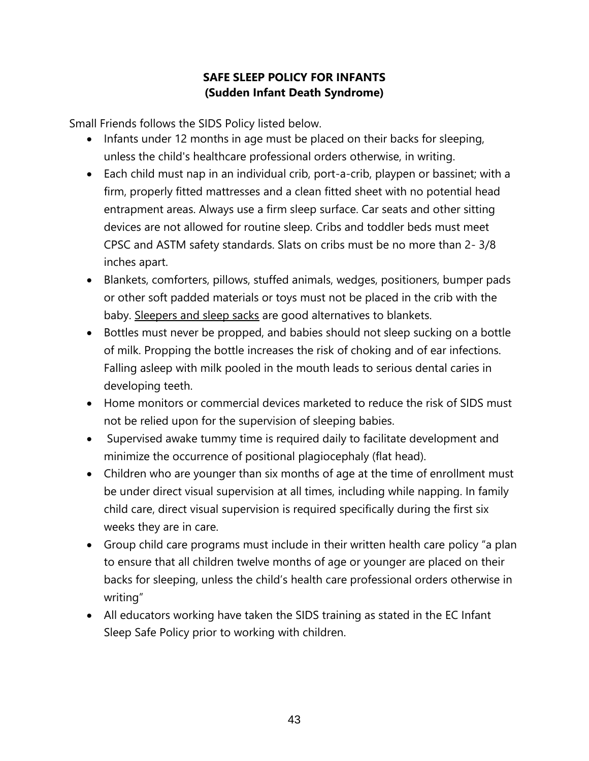# **SAFE SLEEP POLICY FOR INFANTS (Sudden Infant Death Syndrome)**

Small Friends follows the SIDS Policy listed below.

- Infants under 12 months in age must be placed on their backs for sleeping, unless the child's healthcare professional orders otherwise, in writing.
- Each child must nap in an individual crib, port-a-crib, playpen or bassinet; with a firm, properly fitted mattresses and a clean fitted sheet with no potential head entrapment areas. Always use a firm sleep surface. Car seats and other sitting devices are not allowed for routine sleep. Cribs and toddler beds must meet CPSC and ASTM safety standards. Slats on cribs must be no more than 2- 3/8 inches apart.
- Blankets, comforters, pillows, stuffed animals, wedges, positioners, bumper pads or other soft padded materials or toys must not be placed in the crib with the baby. Sleepers and sleep sacks are good alternatives to blankets.
- Bottles must never be propped, and babies should not sleep sucking on a bottle of milk. Propping the bottle increases the risk of choking and of ear infections. Falling asleep with milk pooled in the mouth leads to serious dental caries in developing teeth.
- Home monitors or commercial devices marketed to reduce the risk of SIDS must not be relied upon for the supervision of sleeping babies.
- Supervised awake tummy time is required daily to facilitate development and minimize the occurrence of positional plagiocephaly (flat head).
- Children who are younger than six months of age at the time of enrollment must be under direct visual supervision at all times, including while napping. In family child care, direct visual supervision is required specifically during the first six weeks they are in care.
- Group child care programs must include in their written health care policy "a plan to ensure that all children twelve months of age or younger are placed on their backs for sleeping, unless the child's health care professional orders otherwise in writing"
- All educators working have taken the SIDS training as stated in the EC Infant Sleep Safe Policy prior to working with children.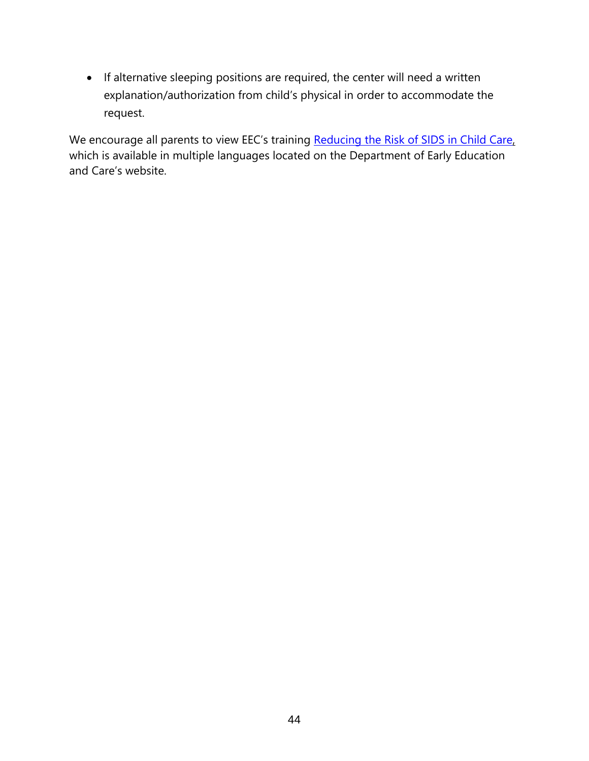• If alternative sleeping positions are required, the center will need a written explanation/authorization from child's physical in order to accommodate the request.

We encourage all parents to view EEC's training [Reducing the Risk of SIDS in Child Care,](http://www.mass.gov/edu/birth-grade-12/early-education-and-care/licensing/licensing-resources-for-family-child-care-providers/professional-development-and-online-trainings.html) which is available in multiple languages located on the Department of Early Education and Care's website.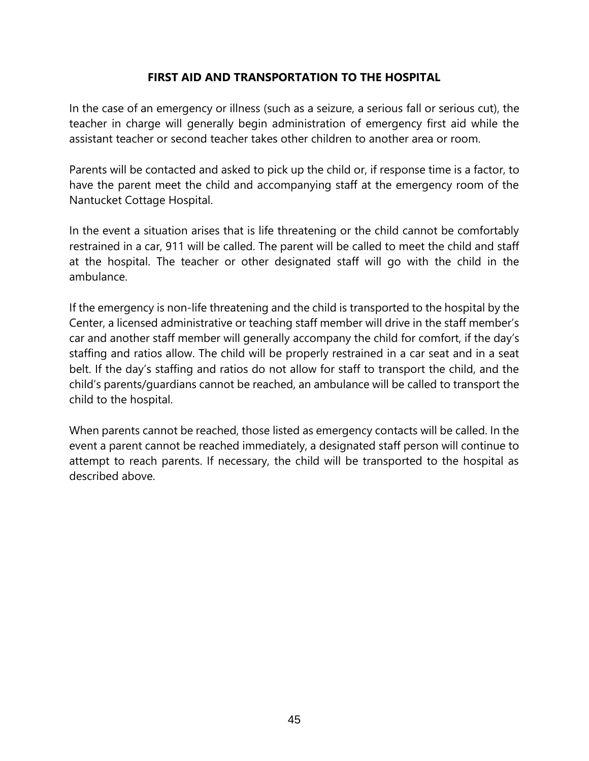#### **FIRST AID AND TRANSPORTATION TO THE HOSPITAL**

In the case of an emergency or illness (such as a seizure, a serious fall or serious cut), the teacher in charge will generally begin administration of emergency first aid while the assistant teacher or second teacher takes other children to another area or room.

Parents will be contacted and asked to pick up the child or, if response time is a factor, to have the parent meet the child and accompanying staff at the emergency room of the Nantucket Cottage Hospital.

In the event a situation arises that is life threatening or the child cannot be comfortably restrained in a car, 911 will be called. The parent will be called to meet the child and staff at the hospital. The teacher or other designated staff will go with the child in the ambulance.

If the emergency is non-life threatening and the child is transported to the hospital by the Center, a licensed administrative or teaching staff member will drive in the staff member's car and another staff member will generally accompany the child for comfort, if the day's staffing and ratios allow. The child will be properly restrained in a car seat and in a seat belt. If the day's staffing and ratios do not allow for staff to transport the child, and the child's parents/guardians cannot be reached, an ambulance will be called to transport the child to the hospital.

When parents cannot be reached, those listed as emergency contacts will be called. In the event a parent cannot be reached immediately, a designated staff person will continue to attempt to reach parents. If necessary, the child will be transported to the hospital as described above.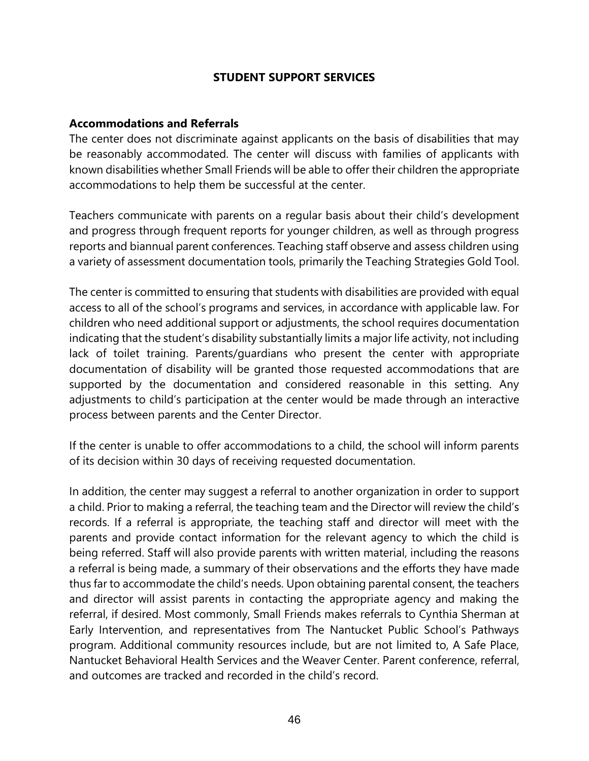#### **STUDENT SUPPORT SERVICES**

#### **Accommodations and Referrals**

The center does not discriminate against applicants on the basis of disabilities that may be reasonably accommodated. The center will discuss with families of applicants with known disabilities whether Small Friends will be able to offer their children the appropriate accommodations to help them be successful at the center.

Teachers communicate with parents on a regular basis about their child's development and progress through frequent reports for younger children, as well as through progress reports and biannual parent conferences. Teaching staff observe and assess children using a variety of assessment documentation tools, primarily the Teaching Strategies Gold Tool.

The center is committed to ensuring that students with disabilities are provided with equal access to all of the school's programs and services, in accordance with applicable law. For children who need additional support or adjustments, the school requires documentation indicating that the student's disability substantially limits a major life activity, not including lack of toilet training. Parents/guardians who present the center with appropriate documentation of disability will be granted those requested accommodations that are supported by the documentation and considered reasonable in this setting. Any adjustments to child's participation at the center would be made through an interactive process between parents and the Center Director.

If the center is unable to offer accommodations to a child, the school will inform parents of its decision within 30 days of receiving requested documentation.

In addition, the center may suggest a referral to another organization in order to support a child. Prior to making a referral, the teaching team and the Director will review the child's records. If a referral is appropriate, the teaching staff and director will meet with the parents and provide contact information for the relevant agency to which the child is being referred. Staff will also provide parents with written material, including the reasons a referral is being made, a summary of their observations and the efforts they have made thus far to accommodate the child's needs. Upon obtaining parental consent, the teachers and director will assist parents in contacting the appropriate agency and making the referral, if desired. Most commonly, Small Friends makes referrals to Cynthia Sherman at Early Intervention, and representatives from The Nantucket Public School's Pathways program. Additional community resources include, but are not limited to, A Safe Place, Nantucket Behavioral Health Services and the Weaver Center. Parent conference, referral, and outcomes are tracked and recorded in the child's record.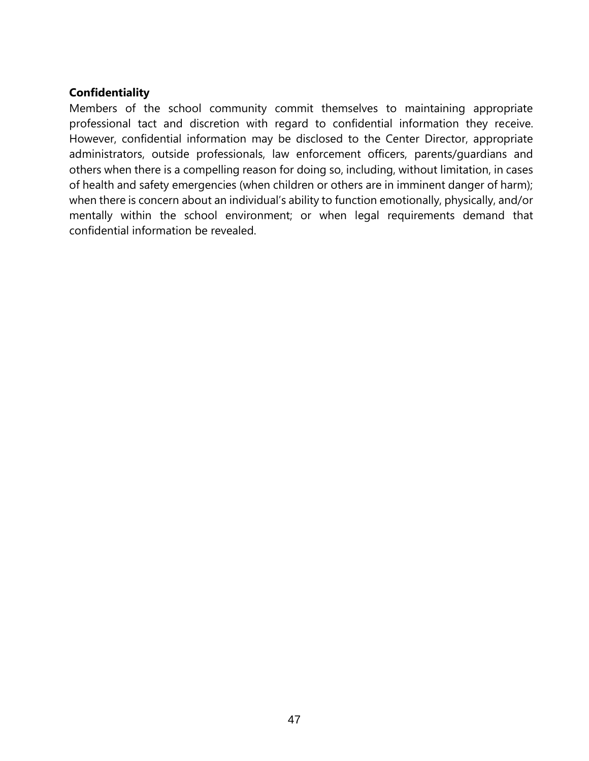#### **Confidentiality**

Members of the school community commit themselves to maintaining appropriate professional tact and discretion with regard to confidential information they receive. However, confidential information may be disclosed to the Center Director, appropriate administrators, outside professionals, law enforcement officers, parents/guardians and others when there is a compelling reason for doing so, including, without limitation, in cases of health and safety emergencies (when children or others are in imminent danger of harm); when there is concern about an individual's ability to function emotionally, physically, and/or mentally within the school environment; or when legal requirements demand that confidential information be revealed.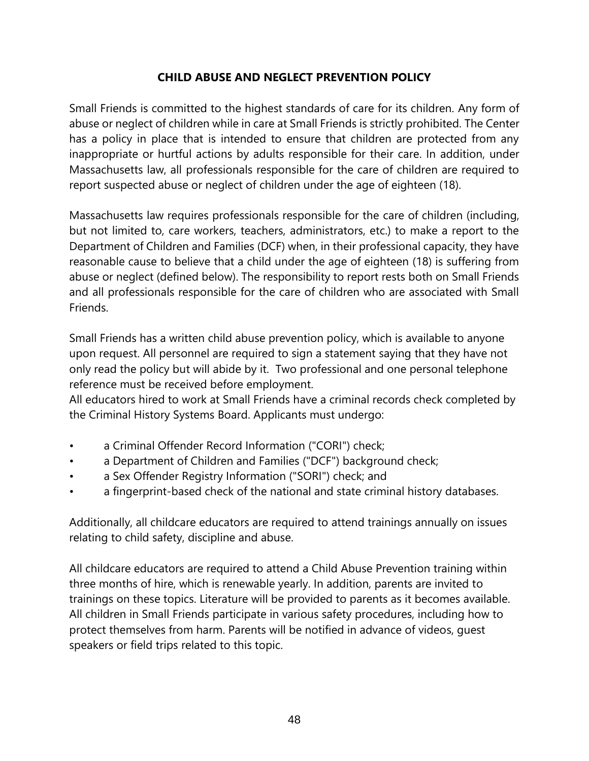### **CHILD ABUSE AND NEGLECT PREVENTION POLICY**

Small Friends is committed to the highest standards of care for its children. Any form of abuse or neglect of children while in care at Small Friends is strictly prohibited. The Center has a policy in place that is intended to ensure that children are protected from any inappropriate or hurtful actions by adults responsible for their care. In addition, under Massachusetts law, all professionals responsible for the care of children are required to report suspected abuse or neglect of children under the age of eighteen (18).

Massachusetts law requires professionals responsible for the care of children (including, but not limited to, care workers, teachers, administrators, etc.) to make a report to the Department of Children and Families (DCF) when, in their professional capacity, they have reasonable cause to believe that a child under the age of eighteen (18) is suffering from abuse or neglect (defined below). The responsibility to report rests both on Small Friends and all professionals responsible for the care of children who are associated with Small **Friends** 

Small Friends has a written child abuse prevention policy, which is available to anyone upon request. All personnel are required to sign a statement saying that they have not only read the policy but will abide by it. Two professional and one personal telephone reference must be received before employment.

All educators hired to work at Small Friends have a criminal records check completed by the Criminal History Systems Board. Applicants must undergo:

- a Criminal Offender Record Information ("CORI") check;
- a Department of Children and Families ("DCF") background check;
- a Sex Offender Registry Information ("SORI") check; and
- a fingerprint-based check of the national and state criminal history databases.

Additionally, all childcare educators are required to attend trainings annually on issues relating to child safety, discipline and abuse.

All childcare educators are required to attend a Child Abuse Prevention training within three months of hire, which is renewable yearly. In addition, parents are invited to trainings on these topics. Literature will be provided to parents as it becomes available. All children in Small Friends participate in various safety procedures, including how to protect themselves from harm. Parents will be notified in advance of videos, guest speakers or field trips related to this topic.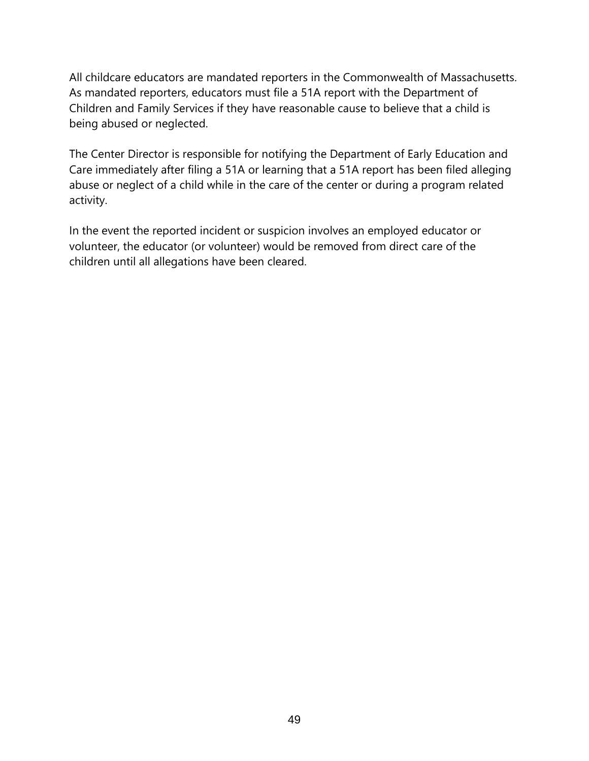All childcare educators are mandated reporters in the Commonwealth of Massachusetts. As mandated reporters, educators must file a 51A report with the Department of Children and Family Services if they have reasonable cause to believe that a child is being abused or neglected.

The Center Director is responsible for notifying the Department of Early Education and Care immediately after filing a 51A or learning that a 51A report has been filed alleging abuse or neglect of a child while in the care of the center or during a program related activity.

In the event the reported incident or suspicion involves an employed educator or volunteer, the educator (or volunteer) would be removed from direct care of the children until all allegations have been cleared.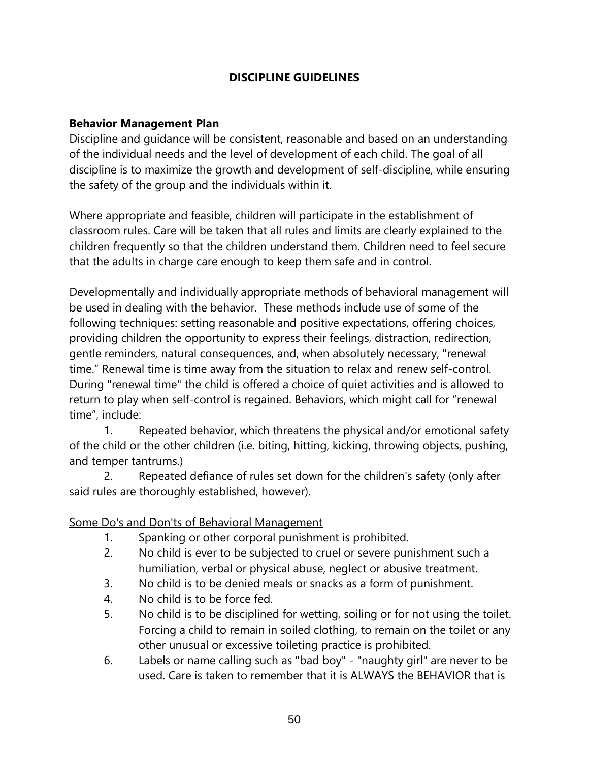### **DISCIPLINE GUIDELINES**

#### **Behavior Management Plan**

Discipline and guidance will be consistent, reasonable and based on an understanding of the individual needs and the level of development of each child. The goal of all discipline is to maximize the growth and development of self-discipline, while ensuring the safety of the group and the individuals within it.

Where appropriate and feasible, children will participate in the establishment of classroom rules. Care will be taken that all rules and limits are clearly explained to the children frequently so that the children understand them. Children need to feel secure that the adults in charge care enough to keep them safe and in control.

Developmentally and individually appropriate methods of behavioral management will be used in dealing with the behavior. These methods include use of some of the following techniques: setting reasonable and positive expectations, offering choices, providing children the opportunity to express their feelings, distraction, redirection, gentle reminders, natural consequences, and, when absolutely necessary, "renewal time." Renewal time is time away from the situation to relax and renew self-control. During "renewal time" the child is offered a choice of quiet activities and is allowed to return to play when self-control is regained. Behaviors, which might call for "renewal time", include:

1. Repeated behavior, which threatens the physical and/or emotional safety of the child or the other children (i.e. biting, hitting, kicking, throwing objects, pushing, and temper tantrums.)

2. Repeated defiance of rules set down for the children's safety (only after said rules are thoroughly established, however).

#### Some Do's and Don'ts of Behavioral Management

- 1. Spanking or other corporal punishment is prohibited.
- 2. No child is ever to be subjected to cruel or severe punishment such a humiliation, verbal or physical abuse, neglect or abusive treatment.
- 3. No child is to be denied meals or snacks as a form of punishment.
- 4. No child is to be force fed.
- 5. No child is to be disciplined for wetting, soiling or for not using the toilet. Forcing a child to remain in soiled clothing, to remain on the toilet or any other unusual or excessive toileting practice is prohibited.
- 6. Labels or name calling such as "bad boy" "naughty girl" are never to be used. Care is taken to remember that it is ALWAYS the BEHAVIOR that is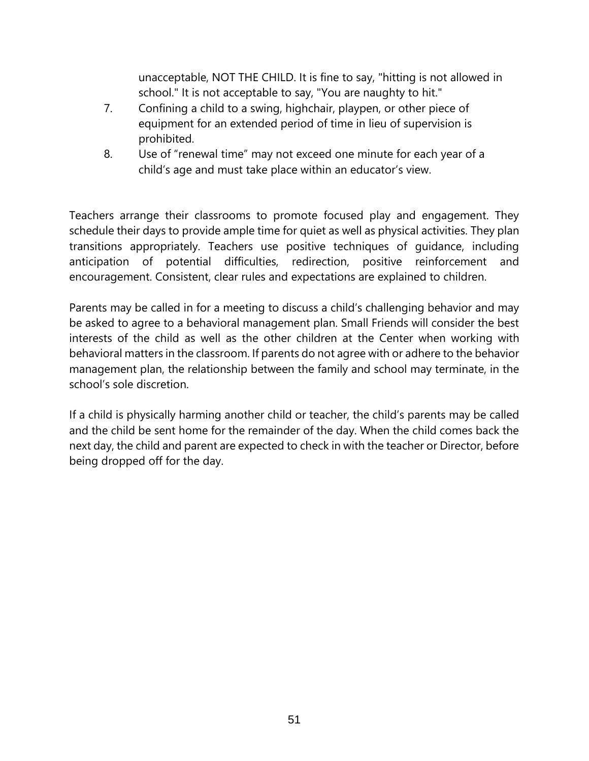unacceptable, NOT THE CHILD. It is fine to say, "hitting is not allowed in school." It is not acceptable to say, "You are naughty to hit."

- 7. Confining a child to a swing, highchair, playpen, or other piece of equipment for an extended period of time in lieu of supervision is prohibited.
- 8. Use of "renewal time" may not exceed one minute for each year of a child's age and must take place within an educator's view.

Teachers arrange their classrooms to promote focused play and engagement. They schedule their days to provide ample time for quiet as well as physical activities. They plan transitions appropriately. Teachers use positive techniques of guidance, including anticipation of potential difficulties, redirection, positive reinforcement and encouragement. Consistent, clear rules and expectations are explained to children.

Parents may be called in for a meeting to discuss a child's challenging behavior and may be asked to agree to a behavioral management plan. Small Friends will consider the best interests of the child as well as the other children at the Center when working with behavioral matters in the classroom. If parents do not agree with or adhere to the behavior management plan, the relationship between the family and school may terminate, in the school's sole discretion.

If a child is physically harming another child or teacher, the child's parents may be called and the child be sent home for the remainder of the day. When the child comes back the next day, the child and parent are expected to check in with the teacher or Director, before being dropped off for the day.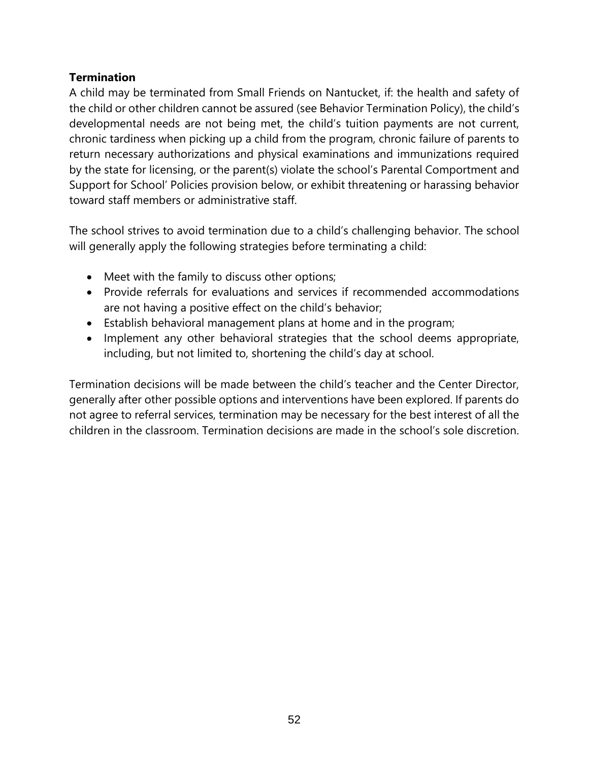### **Termination**

A child may be terminated from Small Friends on Nantucket, if: the health and safety of the child or other children cannot be assured (see Behavior Termination Policy), the child's developmental needs are not being met, the child's tuition payments are not current, chronic tardiness when picking up a child from the program, chronic failure of parents to return necessary authorizations and physical examinations and immunizations required by the state for licensing, or the parent(s) violate the school's Parental Comportment and Support for School' Policies provision below, or exhibit threatening or harassing behavior toward staff members or administrative staff.

The school strives to avoid termination due to a child's challenging behavior. The school will generally apply the following strategies before terminating a child:

- Meet with the family to discuss other options;
- Provide referrals for evaluations and services if recommended accommodations are not having a positive effect on the child's behavior;
- Establish behavioral management plans at home and in the program;
- Implement any other behavioral strategies that the school deems appropriate, including, but not limited to, shortening the child's day at school.

Termination decisions will be made between the child's teacher and the Center Director, generally after other possible options and interventions have been explored. If parents do not agree to referral services, termination may be necessary for the best interest of all the children in the classroom. Termination decisions are made in the school's sole discretion.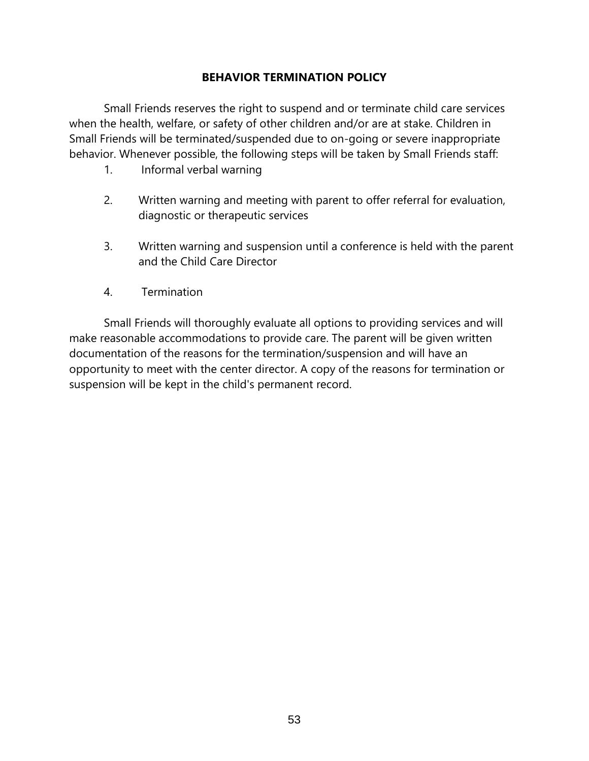#### **BEHAVIOR TERMINATION POLICY**

Small Friends reserves the right to suspend and or terminate child care services when the health, welfare, or safety of other children and/or are at stake. Children in Small Friends will be terminated/suspended due to on-going or severe inappropriate behavior. Whenever possible, the following steps will be taken by Small Friends staff:

- 1. Informal verbal warning
- 2. Written warning and meeting with parent to offer referral for evaluation, diagnostic or therapeutic services
- 3. Written warning and suspension until a conference is held with the parent and the Child Care Director
- 4. Termination

Small Friends will thoroughly evaluate all options to providing services and will make reasonable accommodations to provide care. The parent will be given written documentation of the reasons for the termination/suspension and will have an opportunity to meet with the center director. A copy of the reasons for termination or suspension will be kept in the child's permanent record.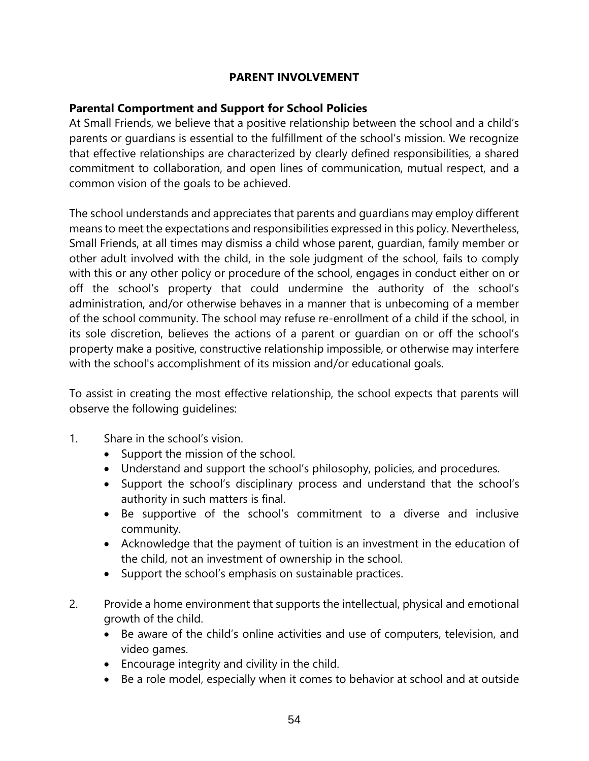#### **PARENT INVOLVEMENT**

### **Parental Comportment and Support for School Policies**

At Small Friends, we believe that a positive relationship between the school and a child's parents or guardians is essential to the fulfillment of the school's mission. We recognize that effective relationships are characterized by clearly defined responsibilities, a shared commitment to collaboration, and open lines of communication, mutual respect, and a common vision of the goals to be achieved.

The school understands and appreciates that parents and guardians may employ different means to meet the expectations and responsibilities expressed in this policy. Nevertheless, Small Friends, at all times may dismiss a child whose parent, guardian, family member or other adult involved with the child, in the sole judgment of the school, fails to comply with this or any other policy or procedure of the school, engages in conduct either on or off the school's property that could undermine the authority of the school's administration, and/or otherwise behaves in a manner that is unbecoming of a member of the school community. The school may refuse re-enrollment of a child if the school, in its sole discretion, believes the actions of a parent or guardian on or off the school's property make a positive, constructive relationship impossible, or otherwise may interfere with the school's accomplishment of its mission and/or educational goals.

To assist in creating the most effective relationship, the school expects that parents will observe the following guidelines:

- 1. Share in the school's vision.
	- Support the mission of the school.
	- Understand and support the school's philosophy, policies, and procedures.
	- Support the school's disciplinary process and understand that the school's authority in such matters is final.
	- Be supportive of the school's commitment to a diverse and inclusive community.
	- Acknowledge that the payment of tuition is an investment in the education of the child, not an investment of ownership in the school.
	- Support the school's emphasis on sustainable practices.
- 2. Provide a home environment that supports the intellectual, physical and emotional growth of the child.
	- Be aware of the child's online activities and use of computers, television, and video games.
	- Encourage integrity and civility in the child.
	- Be a role model, especially when it comes to behavior at school and at outside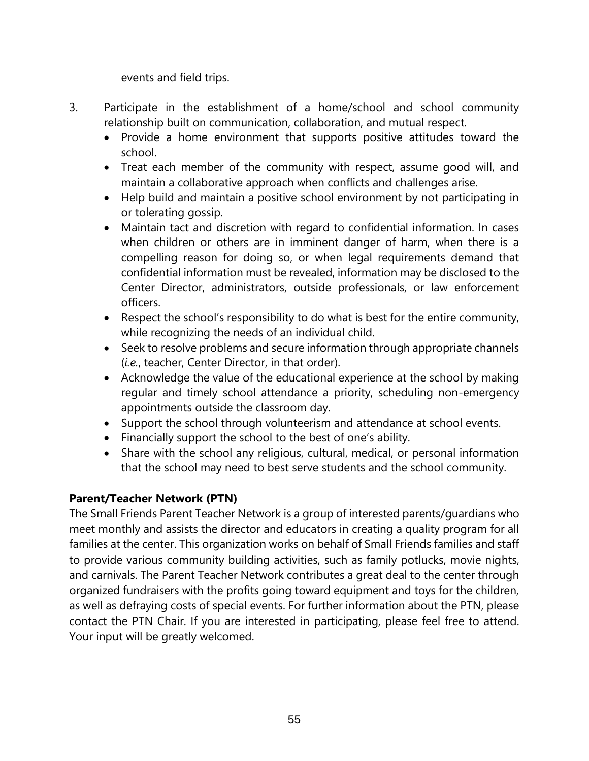events and field trips.

- 3. Participate in the establishment of a home/school and school community relationship built on communication, collaboration, and mutual respect.
	- Provide a home environment that supports positive attitudes toward the school.
	- Treat each member of the community with respect, assume good will, and maintain a collaborative approach when conflicts and challenges arise.
	- Help build and maintain a positive school environment by not participating in or tolerating gossip.
	- Maintain tact and discretion with regard to confidential information. In cases when children or others are in imminent danger of harm, when there is a compelling reason for doing so, or when legal requirements demand that confidential information must be revealed, information may be disclosed to the Center Director, administrators, outside professionals, or law enforcement officers.
	- Respect the school's responsibility to do what is best for the entire community, while recognizing the needs of an individual child.
	- Seek to resolve problems and secure information through appropriate channels (*i.e.*, teacher, Center Director, in that order).
	- Acknowledge the value of the educational experience at the school by making regular and timely school attendance a priority, scheduling non-emergency appointments outside the classroom day.
	- Support the school through volunteerism and attendance at school events.
	- Financially support the school to the best of one's ability.
	- Share with the school any religious, cultural, medical, or personal information that the school may need to best serve students and the school community.

# **Parent/Teacher Network (PTN)**

The Small Friends Parent Teacher Network is a group of interested parents/guardians who meet monthly and assists the director and educators in creating a quality program for all families at the center. This organization works on behalf of Small Friends families and staff to provide various community building activities, such as family potlucks, movie nights, and carnivals. The Parent Teacher Network contributes a great deal to the center through organized fundraisers with the profits going toward equipment and toys for the children, as well as defraying costs of special events. For further information about the PTN, please contact the PTN Chair. If you are interested in participating, please feel free to attend. Your input will be greatly welcomed.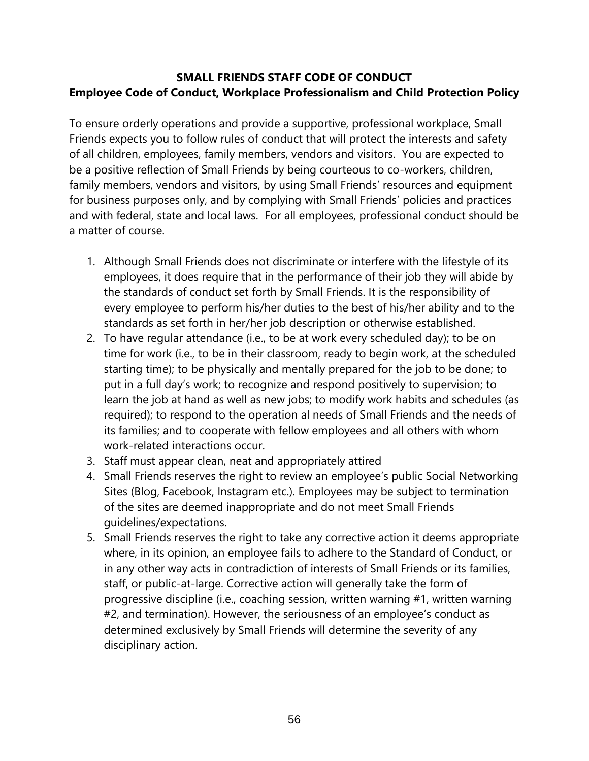# **SMALL FRIENDS STAFF CODE OF CONDUCT Employee Code of Conduct, Workplace Professionalism and Child Protection Policy**

To ensure orderly operations and provide a supportive, professional workplace, Small Friends expects you to follow rules of conduct that will protect the interests and safety of all children, employees, family members, vendors and visitors. You are expected to be a positive reflection of Small Friends by being courteous to co-workers, children, family members, vendors and visitors, by using Small Friends' resources and equipment for business purposes only, and by complying with Small Friends' policies and practices and with federal, state and local laws. For all employees, professional conduct should be a matter of course.

- 1. Although Small Friends does not discriminate or interfere with the lifestyle of its employees, it does require that in the performance of their job they will abide by the standards of conduct set forth by Small Friends. It is the responsibility of every employee to perform his/her duties to the best of his/her ability and to the standards as set forth in her/her job description or otherwise established.
- 2. To have regular attendance (i.e., to be at work every scheduled day); to be on time for work (i.e., to be in their classroom, ready to begin work, at the scheduled starting time); to be physically and mentally prepared for the job to be done; to put in a full day's work; to recognize and respond positively to supervision; to learn the job at hand as well as new jobs; to modify work habits and schedules (as required); to respond to the operation al needs of Small Friends and the needs of its families; and to cooperate with fellow employees and all others with whom work-related interactions occur.
- 3. Staff must appear clean, neat and appropriately attired
- 4. Small Friends reserves the right to review an employee's public Social Networking Sites (Blog, Facebook, Instagram etc.). Employees may be subject to termination of the sites are deemed inappropriate and do not meet Small Friends guidelines/expectations.
- 5. Small Friends reserves the right to take any corrective action it deems appropriate where, in its opinion, an employee fails to adhere to the Standard of Conduct, or in any other way acts in contradiction of interests of Small Friends or its families, staff, or public-at-large. Corrective action will generally take the form of progressive discipline (i.e., coaching session, written warning #1, written warning #2, and termination). However, the seriousness of an employee's conduct as determined exclusively by Small Friends will determine the severity of any disciplinary action.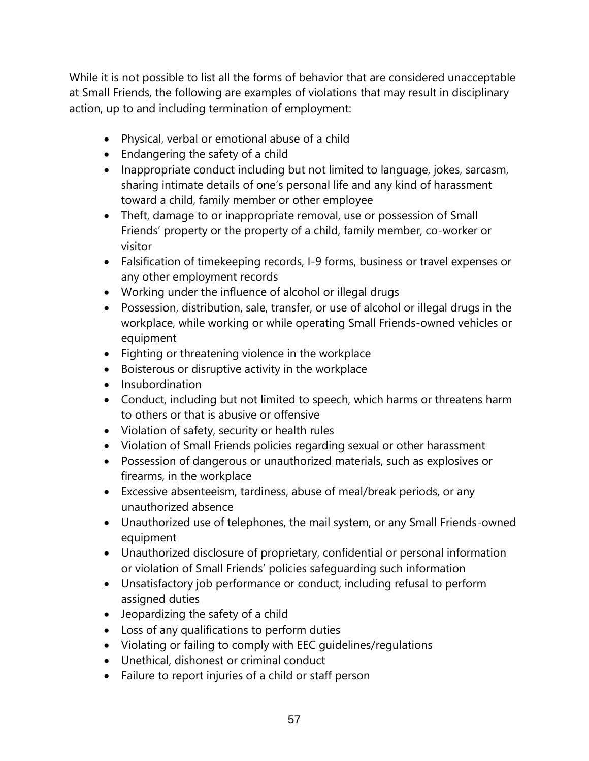While it is not possible to list all the forms of behavior that are considered unacceptable at Small Friends, the following are examples of violations that may result in disciplinary action, up to and including termination of employment:

- Physical, verbal or emotional abuse of a child
- Endangering the safety of a child
- Inappropriate conduct including but not limited to language, jokes, sarcasm, sharing intimate details of one's personal life and any kind of harassment toward a child, family member or other employee
- Theft, damage to or inappropriate removal, use or possession of Small Friends' property or the property of a child, family member, co-worker or visitor
- Falsification of timekeeping records, I-9 forms, business or travel expenses or any other employment records
- Working under the influence of alcohol or illegal drugs
- Possession, distribution, sale, transfer, or use of alcohol or illegal drugs in the workplace, while working or while operating Small Friends-owned vehicles or equipment
- Fighting or threatening violence in the workplace
- Boisterous or disruptive activity in the workplace
- Insubordination
- Conduct, including but not limited to speech, which harms or threatens harm to others or that is abusive or offensive
- Violation of safety, security or health rules
- Violation of Small Friends policies regarding sexual or other harassment
- Possession of dangerous or unauthorized materials, such as explosives or firearms, in the workplace
- Excessive absenteeism, tardiness, abuse of meal/break periods, or any unauthorized absence
- Unauthorized use of telephones, the mail system, or any Small Friends-owned equipment
- Unauthorized disclosure of proprietary, confidential or personal information or violation of Small Friends' policies safeguarding such information
- Unsatisfactory job performance or conduct, including refusal to perform assigned duties
- Jeopardizing the safety of a child
- Loss of any qualifications to perform duties
- Violating or failing to comply with EEC guidelines/regulations
- Unethical, dishonest or criminal conduct
- Failure to report injuries of a child or staff person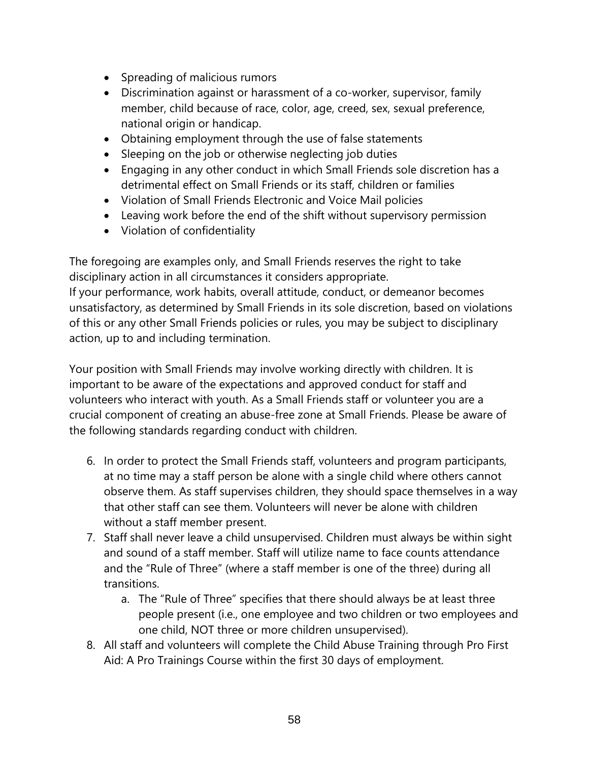- Spreading of malicious rumors
- Discrimination against or harassment of a co-worker, supervisor, family member, child because of race, color, age, creed, sex, sexual preference, national origin or handicap.
- Obtaining employment through the use of false statements
- Sleeping on the job or otherwise neglecting job duties
- Engaging in any other conduct in which Small Friends sole discretion has a detrimental effect on Small Friends or its staff, children or families
- Violation of Small Friends Electronic and Voice Mail policies
- Leaving work before the end of the shift without supervisory permission
- Violation of confidentiality

The foregoing are examples only, and Small Friends reserves the right to take disciplinary action in all circumstances it considers appropriate.

If your performance, work habits, overall attitude, conduct, or demeanor becomes unsatisfactory, as determined by Small Friends in its sole discretion, based on violations of this or any other Small Friends policies or rules, you may be subject to disciplinary action, up to and including termination.

Your position with Small Friends may involve working directly with children. It is important to be aware of the expectations and approved conduct for staff and volunteers who interact with youth. As a Small Friends staff or volunteer you are a crucial component of creating an abuse-free zone at Small Friends. Please be aware of the following standards regarding conduct with children.

- 6. In order to protect the Small Friends staff, volunteers and program participants, at no time may a staff person be alone with a single child where others cannot observe them. As staff supervises children, they should space themselves in a way that other staff can see them. Volunteers will never be alone with children without a staff member present.
- 7. Staff shall never leave a child unsupervised. Children must always be within sight and sound of a staff member. Staff will utilize name to face counts attendance and the "Rule of Three" (where a staff member is one of the three) during all transitions.
	- a. The "Rule of Three" specifies that there should always be at least three people present (i.e., one employee and two children or two employees and one child, NOT three or more children unsupervised).
- 8. All staff and volunteers will complete the Child Abuse Training through Pro First Aid: A Pro Trainings Course within the first 30 days of employment.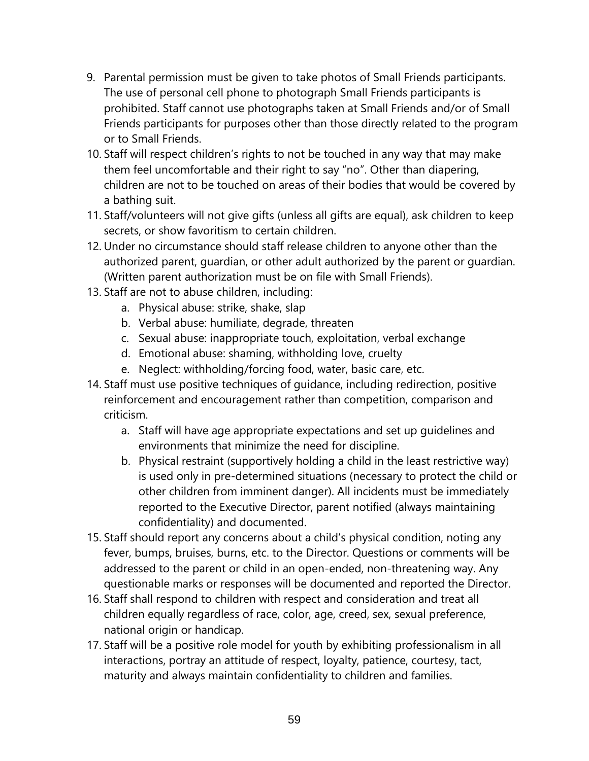- 9. Parental permission must be given to take photos of Small Friends participants. The use of personal cell phone to photograph Small Friends participants is prohibited. Staff cannot use photographs taken at Small Friends and/or of Small Friends participants for purposes other than those directly related to the program or to Small Friends.
- 10. Staff will respect children's rights to not be touched in any way that may make them feel uncomfortable and their right to say "no". Other than diapering, children are not to be touched on areas of their bodies that would be covered by a bathing suit.
- 11. Staff/volunteers will not give gifts (unless all gifts are equal), ask children to keep secrets, or show favoritism to certain children.
- 12. Under no circumstance should staff release children to anyone other than the authorized parent, guardian, or other adult authorized by the parent or guardian. (Written parent authorization must be on file with Small Friends).
- 13. Staff are not to abuse children, including:
	- a. Physical abuse: strike, shake, slap
	- b. Verbal abuse: humiliate, degrade, threaten
	- c. Sexual abuse: inappropriate touch, exploitation, verbal exchange
	- d. Emotional abuse: shaming, withholding love, cruelty
	- e. Neglect: withholding/forcing food, water, basic care, etc.
- 14. Staff must use positive techniques of guidance, including redirection, positive reinforcement and encouragement rather than competition, comparison and criticism.
	- a. Staff will have age appropriate expectations and set up guidelines and environments that minimize the need for discipline.
	- b. Physical restraint (supportively holding a child in the least restrictive way) is used only in pre-determined situations (necessary to protect the child or other children from imminent danger). All incidents must be immediately reported to the Executive Director, parent notified (always maintaining confidentiality) and documented.
- 15. Staff should report any concerns about a child's physical condition, noting any fever, bumps, bruises, burns, etc. to the Director. Questions or comments will be addressed to the parent or child in an open-ended, non-threatening way. Any questionable marks or responses will be documented and reported the Director.
- 16. Staff shall respond to children with respect and consideration and treat all children equally regardless of race, color, age, creed, sex, sexual preference, national origin or handicap.
- 17. Staff will be a positive role model for youth by exhibiting professionalism in all interactions, portray an attitude of respect, loyalty, patience, courtesy, tact, maturity and always maintain confidentiality to children and families.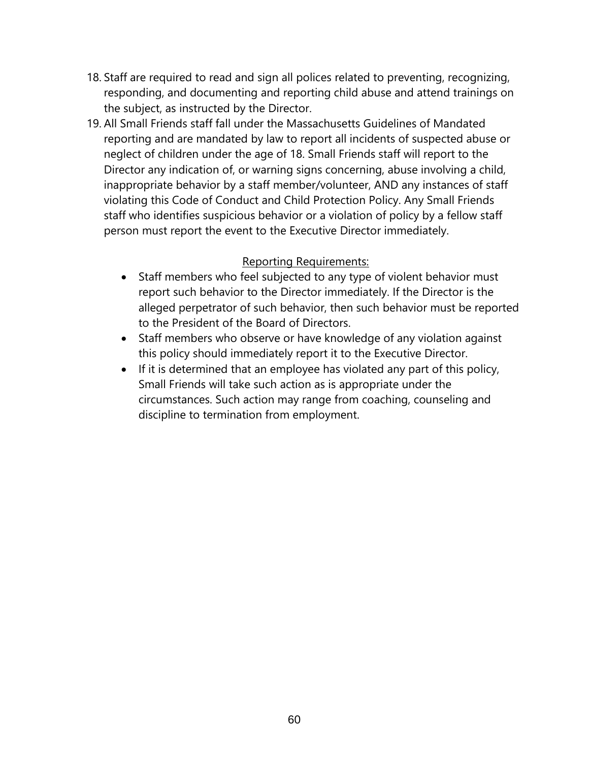- 18. Staff are required to read and sign all polices related to preventing, recognizing, responding, and documenting and reporting child abuse and attend trainings on the subject, as instructed by the Director.
- 19. All Small Friends staff fall under the Massachusetts Guidelines of Mandated reporting and are mandated by law to report all incidents of suspected abuse or neglect of children under the age of 18. Small Friends staff will report to the Director any indication of, or warning signs concerning, abuse involving a child, inappropriate behavior by a staff member/volunteer, AND any instances of staff violating this Code of Conduct and Child Protection Policy. Any Small Friends staff who identifies suspicious behavior or a violation of policy by a fellow staff person must report the event to the Executive Director immediately.

#### Reporting Requirements:

- Staff members who feel subjected to any type of violent behavior must report such behavior to the Director immediately. If the Director is the alleged perpetrator of such behavior, then such behavior must be reported to the President of the Board of Directors.
- Staff members who observe or have knowledge of any violation against this policy should immediately report it to the Executive Director.
- If it is determined that an employee has violated any part of this policy, Small Friends will take such action as is appropriate under the circumstances. Such action may range from coaching, counseling and discipline to termination from employment.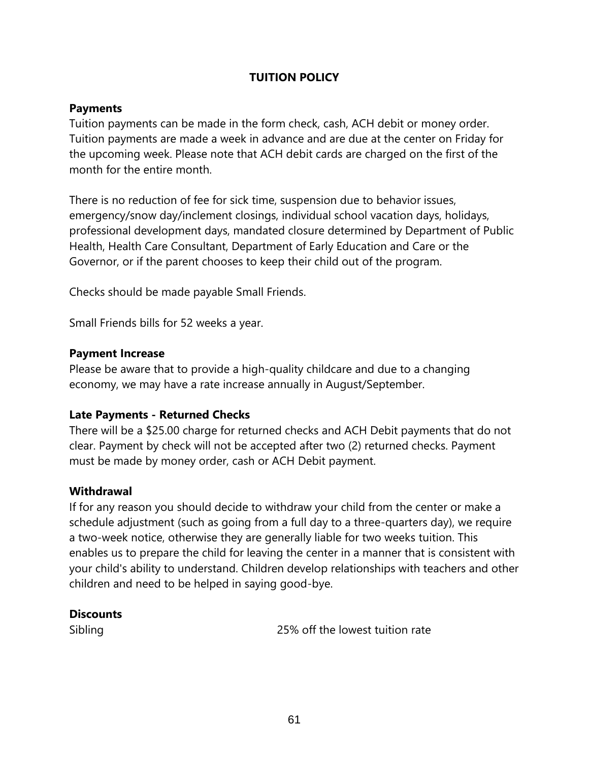## **TUITION POLICY**

#### **Payments**

Tuition payments can be made in the form check, cash, ACH debit or money order. Tuition payments are made a week in advance and are due at the center on Friday for the upcoming week. Please note that ACH debit cards are charged on the first of the month for the entire month.

There is no reduction of fee for sick time, suspension due to behavior issues, emergency/snow day/inclement closings, individual school vacation days, holidays, professional development days, mandated closure determined by Department of Public Health, Health Care Consultant, Department of Early Education and Care or the Governor, or if the parent chooses to keep their child out of the program.

Checks should be made payable Small Friends.

Small Friends bills for 52 weeks a year.

#### **Payment Increase**

Please be aware that to provide a high-quality childcare and due to a changing economy, we may have a rate increase annually in August/September.

#### **Late Payments - Returned Checks**

There will be a \$25.00 charge for returned checks and ACH Debit payments that do not clear. Payment by check will not be accepted after two (2) returned checks. Payment must be made by money order, cash or ACH Debit payment.

#### **Withdrawal**

If for any reason you should decide to withdraw your child from the center or make a schedule adjustment (such as going from a full day to a three-quarters day), we require a two-week notice, otherwise they are generally liable for two weeks tuition. This enables us to prepare the child for leaving the center in a manner that is consistent with your child's ability to understand. Children develop relationships with teachers and other children and need to be helped in saying good-bye.

#### **Discounts**

Sibling 25% off the lowest tuition rate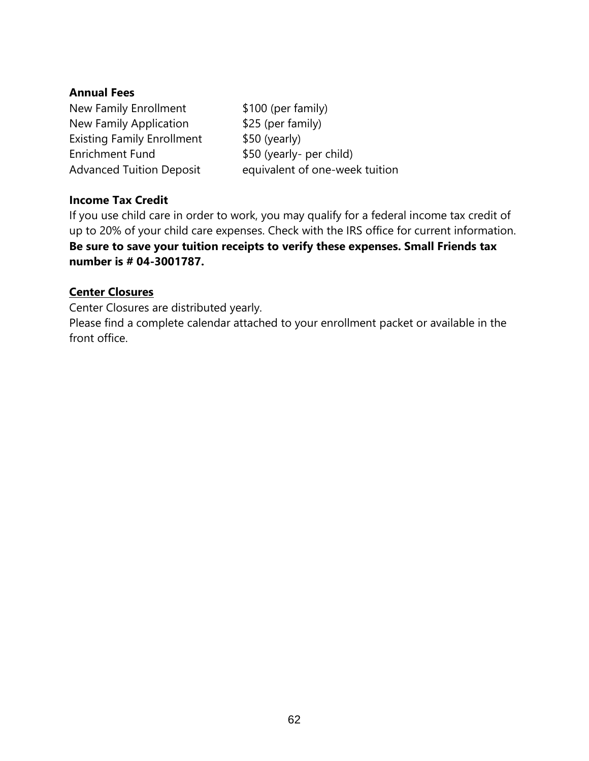#### **Annual Fees**

New Family Enrollment \$100 (per family) New Family Application \$25 (per family) Existing Family Enrollment \$50 (yearly) Enrichment Fund \$50 (yearly- per child)

Advanced Tuition Deposit equivalent of one-week tuition

# **Income Tax Credit**

If you use child care in order to work, you may qualify for a federal income tax credit of up to 20% of your child care expenses. Check with the IRS office for current information. **Be sure to save your tuition receipts to verify these expenses. Small Friends tax number is # 04-3001787.**

## **Center Closures**

Center Closures are distributed yearly.

Please find a complete calendar attached to your enrollment packet or available in the front office.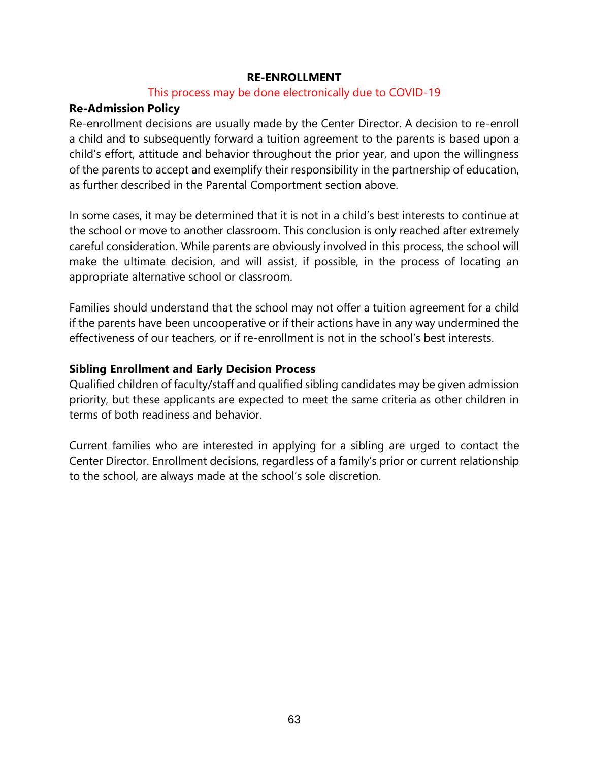#### **RE-ENROLLMENT**

#### This process may be done electronically due to COVID-19

#### **Re-Admission Policy**

Re-enrollment decisions are usually made by the Center Director. A decision to re-enroll a child and to subsequently forward a tuition agreement to the parents is based upon a child's effort, attitude and behavior throughout the prior year, and upon the willingness of the parents to accept and exemplify their responsibility in the partnership of education, as further described in the Parental Comportment section above.

In some cases, it may be determined that it is not in a child's best interests to continue at the school or move to another classroom. This conclusion is only reached after extremely careful consideration. While parents are obviously involved in this process, the school will make the ultimate decision, and will assist, if possible, in the process of locating an appropriate alternative school or classroom.

Families should understand that the school may not offer a tuition agreement for a child if the parents have been uncooperative or if their actions have in any way undermined the effectiveness of our teachers, or if re-enrollment is not in the school's best interests.

#### **Sibling Enrollment and Early Decision Process**

Qualified children of faculty/staff and qualified sibling candidates may be given admission priority, but these applicants are expected to meet the same criteria as other children in terms of both readiness and behavior.

Current families who are interested in applying for a sibling are urged to contact the Center Director. Enrollment decisions, regardless of a family's prior or current relationship to the school, are always made at the school's sole discretion.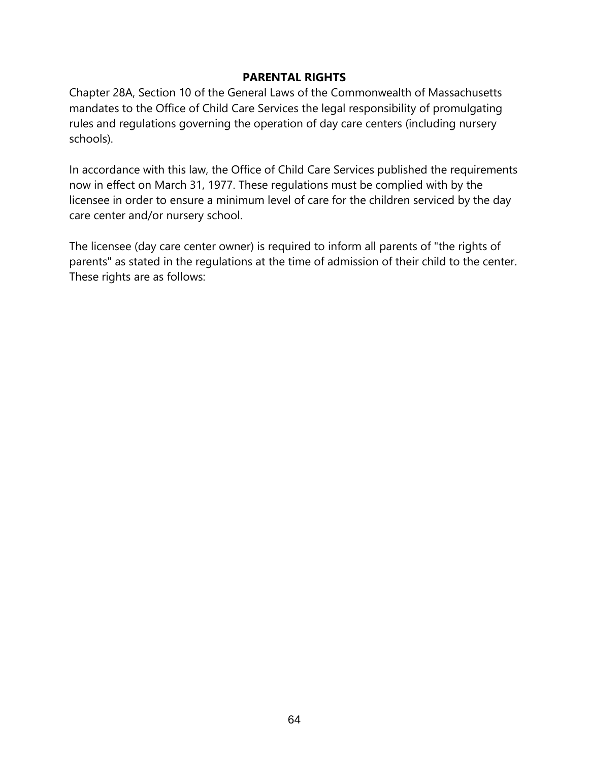#### **PARENTAL RIGHTS**

Chapter 28A, Section 10 of the General Laws of the Commonwealth of Massachusetts mandates to the Office of Child Care Services the legal responsibility of promulgating rules and regulations governing the operation of day care centers (including nursery schools).

In accordance with this law, the Office of Child Care Services published the requirements now in effect on March 31, 1977. These regulations must be complied with by the licensee in order to ensure a minimum level of care for the children serviced by the day care center and/or nursery school.

The licensee (day care center owner) is required to inform all parents of "the rights of parents" as stated in the regulations at the time of admission of their child to the center. These rights are as follows: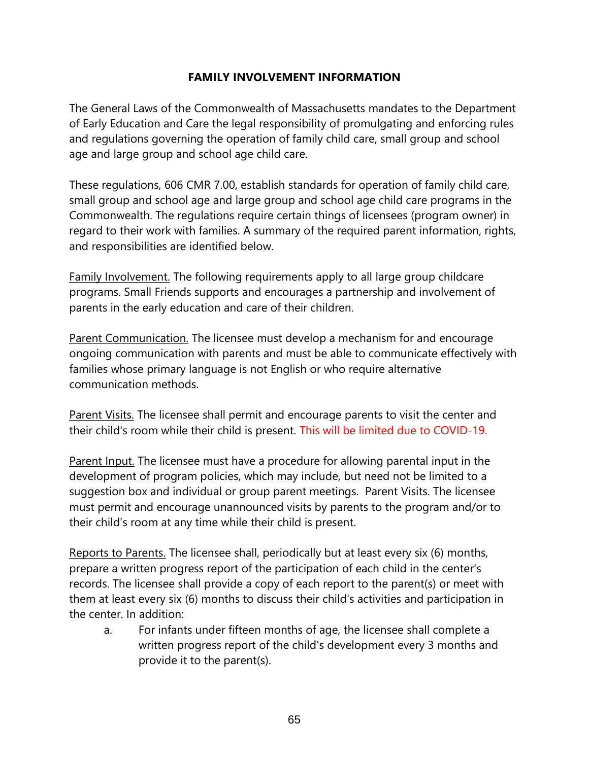### **FAMILY INVOLVEMENT INFORMATION**

The General Laws of the Commonwealth of Massachusetts mandates to the Department of Early Education and Care the legal responsibility of promulgating and enforcing rules and regulations governing the operation of family child care, small group and school age and large group and school age child care.

These regulations, 606 CMR 7.00, establish standards for operation of family child care, small group and school age and large group and school age child care programs in the Commonwealth. The regulations require certain things of licensees (program owner) in regard to their work with families. A summary of the required parent information, rights, and responsibilities are identified below.

Family Involvement. The following requirements apply to all large group childcare programs. Small Friends supports and encourages a partnership and involvement of parents in the early education and care of their children.

Parent Communication. The licensee must develop a mechanism for and encourage ongoing communication with parents and must be able to communicate effectively with families whose primary language is not English or who require alternative communication methods.

Parent Visits. The licensee shall permit and encourage parents to visit the center and their child's room while their child is present. This will be limited due to COVID-19.

Parent Input. The licensee must have a procedure for allowing parental input in the development of program policies, which may include, but need not be limited to a suggestion box and individual or group parent meetings. Parent Visits. The licensee must permit and encourage unannounced visits by parents to the program and/or to their child's room at any time while their child is present.

Reports to Parents. The licensee shall, periodically but at least every six (6) months, prepare a written progress report of the participation of each child in the center's records. The licensee shall provide a copy of each report to the parent(s) or meet with them at least every six (6) months to discuss their child's activities and participation in the center. In addition:

a. For infants under fifteen months of age, the licensee shall complete a written progress report of the child's development every 3 months and provide it to the parent(s).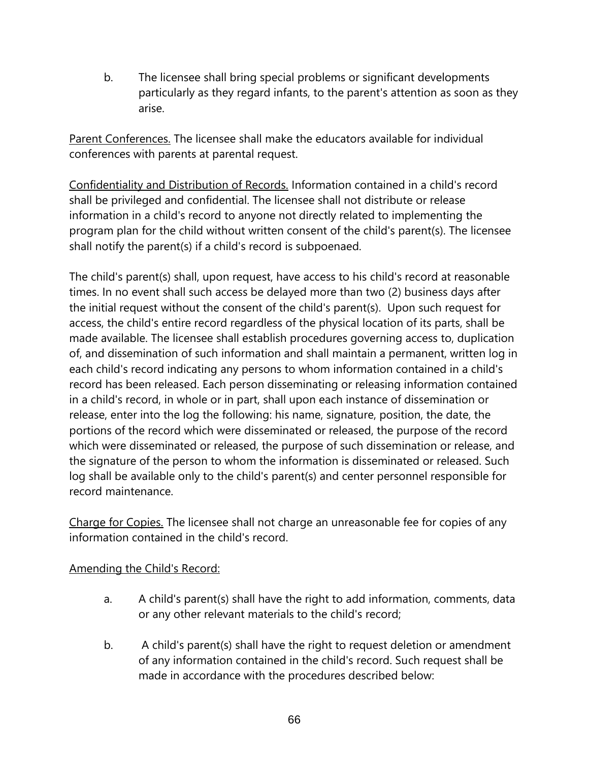b. The licensee shall bring special problems or significant developments particularly as they regard infants, to the parent's attention as soon as they arise.

Parent Conferences. The licensee shall make the educators available for individual conferences with parents at parental request.

Confidentiality and Distribution of Records. Information contained in a child's record shall be privileged and confidential. The licensee shall not distribute or release information in a child's record to anyone not directly related to implementing the program plan for the child without written consent of the child's parent(s). The licensee shall notify the parent(s) if a child's record is subpoenaed.

The child's parent(s) shall, upon request, have access to his child's record at reasonable times. In no event shall such access be delayed more than two (2) business days after the initial request without the consent of the child's parent(s). Upon such request for access, the child's entire record regardless of the physical location of its parts, shall be made available. The licensee shall establish procedures governing access to, duplication of, and dissemination of such information and shall maintain a permanent, written log in each child's record indicating any persons to whom information contained in a child's record has been released. Each person disseminating or releasing information contained in a child's record, in whole or in part, shall upon each instance of dissemination or release, enter into the log the following: his name, signature, position, the date, the portions of the record which were disseminated or released, the purpose of the record which were disseminated or released, the purpose of such dissemination or release, and the signature of the person to whom the information is disseminated or released. Such log shall be available only to the child's parent(s) and center personnel responsible for record maintenance.

Charge for Copies. The licensee shall not charge an unreasonable fee for copies of any information contained in the child's record.

# Amending the Child's Record:

- a. A child's parent(s) shall have the right to add information, comments, data or any other relevant materials to the child's record;
- b. A child's parent(s) shall have the right to request deletion or amendment of any information contained in the child's record. Such request shall be made in accordance with the procedures described below: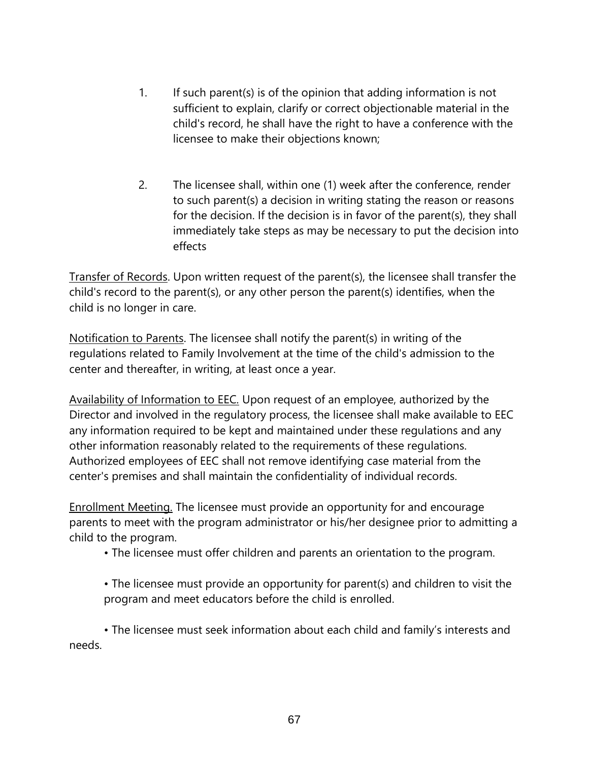- 1. If such parent(s) is of the opinion that adding information is not sufficient to explain, clarify or correct objectionable material in the child's record, he shall have the right to have a conference with the licensee to make their objections known;
- 2. The licensee shall, within one (1) week after the conference, render to such parent(s) a decision in writing stating the reason or reasons for the decision. If the decision is in favor of the parent(s), they shall immediately take steps as may be necessary to put the decision into effects

Transfer of Records. Upon written request of the parent(s), the licensee shall transfer the child's record to the parent(s), or any other person the parent(s) identifies, when the child is no longer in care.

Notification to Parents. The licensee shall notify the parent(s) in writing of the regulations related to Family Involvement at the time of the child's admission to the center and thereafter, in writing, at least once a year.

Availability of Information to EEC. Upon request of an employee, authorized by the Director and involved in the regulatory process, the licensee shall make available to EEC any information required to be kept and maintained under these regulations and any other information reasonably related to the requirements of these regulations. Authorized employees of EEC shall not remove identifying case material from the center's premises and shall maintain the confidentiality of individual records.

Enrollment Meeting. The licensee must provide an opportunity for and encourage parents to meet with the program administrator or his/her designee prior to admitting a child to the program.

• The licensee must offer children and parents an orientation to the program.

• The licensee must provide an opportunity for parent(s) and children to visit the program and meet educators before the child is enrolled.

• The licensee must seek information about each child and family's interests and needs.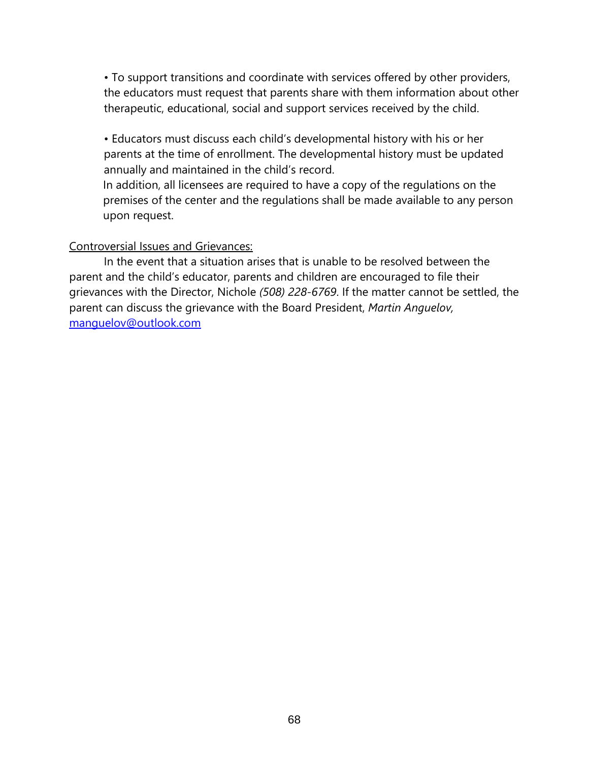• To support transitions and coordinate with services offered by other providers, the educators must request that parents share with them information about other therapeutic, educational, social and support services received by the child.

• Educators must discuss each child's developmental history with his or her parents at the time of enrollment. The developmental history must be updated annually and maintained in the child's record.

In addition, all licensees are required to have a copy of the regulations on the premises of the center and the regulations shall be made available to any person upon request.

#### Controversial Issues and Grievances:

In the event that a situation arises that is unable to be resolved between the parent and the child's educator, parents and children are encouraged to file their grievances with the Director, Nichole *(508) 228-6769*. If the matter cannot be settled, the parent can discuss the grievance with the Board President, *Martin Anguelov,*  [manguelov@outlook.com](mailto:manguelov@outlook.com)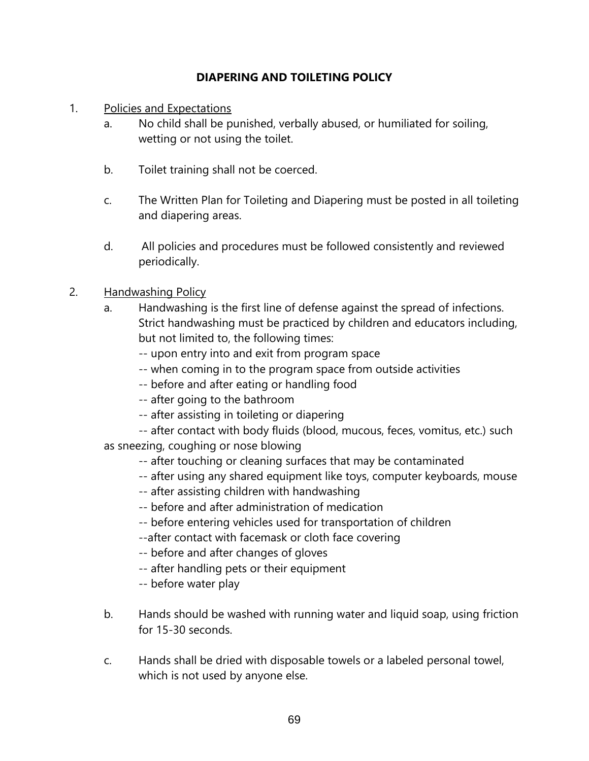# **DIAPERING AND TOILETING POLICY**

- 1. Policies and Expectations
	- a. No child shall be punished, verbally abused, or humiliated for soiling, wetting or not using the toilet.
	- b. Toilet training shall not be coerced.
	- c. The Written Plan for Toileting and Diapering must be posted in all toileting and diapering areas.
	- d. All policies and procedures must be followed consistently and reviewed periodically.
- 2. Handwashing Policy
	- a. Handwashing is the first line of defense against the spread of infections. Strict handwashing must be practiced by children and educators including, but not limited to, the following times:
		- -- upon entry into and exit from program space
		- -- when coming in to the program space from outside activities
		- -- before and after eating or handling food
		- -- after going to the bathroom
		- -- after assisting in toileting or diapering
	- -- after contact with body fluids (blood, mucous, feces, vomitus, etc.) such as sneezing, coughing or nose blowing
		- -- after touching or cleaning surfaces that may be contaminated
		- -- after using any shared equipment like toys, computer keyboards, mouse
		- -- after assisting children with handwashing
		- -- before and after administration of medication
		- -- before entering vehicles used for transportation of children
		- --after contact with facemask or cloth face covering
		- -- before and after changes of gloves
		- -- after handling pets or their equipment
		- -- before water play
	- b. Hands should be washed with running water and liquid soap, using friction for 15-30 seconds.
	- c. Hands shall be dried with disposable towels or a labeled personal towel, which is not used by anyone else.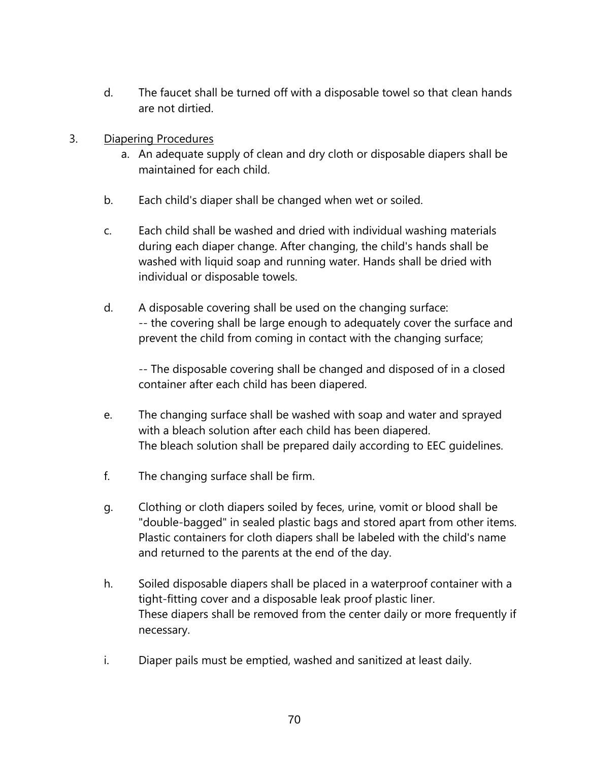- d. The faucet shall be turned off with a disposable towel so that clean hands are not dirtied.
- 3. Diapering Procedures
	- a. An adequate supply of clean and dry cloth or disposable diapers shall be maintained for each child.
	- b. Each child's diaper shall be changed when wet or soiled.
	- c. Each child shall be washed and dried with individual washing materials during each diaper change. After changing, the child's hands shall be washed with liquid soap and running water. Hands shall be dried with individual or disposable towels.
	- d. A disposable covering shall be used on the changing surface: -- the covering shall be large enough to adequately cover the surface and prevent the child from coming in contact with the changing surface;

-- The disposable covering shall be changed and disposed of in a closed container after each child has been diapered.

- e. The changing surface shall be washed with soap and water and sprayed with a bleach solution after each child has been diapered. The bleach solution shall be prepared daily according to EEC guidelines.
- f. The changing surface shall be firm.
- g. Clothing or cloth diapers soiled by feces, urine, vomit or blood shall be "double-bagged" in sealed plastic bags and stored apart from other items. Plastic containers for cloth diapers shall be labeled with the child's name and returned to the parents at the end of the day.
- h. Soiled disposable diapers shall be placed in a waterproof container with a tight-fitting cover and a disposable leak proof plastic liner. These diapers shall be removed from the center daily or more frequently if necessary.
- i. Diaper pails must be emptied, washed and sanitized at least daily.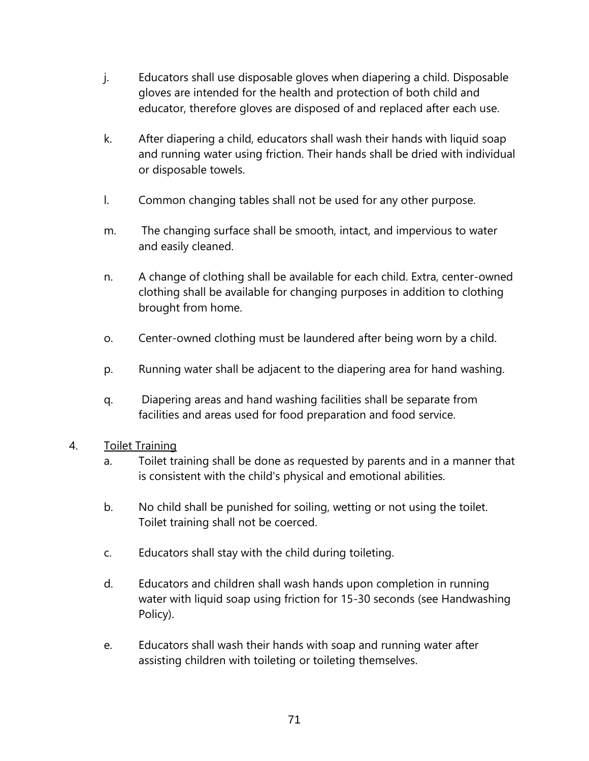- j. Educators shall use disposable gloves when diapering a child. Disposable gloves are intended for the health and protection of both child and educator, therefore gloves are disposed of and replaced after each use.
- k. After diapering a child, educators shall wash their hands with liquid soap and running water using friction. Their hands shall be dried with individual or disposable towels.
- l. Common changing tables shall not be used for any other purpose.
- m. The changing surface shall be smooth, intact, and impervious to water and easily cleaned.
- n. A change of clothing shall be available for each child. Extra, center-owned clothing shall be available for changing purposes in addition to clothing brought from home.
- o. Center-owned clothing must be laundered after being worn by a child.
- p. Running water shall be adjacent to the diapering area for hand washing.
- q. Diapering areas and hand washing facilities shall be separate from facilities and areas used for food preparation and food service.

## 4. Toilet Training

- a. Toilet training shall be done as requested by parents and in a manner that is consistent with the child's physical and emotional abilities.
- b. No child shall be punished for soiling, wetting or not using the toilet. Toilet training shall not be coerced.
- c. Educators shall stay with the child during toileting.
- d. Educators and children shall wash hands upon completion in running water with liquid soap using friction for 15-30 seconds (see Handwashing Policy).
- e. Educators shall wash their hands with soap and running water after assisting children with toileting or toileting themselves.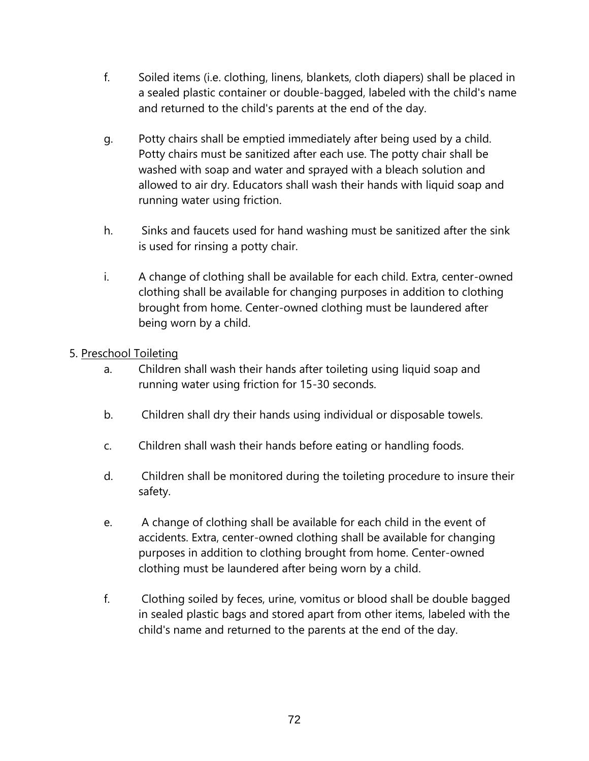- f. Soiled items (i.e. clothing, linens, blankets, cloth diapers) shall be placed in a sealed plastic container or double-bagged, labeled with the child's name and returned to the child's parents at the end of the day.
- g. Potty chairs shall be emptied immediately after being used by a child. Potty chairs must be sanitized after each use. The potty chair shall be washed with soap and water and sprayed with a bleach solution and allowed to air dry. Educators shall wash their hands with liquid soap and running water using friction.
- h. Sinks and faucets used for hand washing must be sanitized after the sink is used for rinsing a potty chair.
- i. A change of clothing shall be available for each child. Extra, center-owned clothing shall be available for changing purposes in addition to clothing brought from home. Center-owned clothing must be laundered after being worn by a child.

# 5. Preschool Toileting

- a. Children shall wash their hands after toileting using liquid soap and running water using friction for 15-30 seconds.
- b. Children shall dry their hands using individual or disposable towels.
- c. Children shall wash their hands before eating or handling foods.
- d. Children shall be monitored during the toileting procedure to insure their safety.
- e. A change of clothing shall be available for each child in the event of accidents. Extra, center-owned clothing shall be available for changing purposes in addition to clothing brought from home. Center-owned clothing must be laundered after being worn by a child.
- f. Clothing soiled by feces, urine, vomitus or blood shall be double bagged in sealed plastic bags and stored apart from other items, labeled with the child's name and returned to the parents at the end of the day.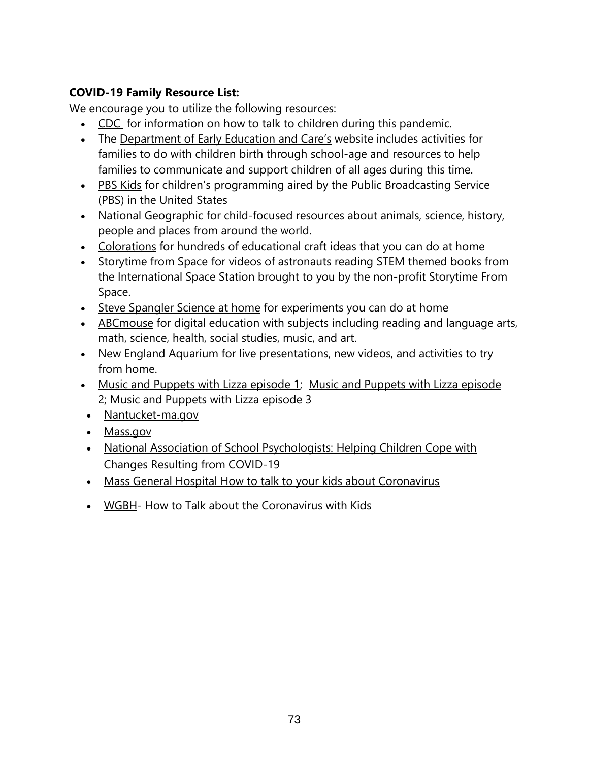# **COVID-19 Family Resource List:**

We encourage you to utilize the following resources:

- [CDC](http://r20.rs6.net/tn.jsp?f=001Q8ezx3bdUz074abByRC6AzM85KydRvevbGqoIrTzDxjXxQlTzwxINDNUnCdLWm6-714b34_aVycSdvloK-DHiCp4RYvqYOdN_M5J3vdf0fonmI4wefbel32AALKzhG9rD_zoI085frWCwe4kVLPFfPfA2_bj1IcBExcuF7WzABnqH5UeOraZaspbMcHDENUrGEDOreypQhsB1TL-ydgorEztBsSK4H2ym7N6E9-0ujCx4CYbS48jpKCy0mQtN7LN&c=CiflmcWygvYRfC-YFLapFXM4IxwZi2bHhxD5eP710xUZcWpAkrCquA==&ch=GMRDWk2_f5xKI4zpbtUOdR7ajPZ2BOslvhysgOGsFf29Yi8wh_Y_Wg==) for information on how to talk to children during this pandemic.
- The [Department of Early](http://r20.rs6.net/tn.jsp?f=001Q8ezx3bdUz074abByRC6AzM85KydRvevbGqoIrTzDxjXxQlTzwxINJ8HaAWE5y4cICn2FUK5ELTFd3sBT59y2PpEY8QpaF3fTMjzkZgVv7LGaqtwUGxGo3YySOkMn-ZNlLW-I4g2jNy5yb2Lqs2MVef0n2TdFxo9jZ5Y1k_kPHFKtcSa-c0y6M2S6cKXfToqA9TYNM9-3MvR2pw6sK60iQ==&c=CiflmcWygvYRfC-YFLapFXM4IxwZi2bHhxD5eP710xUZcWpAkrCquA==&ch=GMRDWk2_f5xKI4zpbtUOdR7ajPZ2BOslvhysgOGsFf29Yi8wh_Y_Wg==) Education and Care's website includes activities for families to do with children birth through school-age and resources to help families to communicate and support children of all ages during this time.
- [PBS Kids](http://r20.rs6.net/tn.jsp?f=001Q8ezx3bdUz074abByRC6AzM85KydRvevbGqoIrTzDxjXxQlTzwxINNktHO9ExTOzY2LWu6EQmhu3LGB2AqeJmJysKJir6IG-N9G2mRbEFUxNYp5k6p-6KsCOzI8O7C0aoomgg4lJBWdpH8KkTSCWWMz1C_RAVUfMTWK1z3VvnABVv9lHL7LAu2v5cL1pqP8I3fX4njPbdYY-Ex1Cg_LQqMxR-gJxOfjUHJchWBM9rH1RuJEP0NS9-4MUoumpKUPjmDWcQmcsQQrDNUKo5Zz1Kuw7DmPOQ8D4oOP4npjj7JSDF8-m92EII05pY5uL0ZFYkeYmS49kSK8LexlONefvL4kTJ9ArVpeMzHUSpv9u3lAApl5ndTUxO8-8PRzt8SERdjwKQvRCo5YaK-V7qnrMzg4c5Tt4x8kt&c=CiflmcWygvYRfC-YFLapFXM4IxwZi2bHhxD5eP710xUZcWpAkrCquA==&ch=GMRDWk2_f5xKI4zpbtUOdR7ajPZ2BOslvhysgOGsFf29Yi8wh_Y_Wg==) for children's programming aired by the Public Broadcasting Service (PBS) in the United States
- [National Geographic](http://r20.rs6.net/tn.jsp?f=001Q8ezx3bdUz074abByRC6AzM85KydRvevbGqoIrTzDxjXxQlTzwxINNktHO9ExTOzrOQLif5lds2gzGW1vYJXnWsKkeykvwMkyLCerb8hMatV8CIz6UCjpT5rOqNhDJDX4iuXTDCbJ7f_r_Cu8_0wFLG19Nx4CUuSiOgFWBJ9qFwpkCR7z6ZSohqJ7XvdaWImwfQh_qn2zSZFVMBZi5gzKquDsa2iCbTii4sKulCxgUuZMwGawSOsSxGDXfo7fcYrP2gODJ_BW8jqI9l9nXSwxeVFTzzhWdmD-TktezPBeDywcV7jj9C3QIQR2n5ldPS8WwTVu-zpWmA4ETfQeWfG70XcXM_JH7EOc3rq_jITOv8pdvPHqoRYLTot9oeeRCkZRzhoB7CtefFj4BMy8VvHFlGstn47rcgG9Zcr9tk0vS-6ezvX041vRA==&c=CiflmcWygvYRfC-YFLapFXM4IxwZi2bHhxD5eP710xUZcWpAkrCquA==&ch=GMRDWk2_f5xKI4zpbtUOdR7ajPZ2BOslvhysgOGsFf29Yi8wh_Y_Wg==) for child-focused resources about animals, science, history, people and places from around the world.
- [Colorations](http://r20.rs6.net/tn.jsp?f=001Q8ezx3bdUz074abByRC6AzM85KydRvevbGqoIrTzDxjXxQlTzwxINNktHO9ExTOzU2nBAFCb_f1Js7bKgJ6hDw4GE_zxoo9ul0qj_K6DLdei5DM2Kawgv_x3yLCR-U_1ST9ARlgO0w-19rZQhQLjPsjX4BG15_uUI7PYgSMWXGKVYLP9R3z1I0SSjAYVTdgzP0NQkojuxAUwXY-ZMBVfoY9HYfzSTLmNfJUQyhkuZkMqNRxkDC2XcnIrm3cyUMoqdTe82Gzosc8HyE3zKw7gxXcrlRtC520tyTzkBaqvd4d4luHK3GVFxId63xB8fBbzHjcXM8R_fl3HkYXmeFmD3T3F75mwoRGN_OBl7b-2XqprKJKz_aJMNuOSB8YAj9n3kmAlVU7aWtz3fUFMTZWMfor5MqQsd0pDqQ-1J3d9b0df0e-iRhf4M6e1D-gW6ZeG&c=CiflmcWygvYRfC-YFLapFXM4IxwZi2bHhxD5eP710xUZcWpAkrCquA==&ch=GMRDWk2_f5xKI4zpbtUOdR7ajPZ2BOslvhysgOGsFf29Yi8wh_Y_Wg==) for hundreds of educational craft ideas that you can do at home
- [Storytime from Space](http://r20.rs6.net/tn.jsp?f=001Q8ezx3bdUz074abByRC6AzM85KydRvevbGqoIrTzDxjXxQlTzwxINNktHO9ExTOz87HShPIeDFHX7itdUCYflUKDtH9jHve_FU5OxaNWSQpm7kHMLkxqmAUJi7WVDtqEm7ysfLaMKqIseNWFaXxWmTaT6e3_pB4-C_EEpALRtYewtjXtJkxnwtpO8VBpRv7hNm3RuTiQwjKiwTsgEyB5KYn3KaQy_rJFrCAYnpVUag93QS2gXcQEOtL7QyALAUAJ3rkO4DeRWXpTDGeUnC2P-VNeJ_gLyiGr1-8C1dOadno4fVirCqjLzQZWu-j3_TxH4irriH_mjkuGZHdH20cGrIbVMMWSu-pM6OirOsS9tsbUuBzkuYhT8lvc_IBMtw_NPhSnZem9i4-_r0GSflAtLfkedvvgnMr95NUyBJKquxw=&c=CiflmcWygvYRfC-YFLapFXM4IxwZi2bHhxD5eP710xUZcWpAkrCquA==&ch=GMRDWk2_f5xKI4zpbtUOdR7ajPZ2BOslvhysgOGsFf29Yi8wh_Y_Wg==) for videos of astronauts reading STEM themed books from the International Space Station brought to you by the non-profit Storytime From Space.
- [Steve Spangler Science at home](http://r20.rs6.net/tn.jsp?f=001Q8ezx3bdUz074abByRC6AzM85KydRvevbGqoIrTzDxjXxQlTzwxINNktHO9ExTOz-otHCi4nzZV6OWWWQhbwBr9PhOIpPOUeIA8-sFYZugXyOLA8XGFizejypwanARGG-lCfFHRBbOjrfQhBK4KUx7INM-ITyPySP9TSW1DDssTNx6Nmqm9XWYHGjYXucfbOp_jnnHZAk-Q4-fxXbmhwWq9Q_bU5A4yvsenFiTeJetozBSCoK_xGIbDD-quezaw4e16Sj7fZPetFKfhNQNxmr28-DKRhnWT-CyjQxofyO79UN2zjet68y3zsvSrkV5gG9VErf8EiM_xxnDTvRrljBzsUtPsk_YavNr47K0sPKfpFUHYFd6_98oYGC_vA83wsrR-WwQbsLgPuFG3GeFvoy2Dd3alqtezFAKyWEJCC6J1KY2E5v-gS3k04xRsXNgoHoEpzvIBcc3Q=&c=CiflmcWygvYRfC-YFLapFXM4IxwZi2bHhxD5eP710xUZcWpAkrCquA==&ch=GMRDWk2_f5xKI4zpbtUOdR7ajPZ2BOslvhysgOGsFf29Yi8wh_Y_Wg==) for experiments you can do at home
- [ABCmouse](http://r20.rs6.net/tn.jsp?f=001Q8ezx3bdUz074abByRC6AzM85KydRvevbGqoIrTzDxjXxQlTzwxINNktHO9ExTOzy98Oh3UoeK_pXDil0myhmli5h3i9nJbOs-KhSqRuRaxwjry2Or9Tig8feGmLhuNSHNi-MQ4yHnJQ4Q_NitqqcJsRsUPApE43Jvo9Cflyv8vIL6jPUjoHtyuz67_KHZ2wzoTCseSTuRyzhWx1P-UqJp5TrxM3Qqc4ROa9sMOr-93T52mseogDHQi-VKMufb1_cg-3UZ_P1fwyafuVljDuETd7huiro-XI8xQbf0Tk9y9dJGCVYlKNkTEJ6ZY74mvRSPT3rI1bugoIL-5fXeipH6wugNJ_p6BrFTJbM-itNdTlwzawpsQb3uhRbpEv2_rxyI3i3RdTjLmVRG3pRy6FKUxyfM2d_3srz79MLDV3-If2Z-qHh_9tNQ==&c=CiflmcWygvYRfC-YFLapFXM4IxwZi2bHhxD5eP710xUZcWpAkrCquA==&ch=GMRDWk2_f5xKI4zpbtUOdR7ajPZ2BOslvhysgOGsFf29Yi8wh_Y_Wg==) for digital education with subjects including reading and language arts, math, science, health, social studies, music, and art.
- [New England Aquarium](http://r20.rs6.net/tn.jsp?f=001Q8ezx3bdUz074abByRC6AzM85KydRvevbGqoIrTzDxjXxQlTzwxINNktHO9ExTOzYNe8qqhPAs6du3W4Qjc8jbRaqy-C8uVNIK2ydQwstKelQBRyACcBG5pWZj_qeFyfqGoyxF_2uSsZxBbFauz6epX20P9vPSl_pt58bO_W-BO7SSJDE-xjMDSvaMBOSHjM&c=CiflmcWygvYRfC-YFLapFXM4IxwZi2bHhxD5eP710xUZcWpAkrCquA==&ch=GMRDWk2_f5xKI4zpbtUOdR7ajPZ2BOslvhysgOGsFf29Yi8wh_Y_Wg==) for live presentations, new videos, and activities to try from home.
- [Music and Puppets with Lizza episode 1;](http://r20.rs6.net/tn.jsp?f=001Q8ezx3bdUz074abByRC6AzM85KydRvevbGqoIrTzDxjXxQlTzwxINMZgK08h9GUcnEspMNWLT786FNNTsx4rpHTqC785-pX4HA6jFqJ8NOsHI89q4iJe9JdQ1HBx2U9j0uTMzbOTVV1xmLl-vxrfGEPqS564EFbjU_N54ji5fmWpdIMlx89E9lv30_T44Hm-MBq29BiitPo=&c=CiflmcWygvYRfC-YFLapFXM4IxwZi2bHhxD5eP710xUZcWpAkrCquA==&ch=GMRDWk2_f5xKI4zpbtUOdR7ajPZ2BOslvhysgOGsFf29Yi8wh_Y_Wg==) Music and Puppets with Lizza episode [2;](http://r20.rs6.net/tn.jsp?f=001Q8ezx3bdUz074abByRC6AzM85KydRvevbGqoIrTzDxjXxQlTzwxINHZV-PtLkjTOgU1MzXGgssLUvmBHcUuzRKpDX3RZEuNwYUewIAiUMHKAFp7OVNt1qOHGbhS5TreMiBUKG3UJ_aALdWyfWml6Aw==&c=CiflmcWygvYRfC-YFLapFXM4IxwZi2bHhxD5eP710xUZcWpAkrCquA==&ch=GMRDWk2_f5xKI4zpbtUOdR7ajPZ2BOslvhysgOGsFf29Yi8wh_Y_Wg==) [Music and Puppets with Lizza episode 3](http://r20.rs6.net/tn.jsp?f=001Q8ezx3bdUz074abByRC6AzM85KydRvevbGqoIrTzDxjXxQlTzwxINA-sl9WmSV6iQcqIgexwL66E_wCqZ_GIdb1eWCMN8icLA1B66hEJG7fxUb61Jft6g0D7xGtBknDVX0Dh6iFls8awl8EpqzihxgdHPFhfno3KzX36c3w_bnjQHOk9UH6kCnRiYJXNjcCC&c=CiflmcWygvYRfC-YFLapFXM4IxwZi2bHhxD5eP710xUZcWpAkrCquA==&ch=GMRDWk2_f5xKI4zpbtUOdR7ajPZ2BOslvhysgOGsFf29Yi8wh_Y_Wg==)
- [Nantucket-ma.gov](file:///C:/Users/kevin/Downloads/•%09https:/www.nantucket-ma.gov/1657/Coronavirus-Updates)
- [Mass.gov](http://www.mass.gov/2019coronavirus)
- National Association of School Psychologists: Helping Children Cope with [Changes Resulting from COVID-19](https://www.nasponline.org/resources-and-publications/resources-and-podcasts/school-climate-safety-and-crisis/health-crisis-resources/talking-to-children-about-covid-19-(coronavirus)-a-parent-resource)
- [Mass General Hospital How to talk to your kids about Coronavirus](https://www.youtube.com/watch?v=y81pZO7gaq0&feature=youtu.be)
- [WGBH-](https://www.wgbh.org/news/lifestyle/2020/03/24/how-to-talk-about-the-coronavirus-with-kids) How to Talk about the Coronavirus with Kids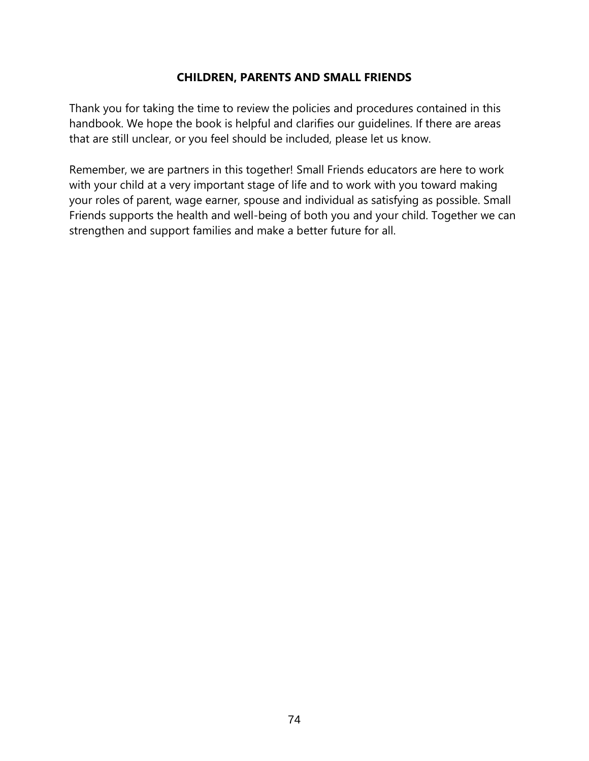### **CHILDREN, PARENTS AND SMALL FRIENDS**

Thank you for taking the time to review the policies and procedures contained in this handbook. We hope the book is helpful and clarifies our guidelines. If there are areas that are still unclear, or you feel should be included, please let us know.

Remember, we are partners in this together! Small Friends educators are here to work with your child at a very important stage of life and to work with you toward making your roles of parent, wage earner, spouse and individual as satisfying as possible. Small Friends supports the health and well-being of both you and your child. Together we can strengthen and support families and make a better future for all.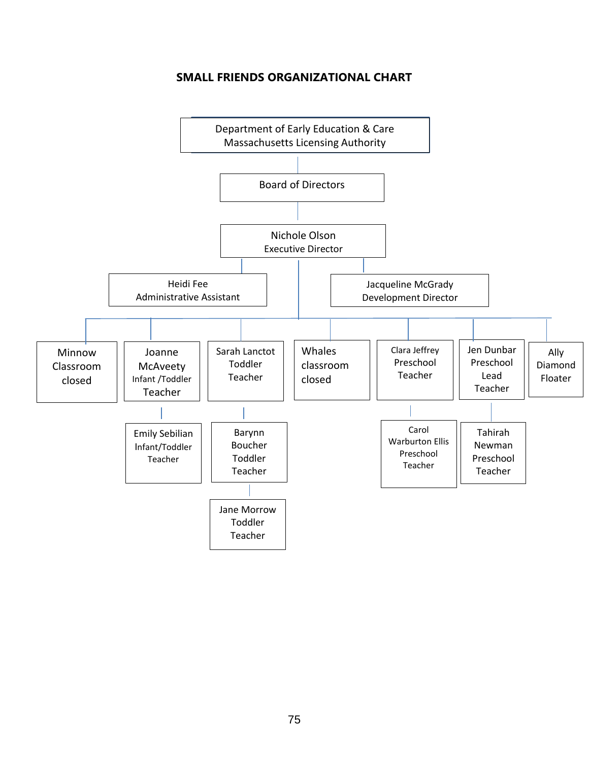### **SMALL FRIENDS ORGANIZATIONAL CHART**